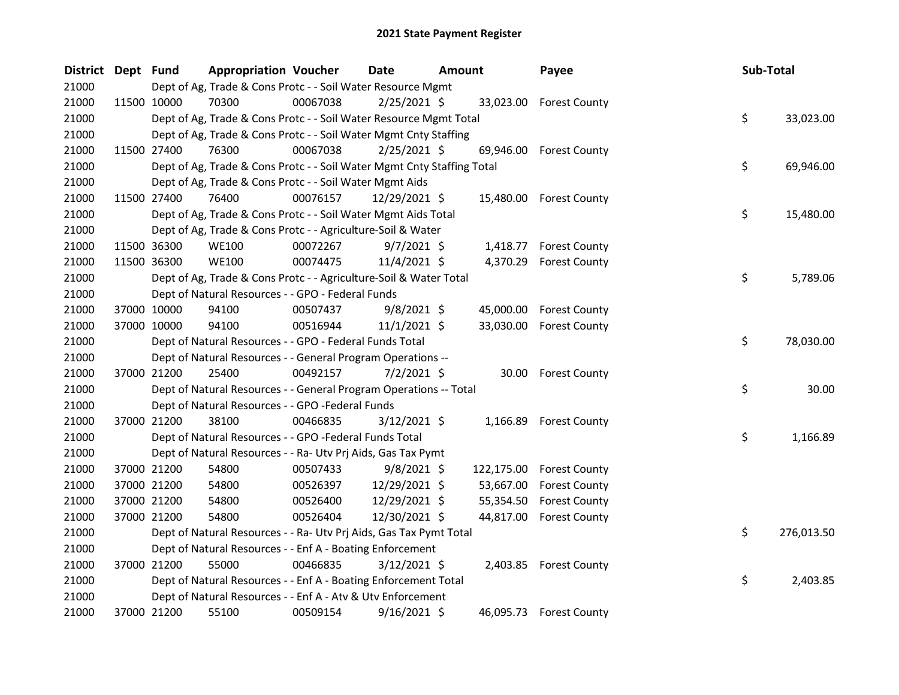| <b>District</b> | Dept Fund |             | <b>Appropriation Voucher</b>                                           |          | <b>Date</b>    | <b>Amount</b> |           | Payee                    | Sub-Total |            |
|-----------------|-----------|-------------|------------------------------------------------------------------------|----------|----------------|---------------|-----------|--------------------------|-----------|------------|
| 21000           |           |             | Dept of Ag, Trade & Cons Protc - - Soil Water Resource Mgmt            |          |                |               |           |                          |           |            |
| 21000           |           | 11500 10000 | 70300                                                                  | 00067038 | $2/25/2021$ \$ |               |           | 33,023.00 Forest County  |           |            |
| 21000           |           |             | Dept of Ag, Trade & Cons Protc - - Soil Water Resource Mgmt Total      |          |                |               |           |                          | \$        | 33,023.00  |
| 21000           |           |             | Dept of Ag, Trade & Cons Protc - - Soil Water Mgmt Cnty Staffing       |          |                |               |           |                          |           |            |
| 21000           |           | 11500 27400 | 76300                                                                  | 00067038 | $2/25/2021$ \$ |               | 69,946.00 | <b>Forest County</b>     |           |            |
| 21000           |           |             | Dept of Ag, Trade & Cons Protc - - Soil Water Mgmt Cnty Staffing Total |          |                |               |           |                          | \$        | 69,946.00  |
| 21000           |           |             | Dept of Ag, Trade & Cons Protc - - Soil Water Mgmt Aids                |          |                |               |           |                          |           |            |
| 21000           |           | 11500 27400 | 76400                                                                  | 00076157 | 12/29/2021 \$  |               |           | 15,480.00 Forest County  |           |            |
| 21000           |           |             | Dept of Ag, Trade & Cons Protc - - Soil Water Mgmt Aids Total          |          |                |               |           |                          | \$        | 15,480.00  |
| 21000           |           |             | Dept of Ag, Trade & Cons Protc - - Agriculture-Soil & Water            |          |                |               |           |                          |           |            |
| 21000           |           | 11500 36300 | <b>WE100</b>                                                           | 00072267 | $9/7/2021$ \$  |               | 1,418.77  | <b>Forest County</b>     |           |            |
| 21000           |           | 11500 36300 | <b>WE100</b>                                                           | 00074475 | $11/4/2021$ \$ |               |           | 4,370.29 Forest County   |           |            |
| 21000           |           |             | Dept of Ag, Trade & Cons Protc - - Agriculture-Soil & Water Total      |          |                |               |           |                          | \$        | 5,789.06   |
| 21000           |           |             | Dept of Natural Resources - - GPO - Federal Funds                      |          |                |               |           |                          |           |            |
| 21000           |           | 37000 10000 | 94100                                                                  | 00507437 | $9/8/2021$ \$  |               | 45,000.00 | <b>Forest County</b>     |           |            |
| 21000           |           | 37000 10000 | 94100                                                                  | 00516944 | $11/1/2021$ \$ |               | 33,030.00 | <b>Forest County</b>     |           |            |
| 21000           |           |             | Dept of Natural Resources - - GPO - Federal Funds Total                |          |                |               |           |                          | \$        | 78,030.00  |
| 21000           |           |             | Dept of Natural Resources - - General Program Operations --            |          |                |               |           |                          |           |            |
| 21000           |           | 37000 21200 | 25400                                                                  | 00492157 | $7/2/2021$ \$  |               |           | 30.00 Forest County      |           |            |
| 21000           |           |             | Dept of Natural Resources - - General Program Operations -- Total      |          |                |               |           |                          | \$        | 30.00      |
| 21000           |           |             | Dept of Natural Resources - - GPO -Federal Funds                       |          |                |               |           |                          |           |            |
| 21000           |           | 37000 21200 | 38100                                                                  | 00466835 | $3/12/2021$ \$ |               | 1,166.89  | <b>Forest County</b>     |           |            |
| 21000           |           |             | Dept of Natural Resources - - GPO -Federal Funds Total                 |          |                |               |           |                          | \$        | 1,166.89   |
| 21000           |           |             | Dept of Natural Resources - - Ra- Utv Prj Aids, Gas Tax Pymt           |          |                |               |           |                          |           |            |
| 21000           |           | 37000 21200 | 54800                                                                  | 00507433 | $9/8/2021$ \$  |               |           | 122,175.00 Forest County |           |            |
| 21000           |           | 37000 21200 | 54800                                                                  | 00526397 | 12/29/2021 \$  |               | 53,667.00 | <b>Forest County</b>     |           |            |
| 21000           |           | 37000 21200 | 54800                                                                  | 00526400 | 12/29/2021 \$  |               | 55,354.50 | <b>Forest County</b>     |           |            |
| 21000           |           | 37000 21200 | 54800                                                                  | 00526404 | 12/30/2021 \$  |               | 44,817.00 | <b>Forest County</b>     |           |            |
| 21000           |           |             | Dept of Natural Resources - - Ra- Utv Prj Aids, Gas Tax Pymt Total     |          |                |               |           |                          | \$        | 276,013.50 |
| 21000           |           |             | Dept of Natural Resources - - Enf A - Boating Enforcement              |          |                |               |           |                          |           |            |
| 21000           |           | 37000 21200 | 55000                                                                  | 00466835 | $3/12/2021$ \$ |               |           | 2,403.85 Forest County   |           |            |
| 21000           |           |             | Dept of Natural Resources - - Enf A - Boating Enforcement Total        |          |                |               |           |                          | \$        | 2,403.85   |
| 21000           |           |             | Dept of Natural Resources - - Enf A - Atv & Utv Enforcement            |          |                |               |           |                          |           |            |
| 21000           |           | 37000 21200 | 55100                                                                  | 00509154 | $9/16/2021$ \$ |               | 46,095.73 | <b>Forest County</b>     |           |            |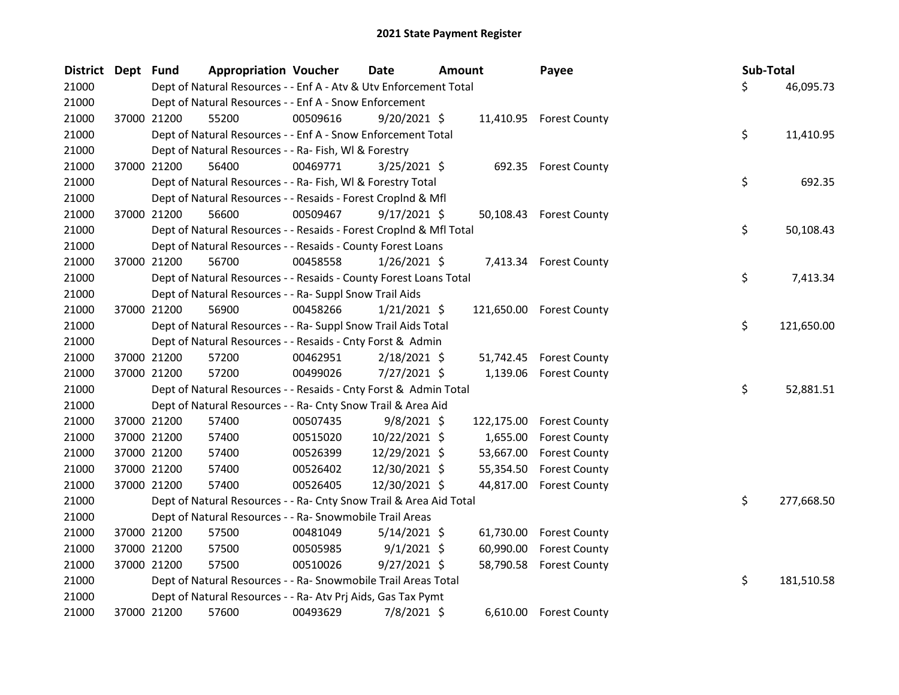| District Dept Fund |             | <b>Appropriation Voucher</b>                                       |          | Date           | <b>Amount</b> |            | Payee                    | Sub-Total |            |
|--------------------|-------------|--------------------------------------------------------------------|----------|----------------|---------------|------------|--------------------------|-----------|------------|
| 21000              |             | Dept of Natural Resources - - Enf A - Atv & Utv Enforcement Total  |          |                |               |            |                          | \$        | 46,095.73  |
| 21000              |             | Dept of Natural Resources - - Enf A - Snow Enforcement             |          |                |               |            |                          |           |            |
| 21000              | 37000 21200 | 55200                                                              | 00509616 | $9/20/2021$ \$ |               |            | 11,410.95 Forest County  |           |            |
| 21000              |             | Dept of Natural Resources - - Enf A - Snow Enforcement Total       |          |                |               |            |                          | \$        | 11,410.95  |
| 21000              |             | Dept of Natural Resources - - Ra- Fish, WI & Forestry              |          |                |               |            |                          |           |            |
| 21000              | 37000 21200 | 56400                                                              | 00469771 | $3/25/2021$ \$ |               |            | 692.35 Forest County     |           |            |
| 21000              |             | Dept of Natural Resources - - Ra- Fish, WI & Forestry Total        |          |                |               |            |                          | \$        | 692.35     |
| 21000              |             | Dept of Natural Resources - - Resaids - Forest Croplnd & Mfl       |          |                |               |            |                          |           |            |
| 21000              | 37000 21200 | 56600                                                              | 00509467 | $9/17/2021$ \$ |               |            | 50,108.43 Forest County  |           |            |
| 21000              |             | Dept of Natural Resources - - Resaids - Forest CropInd & Mfl Total |          |                |               |            |                          | \$        | 50,108.43  |
| 21000              |             | Dept of Natural Resources - - Resaids - County Forest Loans        |          |                |               |            |                          |           |            |
| 21000              | 37000 21200 | 56700                                                              | 00458558 | $1/26/2021$ \$ |               |            | 7,413.34 Forest County   |           |            |
| 21000              |             | Dept of Natural Resources - - Resaids - County Forest Loans Total  |          |                |               |            |                          | \$        | 7,413.34   |
| 21000              |             | Dept of Natural Resources - - Ra- Suppl Snow Trail Aids            |          |                |               |            |                          |           |            |
| 21000              | 37000 21200 | 56900                                                              | 00458266 | $1/21/2021$ \$ |               |            | 121,650.00 Forest County |           |            |
| 21000              |             | Dept of Natural Resources - - Ra- Suppl Snow Trail Aids Total      |          |                |               |            |                          | \$        | 121,650.00 |
| 21000              |             | Dept of Natural Resources - - Resaids - Cnty Forst & Admin         |          |                |               |            |                          |           |            |
| 21000              | 37000 21200 | 57200                                                              | 00462951 | $2/18/2021$ \$ |               |            | 51,742.45 Forest County  |           |            |
| 21000              | 37000 21200 | 57200                                                              | 00499026 | 7/27/2021 \$   |               | 1,139.06   | <b>Forest County</b>     |           |            |
| 21000              |             | Dept of Natural Resources - - Resaids - Cnty Forst & Admin Total   |          |                |               |            |                          | \$        | 52,881.51  |
| 21000              |             | Dept of Natural Resources - - Ra- Cnty Snow Trail & Area Aid       |          |                |               |            |                          |           |            |
| 21000              | 37000 21200 | 57400                                                              | 00507435 | $9/8/2021$ \$  |               | 122,175.00 | <b>Forest County</b>     |           |            |
| 21000              | 37000 21200 | 57400                                                              | 00515020 | 10/22/2021 \$  |               | 1,655.00   | <b>Forest County</b>     |           |            |
| 21000              | 37000 21200 | 57400                                                              | 00526399 | 12/29/2021 \$  |               | 53,667.00  | <b>Forest County</b>     |           |            |
| 21000              | 37000 21200 | 57400                                                              | 00526402 | 12/30/2021 \$  |               | 55,354.50  | <b>Forest County</b>     |           |            |
| 21000              | 37000 21200 | 57400                                                              | 00526405 | 12/30/2021 \$  |               | 44,817.00  | <b>Forest County</b>     |           |            |
| 21000              |             | Dept of Natural Resources - - Ra- Cnty Snow Trail & Area Aid Total |          |                |               |            |                          | \$        | 277,668.50 |
| 21000              |             | Dept of Natural Resources - - Ra- Snowmobile Trail Areas           |          |                |               |            |                          |           |            |
| 21000              | 37000 21200 | 57500                                                              | 00481049 | $5/14/2021$ \$ |               | 61,730.00  | <b>Forest County</b>     |           |            |
| 21000              | 37000 21200 | 57500                                                              | 00505985 | $9/1/2021$ \$  |               | 60,990.00  | <b>Forest County</b>     |           |            |
| 21000              | 37000 21200 | 57500                                                              | 00510026 | $9/27/2021$ \$ |               | 58,790.58  | <b>Forest County</b>     |           |            |
| 21000              |             | Dept of Natural Resources - - Ra- Snowmobile Trail Areas Total     |          |                |               |            |                          | \$        | 181,510.58 |
| 21000              |             | Dept of Natural Resources - - Ra- Atv Prj Aids, Gas Tax Pymt       |          |                |               |            |                          |           |            |
| 21000              | 37000 21200 | 57600                                                              | 00493629 | 7/8/2021 \$    |               |            | 6,610.00 Forest County   |           |            |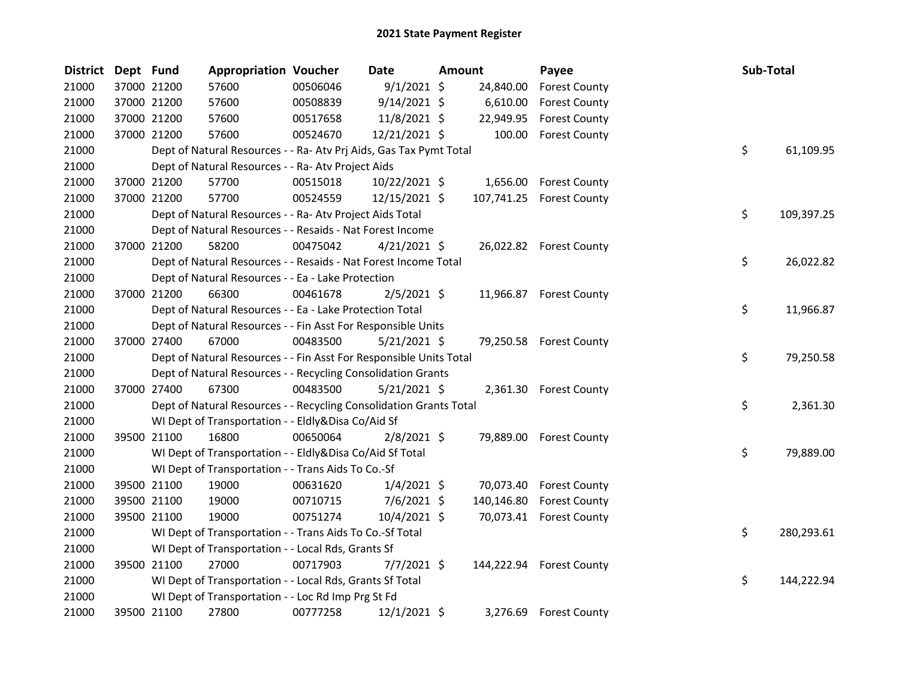| District | Dept Fund |             | <b>Appropriation Voucher</b>                                       |          | Date           | Amount     | Payee                       | Sub-Total |            |
|----------|-----------|-------------|--------------------------------------------------------------------|----------|----------------|------------|-----------------------------|-----------|------------|
| 21000    |           | 37000 21200 | 57600                                                              | 00506046 | $9/1/2021$ \$  | 24,840.00  | <b>Forest County</b>        |           |            |
| 21000    |           | 37000 21200 | 57600                                                              | 00508839 | $9/14/2021$ \$ | 6,610.00   | <b>Forest County</b>        |           |            |
| 21000    |           | 37000 21200 | 57600                                                              | 00517658 | 11/8/2021 \$   | 22,949.95  | <b>Forest County</b>        |           |            |
| 21000    |           | 37000 21200 | 57600                                                              | 00524670 | 12/21/2021 \$  | 100.00     | <b>Forest County</b>        |           |            |
| 21000    |           |             | Dept of Natural Resources - - Ra- Atv Prj Aids, Gas Tax Pymt Total |          |                |            |                             | \$        | 61,109.95  |
| 21000    |           |             | Dept of Natural Resources - - Ra- Atv Project Aids                 |          |                |            |                             |           |            |
| 21000    |           | 37000 21200 | 57700                                                              | 00515018 | 10/22/2021 \$  | 1,656.00   | <b>Forest County</b>        |           |            |
| 21000    |           | 37000 21200 | 57700                                                              | 00524559 | 12/15/2021 \$  | 107,741.25 | <b>Forest County</b>        |           |            |
| 21000    |           |             | Dept of Natural Resources - - Ra- Atv Project Aids Total           |          |                |            |                             | \$        | 109,397.25 |
| 21000    |           |             | Dept of Natural Resources - - Resaids - Nat Forest Income          |          |                |            |                             |           |            |
| 21000    |           | 37000 21200 | 58200                                                              | 00475042 | $4/21/2021$ \$ |            | 26,022.82 Forest County     |           |            |
| 21000    |           |             | Dept of Natural Resources - - Resaids - Nat Forest Income Total    |          |                |            |                             | \$        | 26,022.82  |
| 21000    |           |             | Dept of Natural Resources - - Ea - Lake Protection                 |          |                |            |                             |           |            |
| 21000    |           | 37000 21200 | 66300                                                              | 00461678 | $2/5/2021$ \$  |            | 11,966.87 Forest County     |           |            |
| 21000    |           |             | Dept of Natural Resources - - Ea - Lake Protection Total           |          |                |            |                             | \$        | 11,966.87  |
| 21000    |           |             | Dept of Natural Resources - - Fin Asst For Responsible Units       |          |                |            |                             |           |            |
| 21000    |           | 37000 27400 | 67000                                                              | 00483500 | $5/21/2021$ \$ |            | 79,250.58 Forest County     |           |            |
| 21000    |           |             | Dept of Natural Resources - - Fin Asst For Responsible Units Total |          |                |            |                             | \$        | 79,250.58  |
| 21000    |           |             | Dept of Natural Resources - - Recycling Consolidation Grants       |          |                |            |                             |           |            |
| 21000    |           | 37000 27400 | 67300                                                              | 00483500 | $5/21/2021$ \$ |            | 2,361.30 Forest County      |           |            |
| 21000    |           |             | Dept of Natural Resources - - Recycling Consolidation Grants Total |          |                |            |                             | \$        | 2,361.30   |
| 21000    |           |             | WI Dept of Transportation - - Eldly&Disa Co/Aid Sf                 |          |                |            |                             |           |            |
| 21000    |           | 39500 21100 | 16800                                                              | 00650064 | $2/8/2021$ \$  |            | 79,889.00 Forest County     |           |            |
| 21000    |           |             | WI Dept of Transportation - - Eldly&Disa Co/Aid Sf Total           |          |                |            |                             | \$        | 79,889.00  |
| 21000    |           |             | WI Dept of Transportation - - Trans Aids To Co.-Sf                 |          |                |            |                             |           |            |
| 21000    |           | 39500 21100 | 19000                                                              | 00631620 | $1/4/2021$ \$  |            | 70,073.40 Forest County     |           |            |
| 21000    |           | 39500 21100 | 19000                                                              | 00710715 | $7/6/2021$ \$  | 140,146.80 | <b>Forest County</b>        |           |            |
| 21000    |           | 39500 21100 | 19000                                                              | 00751274 | 10/4/2021 \$   |            | 70,073.41 Forest County     |           |            |
| 21000    |           |             | WI Dept of Transportation - - Trans Aids To Co.-Sf Total           |          |                |            |                             | \$        | 280,293.61 |
| 21000    |           |             | WI Dept of Transportation - - Local Rds, Grants Sf                 |          |                |            |                             |           |            |
| 21000    |           | 39500 21100 | 27000                                                              | 00717903 | $7/7/2021$ \$  |            | 144,222.94    Forest County |           |            |
| 21000    |           |             | WI Dept of Transportation - - Local Rds, Grants Sf Total           |          |                |            |                             | \$        | 144,222.94 |
| 21000    |           |             | WI Dept of Transportation - - Loc Rd Imp Prg St Fd                 |          |                |            |                             |           |            |
| 21000    |           | 39500 21100 | 27800                                                              | 00777258 | 12/1/2021 \$   | 3,276.69   | <b>Forest County</b>        |           |            |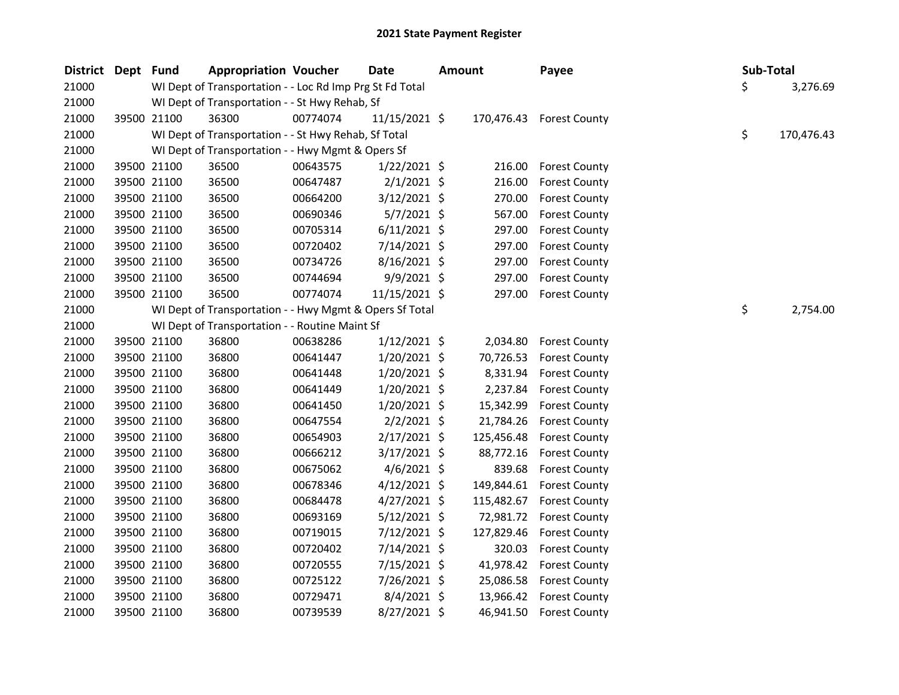| District Dept Fund |             | <b>Appropriation Voucher</b>                             |          | Date           | <b>Amount</b> |            | Payee                       |    | Sub-Total  |
|--------------------|-------------|----------------------------------------------------------|----------|----------------|---------------|------------|-----------------------------|----|------------|
| 21000              |             | WI Dept of Transportation - - Loc Rd Imp Prg St Fd Total |          |                |               |            |                             | \$ | 3,276.69   |
| 21000              |             | WI Dept of Transportation - - St Hwy Rehab, Sf           |          |                |               |            |                             |    |            |
| 21000              | 39500 21100 | 36300                                                    | 00774074 | 11/15/2021 \$  |               |            | 170,476.43    Forest County |    |            |
| 21000              |             | WI Dept of Transportation - - St Hwy Rehab, Sf Total     |          |                |               |            |                             | \$ | 170,476.43 |
| 21000              |             | WI Dept of Transportation - - Hwy Mgmt & Opers Sf        |          |                |               |            |                             |    |            |
| 21000              | 39500 21100 | 36500                                                    | 00643575 | $1/22/2021$ \$ |               | 216.00     | <b>Forest County</b>        |    |            |
| 21000              | 39500 21100 | 36500                                                    | 00647487 | $2/1/2021$ \$  |               | 216.00     | <b>Forest County</b>        |    |            |
| 21000              | 39500 21100 | 36500                                                    | 00664200 | $3/12/2021$ \$ |               | 270.00     | <b>Forest County</b>        |    |            |
| 21000              | 39500 21100 | 36500                                                    | 00690346 | $5/7/2021$ \$  |               | 567.00     | <b>Forest County</b>        |    |            |
| 21000              | 39500 21100 | 36500                                                    | 00705314 | $6/11/2021$ \$ |               | 297.00     | <b>Forest County</b>        |    |            |
| 21000              | 39500 21100 | 36500                                                    | 00720402 | $7/14/2021$ \$ |               | 297.00     | <b>Forest County</b>        |    |            |
| 21000              | 39500 21100 | 36500                                                    | 00734726 | $8/16/2021$ \$ |               | 297.00     | <b>Forest County</b>        |    |            |
| 21000              | 39500 21100 | 36500                                                    | 00744694 | $9/9/2021$ \$  |               | 297.00     | <b>Forest County</b>        |    |            |
| 21000              | 39500 21100 | 36500                                                    | 00774074 | 11/15/2021 \$  |               | 297.00     | <b>Forest County</b>        |    |            |
| 21000              |             | WI Dept of Transportation - - Hwy Mgmt & Opers Sf Total  |          |                |               |            |                             | \$ | 2,754.00   |
| 21000              |             | WI Dept of Transportation - - Routine Maint Sf           |          |                |               |            |                             |    |            |
| 21000              | 39500 21100 | 36800                                                    | 00638286 | $1/12/2021$ \$ |               | 2,034.80   | <b>Forest County</b>        |    |            |
| 21000              | 39500 21100 | 36800                                                    | 00641447 | $1/20/2021$ \$ |               | 70,726.53  | <b>Forest County</b>        |    |            |
| 21000              | 39500 21100 | 36800                                                    | 00641448 | $1/20/2021$ \$ |               | 8,331.94   | <b>Forest County</b>        |    |            |
| 21000              | 39500 21100 | 36800                                                    | 00641449 | $1/20/2021$ \$ |               | 2,237.84   | <b>Forest County</b>        |    |            |
| 21000              | 39500 21100 | 36800                                                    | 00641450 | $1/20/2021$ \$ |               | 15,342.99  | <b>Forest County</b>        |    |            |
| 21000              | 39500 21100 | 36800                                                    | 00647554 | $2/2/2021$ \$  |               | 21,784.26  | <b>Forest County</b>        |    |            |
| 21000              | 39500 21100 | 36800                                                    | 00654903 | 2/17/2021 \$   |               | 125,456.48 | <b>Forest County</b>        |    |            |
| 21000              | 39500 21100 | 36800                                                    | 00666212 | $3/17/2021$ \$ |               | 88,772.16  | <b>Forest County</b>        |    |            |
| 21000              | 39500 21100 | 36800                                                    | 00675062 | $4/6/2021$ \$  |               | 839.68     | <b>Forest County</b>        |    |            |
| 21000              | 39500 21100 | 36800                                                    | 00678346 | $4/12/2021$ \$ |               | 149,844.61 | <b>Forest County</b>        |    |            |
| 21000              | 39500 21100 | 36800                                                    | 00684478 | $4/27/2021$ \$ |               | 115,482.67 | <b>Forest County</b>        |    |            |
| 21000              | 39500 21100 | 36800                                                    | 00693169 | $5/12/2021$ \$ |               | 72,981.72  | <b>Forest County</b>        |    |            |
| 21000              | 39500 21100 | 36800                                                    | 00719015 | 7/12/2021 \$   |               | 127,829.46 | <b>Forest County</b>        |    |            |
| 21000              | 39500 21100 | 36800                                                    | 00720402 | 7/14/2021 \$   |               | 320.03     | <b>Forest County</b>        |    |            |
| 21000              | 39500 21100 | 36800                                                    | 00720555 | 7/15/2021 \$   |               | 41,978.42  | <b>Forest County</b>        |    |            |
| 21000              | 39500 21100 | 36800                                                    | 00725122 | 7/26/2021 \$   |               | 25,086.58  | <b>Forest County</b>        |    |            |
| 21000              | 39500 21100 | 36800                                                    | 00729471 | $8/4/2021$ \$  |               | 13,966.42  | <b>Forest County</b>        |    |            |
| 21000              | 39500 21100 | 36800                                                    | 00739539 | 8/27/2021 \$   |               | 46,941.50  | <b>Forest County</b>        |    |            |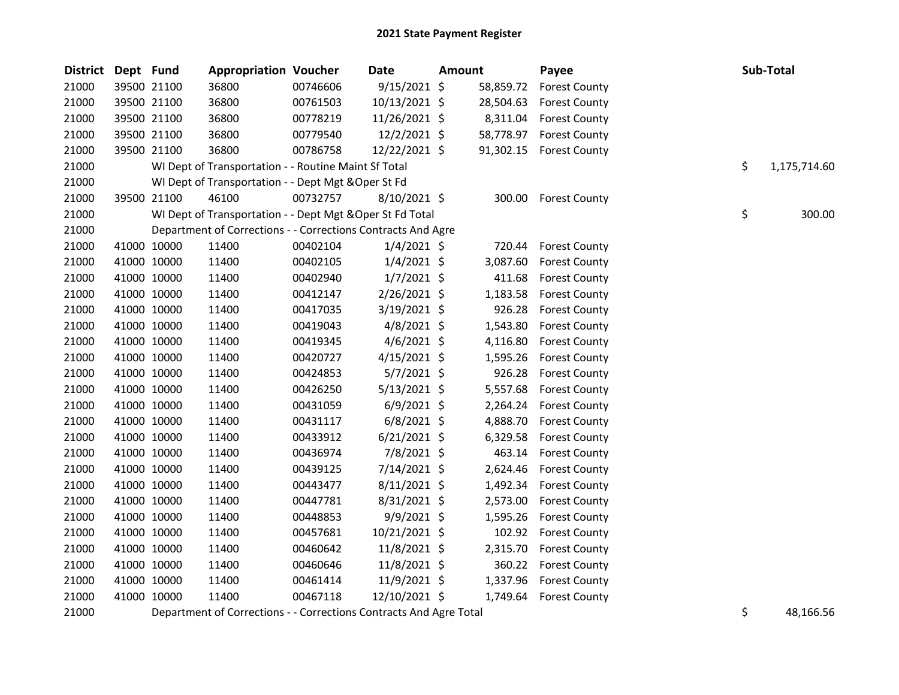| <b>District</b> | Dept Fund |             | <b>Appropriation Voucher</b>                                       |          | <b>Date</b>    | <b>Amount</b> |           | Payee                | Sub-Total |              |
|-----------------|-----------|-------------|--------------------------------------------------------------------|----------|----------------|---------------|-----------|----------------------|-----------|--------------|
| 21000           |           | 39500 21100 | 36800                                                              | 00746606 | 9/15/2021 \$   |               | 58,859.72 | <b>Forest County</b> |           |              |
| 21000           |           | 39500 21100 | 36800                                                              | 00761503 | 10/13/2021 \$  |               | 28,504.63 | <b>Forest County</b> |           |              |
| 21000           |           | 39500 21100 | 36800                                                              | 00778219 | 11/26/2021 \$  |               | 8,311.04  | <b>Forest County</b> |           |              |
| 21000           |           | 39500 21100 | 36800                                                              | 00779540 | 12/2/2021 \$   |               | 58,778.97 | <b>Forest County</b> |           |              |
| 21000           |           | 39500 21100 | 36800                                                              | 00786758 | 12/22/2021 \$  |               | 91,302.15 | <b>Forest County</b> |           |              |
| 21000           |           |             | WI Dept of Transportation - - Routine Maint Sf Total               |          |                |               |           |                      | \$        | 1,175,714.60 |
| 21000           |           |             | WI Dept of Transportation - - Dept Mgt & Oper St Fd                |          |                |               |           |                      |           |              |
| 21000           |           | 39500 21100 | 46100                                                              | 00732757 | $8/10/2021$ \$ |               | 300.00    | <b>Forest County</b> |           |              |
| 21000           |           |             | WI Dept of Transportation - - Dept Mgt & Oper St Fd Total          |          |                |               |           |                      | \$        | 300.00       |
| 21000           |           |             | Department of Corrections - - Corrections Contracts And Agre       |          |                |               |           |                      |           |              |
| 21000           |           | 41000 10000 | 11400                                                              | 00402104 | $1/4/2021$ \$  |               | 720.44    | <b>Forest County</b> |           |              |
| 21000           |           | 41000 10000 | 11400                                                              | 00402105 | 1/4/2021 \$    |               | 3,087.60  | <b>Forest County</b> |           |              |
| 21000           |           | 41000 10000 | 11400                                                              | 00402940 | $1/7/2021$ \$  |               | 411.68    | <b>Forest County</b> |           |              |
| 21000           |           | 41000 10000 | 11400                                                              | 00412147 | 2/26/2021 \$   |               | 1,183.58  | <b>Forest County</b> |           |              |
| 21000           |           | 41000 10000 | 11400                                                              | 00417035 | 3/19/2021 \$   |               | 926.28    | <b>Forest County</b> |           |              |
| 21000           |           | 41000 10000 | 11400                                                              | 00419043 | $4/8/2021$ \$  |               | 1,543.80  | <b>Forest County</b> |           |              |
| 21000           |           | 41000 10000 | 11400                                                              | 00419345 | 4/6/2021 \$    |               | 4,116.80  | <b>Forest County</b> |           |              |
| 21000           |           | 41000 10000 | 11400                                                              | 00420727 | $4/15/2021$ \$ |               | 1,595.26  | <b>Forest County</b> |           |              |
| 21000           |           | 41000 10000 | 11400                                                              | 00424853 | 5/7/2021 \$    |               | 926.28    | <b>Forest County</b> |           |              |
| 21000           |           | 41000 10000 | 11400                                                              | 00426250 | $5/13/2021$ \$ |               | 5,557.68  | <b>Forest County</b> |           |              |
| 21000           |           | 41000 10000 | 11400                                                              | 00431059 | $6/9/2021$ \$  |               | 2,264.24  | <b>Forest County</b> |           |              |
| 21000           |           | 41000 10000 | 11400                                                              | 00431117 | $6/8/2021$ \$  |               | 4,888.70  | <b>Forest County</b> |           |              |
| 21000           |           | 41000 10000 | 11400                                                              | 00433912 | $6/21/2021$ \$ |               | 6,329.58  | <b>Forest County</b> |           |              |
| 21000           |           | 41000 10000 | 11400                                                              | 00436974 | 7/8/2021 \$    |               | 463.14    | <b>Forest County</b> |           |              |
| 21000           |           | 41000 10000 | 11400                                                              | 00439125 | 7/14/2021 \$   |               | 2,624.46  | <b>Forest County</b> |           |              |
| 21000           |           | 41000 10000 | 11400                                                              | 00443477 | 8/11/2021 \$   |               | 1,492.34  | <b>Forest County</b> |           |              |
| 21000           |           | 41000 10000 | 11400                                                              | 00447781 | 8/31/2021 \$   |               | 2,573.00  | <b>Forest County</b> |           |              |
| 21000           |           | 41000 10000 | 11400                                                              | 00448853 | 9/9/2021 \$    |               | 1,595.26  | <b>Forest County</b> |           |              |
| 21000           |           | 41000 10000 | 11400                                                              | 00457681 | 10/21/2021 \$  |               | 102.92    | <b>Forest County</b> |           |              |
| 21000           |           | 41000 10000 | 11400                                                              | 00460642 | 11/8/2021 \$   |               | 2,315.70  | <b>Forest County</b> |           |              |
| 21000           |           | 41000 10000 | 11400                                                              | 00460646 | 11/8/2021 \$   |               | 360.22    | <b>Forest County</b> |           |              |
| 21000           |           | 41000 10000 | 11400                                                              | 00461414 | 11/9/2021 \$   |               | 1,337.96  | <b>Forest County</b> |           |              |
| 21000           |           | 41000 10000 | 11400                                                              | 00467118 | 12/10/2021 \$  |               | 1,749.64  | <b>Forest County</b> |           |              |
| 21000           |           |             | Department of Corrections - - Corrections Contracts And Agre Total |          |                |               |           |                      | \$        | 48,166.56    |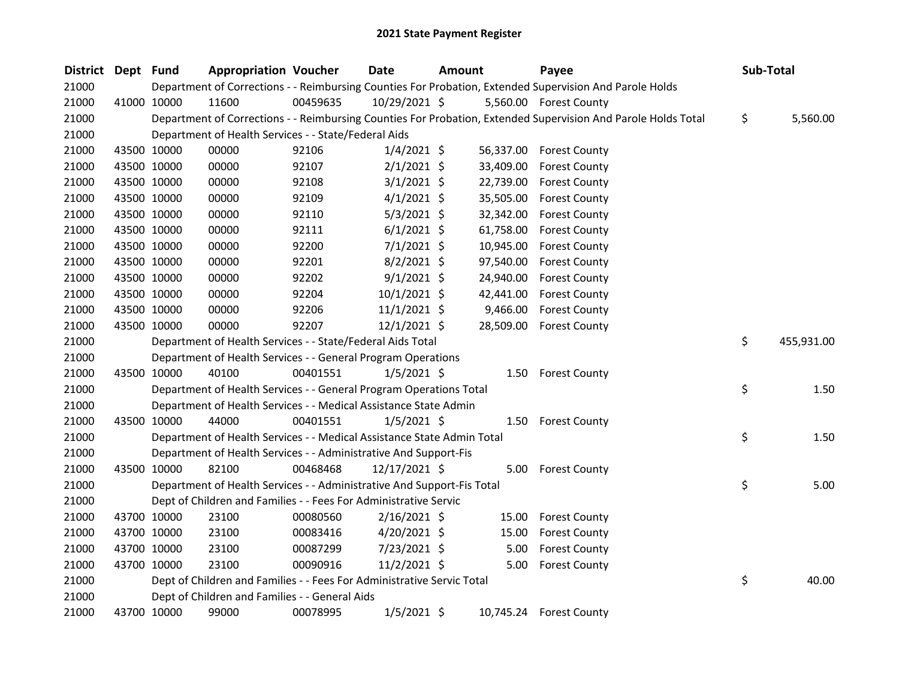| <b>District</b> | Dept Fund |             | <b>Appropriation Voucher</b>                                           |          | Date           | <b>Amount</b> |           | Payee                                                                                                         | Sub-Total        |
|-----------------|-----------|-------------|------------------------------------------------------------------------|----------|----------------|---------------|-----------|---------------------------------------------------------------------------------------------------------------|------------------|
| 21000           |           |             |                                                                        |          |                |               |           | Department of Corrections - - Reimbursing Counties For Probation, Extended Supervision And Parole Holds       |                  |
| 21000           |           | 41000 10000 | 11600                                                                  | 00459635 | 10/29/2021 \$  |               |           | 5,560.00 Forest County                                                                                        |                  |
| 21000           |           |             |                                                                        |          |                |               |           | Department of Corrections - - Reimbursing Counties For Probation, Extended Supervision And Parole Holds Total | \$<br>5,560.00   |
| 21000           |           |             | Department of Health Services - - State/Federal Aids                   |          |                |               |           |                                                                                                               |                  |
| 21000           |           | 43500 10000 | 00000                                                                  | 92106    | $1/4/2021$ \$  |               |           | 56,337.00 Forest County                                                                                       |                  |
| 21000           |           | 43500 10000 | 00000                                                                  | 92107    | $2/1/2021$ \$  |               | 33,409.00 | <b>Forest County</b>                                                                                          |                  |
| 21000           |           | 43500 10000 | 00000                                                                  | 92108    | $3/1/2021$ \$  |               | 22,739.00 | <b>Forest County</b>                                                                                          |                  |
| 21000           |           | 43500 10000 | 00000                                                                  | 92109    | $4/1/2021$ \$  |               | 35,505.00 | <b>Forest County</b>                                                                                          |                  |
| 21000           |           | 43500 10000 | 00000                                                                  | 92110    | $5/3/2021$ \$  |               | 32,342.00 | <b>Forest County</b>                                                                                          |                  |
| 21000           |           | 43500 10000 | 00000                                                                  | 92111    | $6/1/2021$ \$  |               | 61,758.00 | <b>Forest County</b>                                                                                          |                  |
| 21000           |           | 43500 10000 | 00000                                                                  | 92200    | $7/1/2021$ \$  |               | 10,945.00 | <b>Forest County</b>                                                                                          |                  |
| 21000           |           | 43500 10000 | 00000                                                                  | 92201    | $8/2/2021$ \$  |               | 97,540.00 | <b>Forest County</b>                                                                                          |                  |
| 21000           |           | 43500 10000 | 00000                                                                  | 92202    | $9/1/2021$ \$  |               | 24,940.00 | <b>Forest County</b>                                                                                          |                  |
| 21000           |           | 43500 10000 | 00000                                                                  | 92204    | $10/1/2021$ \$ |               | 42,441.00 | <b>Forest County</b>                                                                                          |                  |
| 21000           |           | 43500 10000 | 00000                                                                  | 92206    | $11/1/2021$ \$ |               | 9,466.00  | <b>Forest County</b>                                                                                          |                  |
| 21000           |           | 43500 10000 | 00000                                                                  | 92207    | $12/1/2021$ \$ |               | 28,509.00 | <b>Forest County</b>                                                                                          |                  |
| 21000           |           |             | Department of Health Services - - State/Federal Aids Total             |          |                |               |           |                                                                                                               | \$<br>455,931.00 |
| 21000           |           |             | Department of Health Services - - General Program Operations           |          |                |               |           |                                                                                                               |                  |
| 21000           |           | 43500 10000 | 40100                                                                  | 00401551 | $1/5/2021$ \$  |               | 1.50      | <b>Forest County</b>                                                                                          |                  |
| 21000           |           |             | Department of Health Services - - General Program Operations Total     |          |                |               |           |                                                                                                               | \$<br>1.50       |
| 21000           |           |             | Department of Health Services - - Medical Assistance State Admin       |          |                |               |           |                                                                                                               |                  |
| 21000           |           | 43500 10000 | 44000                                                                  | 00401551 | $1/5/2021$ \$  |               | 1.50      | <b>Forest County</b>                                                                                          |                  |
| 21000           |           |             | Department of Health Services - - Medical Assistance State Admin Total |          |                |               |           |                                                                                                               | \$<br>1.50       |
| 21000           |           |             | Department of Health Services - - Administrative And Support-Fis       |          |                |               |           |                                                                                                               |                  |
| 21000           |           | 43500 10000 | 82100                                                                  | 00468468 | 12/17/2021 \$  |               | 5.00      | <b>Forest County</b>                                                                                          |                  |
| 21000           |           |             | Department of Health Services - - Administrative And Support-Fis Total |          |                |               |           |                                                                                                               | \$<br>5.00       |
| 21000           |           |             | Dept of Children and Families - - Fees For Administrative Servic       |          |                |               |           |                                                                                                               |                  |
| 21000           |           | 43700 10000 | 23100                                                                  | 00080560 | $2/16/2021$ \$ |               | 15.00     | <b>Forest County</b>                                                                                          |                  |
| 21000           |           | 43700 10000 | 23100                                                                  | 00083416 | $4/20/2021$ \$ |               | 15.00     | <b>Forest County</b>                                                                                          |                  |
| 21000           |           | 43700 10000 | 23100                                                                  | 00087299 | 7/23/2021 \$   |               | 5.00      | <b>Forest County</b>                                                                                          |                  |
| 21000           |           | 43700 10000 | 23100                                                                  | 00090916 | $11/2/2021$ \$ |               | 5.00      | <b>Forest County</b>                                                                                          |                  |
| 21000           |           |             | Dept of Children and Families - - Fees For Administrative Servic Total |          |                |               |           |                                                                                                               | \$<br>40.00      |
| 21000           |           |             | Dept of Children and Families - - General Aids                         |          |                |               |           |                                                                                                               |                  |
| 21000           |           | 43700 10000 | 99000                                                                  | 00078995 | $1/5/2021$ \$  |               |           | 10,745.24 Forest County                                                                                       |                  |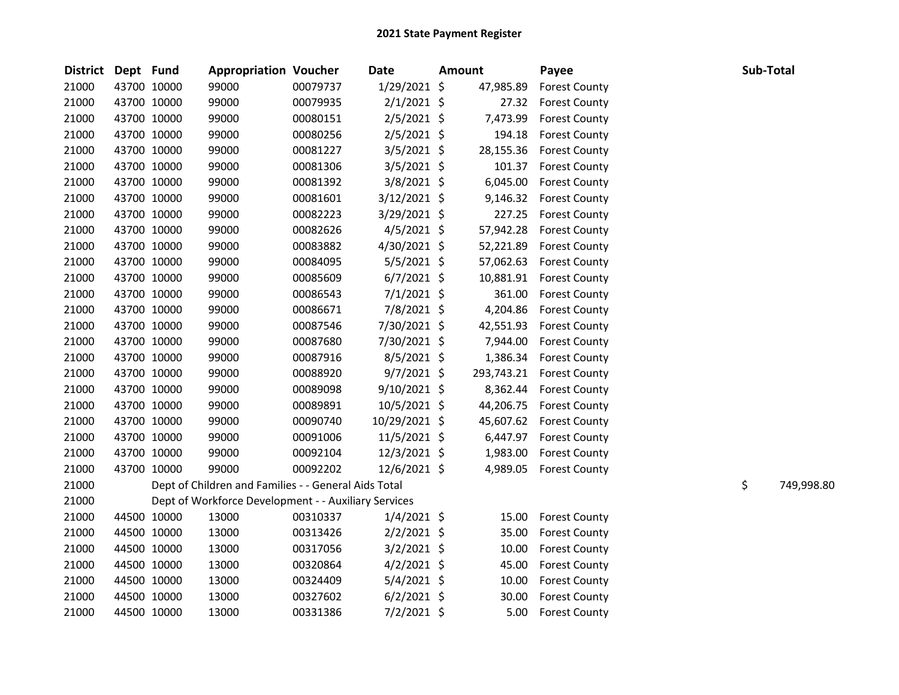| District Dept Fund |             | <b>Appropriation Voucher</b>                         |          | <b>Date</b>    | <b>Amount</b> |            | Payee                   | Sub-Total |            |
|--------------------|-------------|------------------------------------------------------|----------|----------------|---------------|------------|-------------------------|-----------|------------|
| 21000              | 43700 10000 | 99000                                                | 00079737 | 1/29/2021 \$   |               | 47,985.89  | <b>Forest County</b>    |           |            |
| 21000              | 43700 10000 | 99000                                                | 00079935 | $2/1/2021$ \$  |               | 27.32      | <b>Forest County</b>    |           |            |
| 21000              | 43700 10000 | 99000                                                | 00080151 | $2/5/2021$ \$  |               | 7,473.99   | <b>Forest County</b>    |           |            |
| 21000              | 43700 10000 | 99000                                                | 00080256 | 2/5/2021 \$    |               | 194.18     | <b>Forest County</b>    |           |            |
| 21000              | 43700 10000 | 99000                                                | 00081227 | $3/5/2021$ \$  |               | 28,155.36  | <b>Forest County</b>    |           |            |
| 21000              | 43700 10000 | 99000                                                | 00081306 | $3/5/2021$ \$  |               |            | 101.37 Forest County    |           |            |
| 21000              | 43700 10000 | 99000                                                | 00081392 | 3/8/2021 \$    |               | 6,045.00   | <b>Forest County</b>    |           |            |
| 21000              | 43700 10000 | 99000                                                | 00081601 | $3/12/2021$ \$ |               | 9,146.32   | <b>Forest County</b>    |           |            |
| 21000              | 43700 10000 | 99000                                                | 00082223 | 3/29/2021 \$   |               | 227.25     | <b>Forest County</b>    |           |            |
| 21000              | 43700 10000 | 99000                                                | 00082626 | $4/5/2021$ \$  |               | 57,942.28  | <b>Forest County</b>    |           |            |
| 21000              | 43700 10000 | 99000                                                | 00083882 | 4/30/2021 \$   |               | 52,221.89  | <b>Forest County</b>    |           |            |
| 21000              | 43700 10000 | 99000                                                | 00084095 | $5/5/2021$ \$  |               | 57,062.63  | <b>Forest County</b>    |           |            |
| 21000              | 43700 10000 | 99000                                                | 00085609 | $6/7/2021$ \$  |               | 10,881.91  | <b>Forest County</b>    |           |            |
| 21000              | 43700 10000 | 99000                                                | 00086543 | $7/1/2021$ \$  |               | 361.00     | <b>Forest County</b>    |           |            |
| 21000              | 43700 10000 | 99000                                                | 00086671 | 7/8/2021 \$    |               | 4,204.86   | <b>Forest County</b>    |           |            |
| 21000              | 43700 10000 | 99000                                                | 00087546 | 7/30/2021 \$   |               | 42,551.93  | <b>Forest County</b>    |           |            |
| 21000              | 43700 10000 | 99000                                                | 00087680 | 7/30/2021 \$   |               | 7,944.00   | <b>Forest County</b>    |           |            |
| 21000              | 43700 10000 | 99000                                                | 00087916 | $8/5/2021$ \$  |               | 1,386.34   | <b>Forest County</b>    |           |            |
| 21000              | 43700 10000 | 99000                                                | 00088920 | $9/7/2021$ \$  |               | 293,743.21 | <b>Forest County</b>    |           |            |
| 21000              | 43700 10000 | 99000                                                | 00089098 | 9/10/2021 \$   |               | 8,362.44   | <b>Forest County</b>    |           |            |
| 21000              | 43700 10000 | 99000                                                | 00089891 | 10/5/2021 \$   |               | 44,206.75  | <b>Forest County</b>    |           |            |
| 21000              | 43700 10000 | 99000                                                | 00090740 | 10/29/2021 \$  |               |            | 45,607.62 Forest County |           |            |
| 21000              | 43700 10000 | 99000                                                | 00091006 | 11/5/2021 \$   |               |            | 6,447.97 Forest County  |           |            |
| 21000              | 43700 10000 | 99000                                                | 00092104 | 12/3/2021 \$   |               | 1,983.00   | <b>Forest County</b>    |           |            |
| 21000              | 43700 10000 | 99000                                                | 00092202 | 12/6/2021 \$   |               | 4,989.05   | <b>Forest County</b>    |           |            |
| 21000              |             | Dept of Children and Families - - General Aids Total |          |                |               |            |                         | \$        | 749,998.80 |
| 21000              |             | Dept of Workforce Development - - Auxiliary Services |          |                |               |            |                         |           |            |
| 21000              | 44500 10000 | 13000                                                | 00310337 | $1/4/2021$ \$  |               | 15.00      | <b>Forest County</b>    |           |            |
| 21000              | 44500 10000 | 13000                                                | 00313426 | $2/2/2021$ \$  |               | 35.00      | <b>Forest County</b>    |           |            |
| 21000              | 44500 10000 | 13000                                                | 00317056 | $3/2/2021$ \$  |               | 10.00      | <b>Forest County</b>    |           |            |
| 21000              | 44500 10000 | 13000                                                | 00320864 | $4/2/2021$ \$  |               | 45.00      | <b>Forest County</b>    |           |            |
| 21000              | 44500 10000 | 13000                                                | 00324409 | $5/4/2021$ \$  |               | 10.00      | <b>Forest County</b>    |           |            |
| 21000              | 44500 10000 | 13000                                                | 00327602 | $6/2/2021$ \$  |               | 30.00      | <b>Forest County</b>    |           |            |
| 21000              | 44500 10000 | 13000                                                | 00331386 | $7/2/2021$ \$  |               | 5.00       | <b>Forest County</b>    |           |            |
|                    |             |                                                      |          |                |               |            |                         |           |            |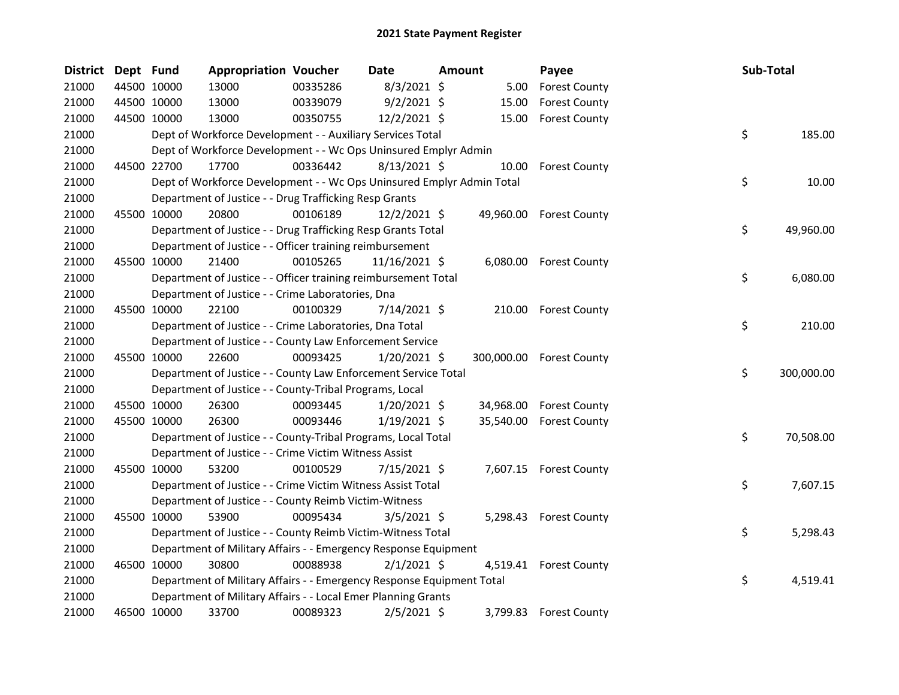| <b>District</b> | Dept Fund |             | <b>Appropriation Voucher</b>                                          |          | Date           | Amount |           | Payee                    | Sub-Total |            |
|-----------------|-----------|-------------|-----------------------------------------------------------------------|----------|----------------|--------|-----------|--------------------------|-----------|------------|
| 21000           |           | 44500 10000 | 13000                                                                 | 00335286 | $8/3/2021$ \$  |        | 5.00      | <b>Forest County</b>     |           |            |
| 21000           |           | 44500 10000 | 13000                                                                 | 00339079 | $9/2/2021$ \$  |        | 15.00     | <b>Forest County</b>     |           |            |
| 21000           |           | 44500 10000 | 13000                                                                 | 00350755 | 12/2/2021 \$   |        | 15.00     | <b>Forest County</b>     |           |            |
| 21000           |           |             | Dept of Workforce Development - - Auxiliary Services Total            |          |                |        |           |                          | \$        | 185.00     |
| 21000           |           |             | Dept of Workforce Development - - Wc Ops Uninsured Emplyr Admin       |          |                |        |           |                          |           |            |
| 21000           |           | 44500 22700 | 17700                                                                 | 00336442 | $8/13/2021$ \$ |        | 10.00     | <b>Forest County</b>     |           |            |
| 21000           |           |             | Dept of Workforce Development - - Wc Ops Uninsured Emplyr Admin Total |          |                |        |           |                          | \$        | 10.00      |
| 21000           |           |             | Department of Justice - - Drug Trafficking Resp Grants                |          |                |        |           |                          |           |            |
| 21000           |           | 45500 10000 | 20800                                                                 | 00106189 | $12/2/2021$ \$ |        | 49,960.00 | <b>Forest County</b>     |           |            |
| 21000           |           |             | Department of Justice - - Drug Trafficking Resp Grants Total          |          |                |        |           |                          | \$        | 49,960.00  |
| 21000           |           |             | Department of Justice - - Officer training reimbursement              |          |                |        |           |                          |           |            |
| 21000           |           | 45500 10000 | 21400                                                                 | 00105265 | 11/16/2021 \$  |        |           | 6,080.00 Forest County   |           |            |
| 21000           |           |             | Department of Justice - - Officer training reimbursement Total        |          |                |        |           |                          | \$        | 6,080.00   |
| 21000           |           |             | Department of Justice - - Crime Laboratories, Dna                     |          |                |        |           |                          |           |            |
| 21000           |           | 45500 10000 | 22100                                                                 | 00100329 | $7/14/2021$ \$ |        |           | 210.00 Forest County     |           |            |
| 21000           |           |             | Department of Justice - - Crime Laboratories, Dna Total               |          |                |        |           |                          | \$        | 210.00     |
| 21000           |           |             | Department of Justice - - County Law Enforcement Service              |          |                |        |           |                          |           |            |
| 21000           |           | 45500 10000 | 22600                                                                 | 00093425 | $1/20/2021$ \$ |        |           | 300,000.00 Forest County |           |            |
| 21000           |           |             | Department of Justice - - County Law Enforcement Service Total        |          |                |        |           |                          | \$        | 300,000.00 |
| 21000           |           |             | Department of Justice - - County-Tribal Programs, Local               |          |                |        |           |                          |           |            |
| 21000           |           | 45500 10000 | 26300                                                                 | 00093445 | $1/20/2021$ \$ |        | 34,968.00 | <b>Forest County</b>     |           |            |
| 21000           |           | 45500 10000 | 26300                                                                 | 00093446 | $1/19/2021$ \$ |        | 35,540.00 | <b>Forest County</b>     |           |            |
| 21000           |           |             | Department of Justice - - County-Tribal Programs, Local Total         |          |                |        |           |                          | \$        | 70,508.00  |
| 21000           |           |             | Department of Justice - - Crime Victim Witness Assist                 |          |                |        |           |                          |           |            |
| 21000           |           | 45500 10000 | 53200                                                                 | 00100529 | $7/15/2021$ \$ |        |           | 7,607.15 Forest County   |           |            |
| 21000           |           |             | Department of Justice - - Crime Victim Witness Assist Total           |          |                |        |           |                          | \$        | 7,607.15   |
| 21000           |           |             | Department of Justice - - County Reimb Victim-Witness                 |          |                |        |           |                          |           |            |
| 21000           |           | 45500 10000 | 53900                                                                 | 00095434 | $3/5/2021$ \$  |        |           | 5,298.43 Forest County   |           |            |
| 21000           |           |             | Department of Justice - - County Reimb Victim-Witness Total           |          |                |        |           |                          | \$        | 5,298.43   |
| 21000           |           |             | Department of Military Affairs - - Emergency Response Equipment       |          |                |        |           |                          |           |            |
| 21000           |           | 46500 10000 | 30800                                                                 | 00088938 | $2/1/2021$ \$  |        | 4,519.41  | <b>Forest County</b>     |           |            |
| 21000           |           |             | Department of Military Affairs - - Emergency Response Equipment Total |          |                |        |           |                          | \$        | 4,519.41   |
| 21000           |           |             | Department of Military Affairs - - Local Emer Planning Grants         |          |                |        |           |                          |           |            |
| 21000           |           | 46500 10000 | 33700                                                                 | 00089323 | $2/5/2021$ \$  |        | 3,799.83  | <b>Forest County</b>     |           |            |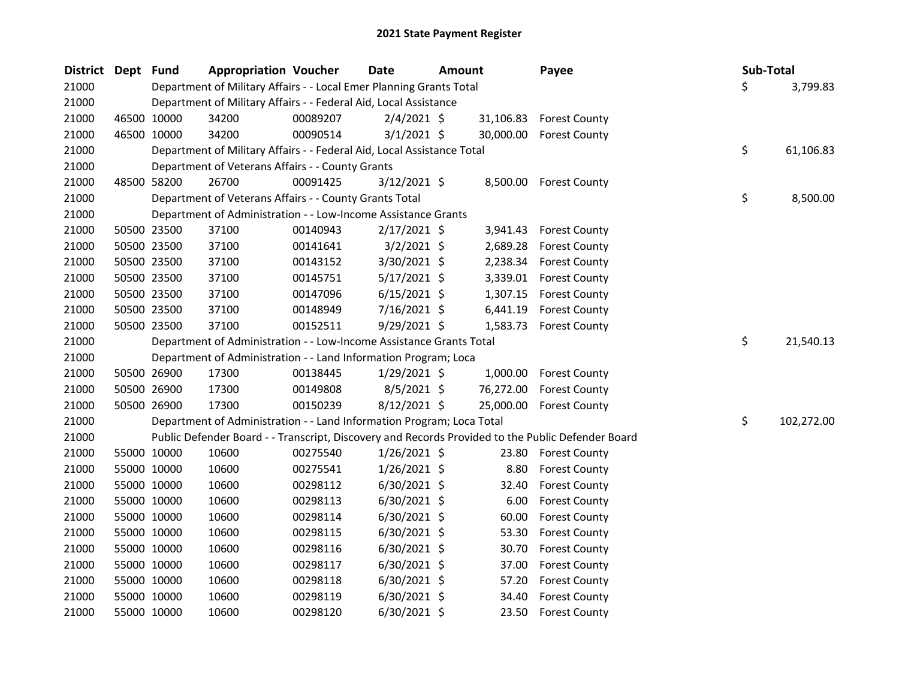| <b>District</b> | Dept Fund |             | <b>Appropriation Voucher</b>                                           |          | <b>Date</b>    | <b>Amount</b> |           | Payee                                                                                             | Sub-Total        |
|-----------------|-----------|-------------|------------------------------------------------------------------------|----------|----------------|---------------|-----------|---------------------------------------------------------------------------------------------------|------------------|
| 21000           |           |             | Department of Military Affairs - - Local Emer Planning Grants Total    |          |                |               |           |                                                                                                   | \$<br>3,799.83   |
| 21000           |           |             | Department of Military Affairs - - Federal Aid, Local Assistance       |          |                |               |           |                                                                                                   |                  |
| 21000           |           | 46500 10000 | 34200                                                                  | 00089207 | $2/4/2021$ \$  |               |           | 31,106.83 Forest County                                                                           |                  |
| 21000           |           | 46500 10000 | 34200                                                                  | 00090514 | $3/1/2021$ \$  |               | 30,000.00 | <b>Forest County</b>                                                                              |                  |
| 21000           |           |             | Department of Military Affairs - - Federal Aid, Local Assistance Total |          |                |               |           |                                                                                                   | \$<br>61,106.83  |
| 21000           |           |             | Department of Veterans Affairs - - County Grants                       |          |                |               |           |                                                                                                   |                  |
| 21000           |           | 48500 58200 | 26700                                                                  | 00091425 | $3/12/2021$ \$ |               |           | 8,500.00 Forest County                                                                            |                  |
| 21000           |           |             | Department of Veterans Affairs - - County Grants Total                 |          |                |               |           |                                                                                                   | \$<br>8,500.00   |
| 21000           |           |             | Department of Administration - - Low-Income Assistance Grants          |          |                |               |           |                                                                                                   |                  |
| 21000           |           | 50500 23500 | 37100                                                                  | 00140943 | $2/17/2021$ \$ |               | 3,941.43  | <b>Forest County</b>                                                                              |                  |
| 21000           |           | 50500 23500 | 37100                                                                  | 00141641 | $3/2/2021$ \$  |               | 2,689.28  | <b>Forest County</b>                                                                              |                  |
| 21000           |           | 50500 23500 | 37100                                                                  | 00143152 | 3/30/2021 \$   |               | 2,238.34  | <b>Forest County</b>                                                                              |                  |
| 21000           |           | 50500 23500 | 37100                                                                  | 00145751 | $5/17/2021$ \$ |               | 3,339.01  | <b>Forest County</b>                                                                              |                  |
| 21000           |           | 50500 23500 | 37100                                                                  | 00147096 | $6/15/2021$ \$ |               | 1,307.15  | <b>Forest County</b>                                                                              |                  |
| 21000           |           | 50500 23500 | 37100                                                                  | 00148949 | 7/16/2021 \$   |               | 6,441.19  | <b>Forest County</b>                                                                              |                  |
| 21000           |           | 50500 23500 | 37100                                                                  | 00152511 | $9/29/2021$ \$ |               | 1,583.73  | <b>Forest County</b>                                                                              |                  |
| 21000           |           |             | Department of Administration - - Low-Income Assistance Grants Total    |          |                |               |           |                                                                                                   | \$<br>21,540.13  |
| 21000           |           |             | Department of Administration - - Land Information Program; Loca        |          |                |               |           |                                                                                                   |                  |
| 21000           |           | 50500 26900 | 17300                                                                  | 00138445 | $1/29/2021$ \$ |               | 1,000.00  | <b>Forest County</b>                                                                              |                  |
| 21000           |           | 50500 26900 | 17300                                                                  | 00149808 | 8/5/2021 \$    |               | 76,272.00 | <b>Forest County</b>                                                                              |                  |
| 21000           |           | 50500 26900 | 17300                                                                  | 00150239 | 8/12/2021 \$   |               | 25,000.00 | <b>Forest County</b>                                                                              |                  |
| 21000           |           |             | Department of Administration - - Land Information Program; Loca Total  |          |                |               |           |                                                                                                   | \$<br>102,272.00 |
| 21000           |           |             |                                                                        |          |                |               |           | Public Defender Board - - Transcript, Discovery and Records Provided to the Public Defender Board |                  |
| 21000           |           | 55000 10000 | 10600                                                                  | 00275540 | $1/26/2021$ \$ |               | 23.80     | <b>Forest County</b>                                                                              |                  |
| 21000           |           | 55000 10000 | 10600                                                                  | 00275541 | $1/26/2021$ \$ |               | 8.80      | <b>Forest County</b>                                                                              |                  |
| 21000           |           | 55000 10000 | 10600                                                                  | 00298112 | $6/30/2021$ \$ |               | 32.40     | <b>Forest County</b>                                                                              |                  |
| 21000           |           | 55000 10000 | 10600                                                                  | 00298113 | $6/30/2021$ \$ |               | 6.00      | <b>Forest County</b>                                                                              |                  |
| 21000           |           | 55000 10000 | 10600                                                                  | 00298114 | $6/30/2021$ \$ |               | 60.00     | <b>Forest County</b>                                                                              |                  |
| 21000           |           | 55000 10000 | 10600                                                                  | 00298115 | $6/30/2021$ \$ |               | 53.30     | <b>Forest County</b>                                                                              |                  |
| 21000           |           | 55000 10000 | 10600                                                                  | 00298116 | 6/30/2021 \$   |               | 30.70     | <b>Forest County</b>                                                                              |                  |
| 21000           |           | 55000 10000 | 10600                                                                  | 00298117 | 6/30/2021 \$   |               | 37.00     | <b>Forest County</b>                                                                              |                  |
| 21000           |           | 55000 10000 | 10600                                                                  | 00298118 | $6/30/2021$ \$ |               | 57.20     | <b>Forest County</b>                                                                              |                  |
| 21000           |           | 55000 10000 | 10600                                                                  | 00298119 | $6/30/2021$ \$ |               | 34.40     | <b>Forest County</b>                                                                              |                  |
| 21000           |           | 55000 10000 | 10600                                                                  | 00298120 | 6/30/2021 \$   |               | 23.50     | <b>Forest County</b>                                                                              |                  |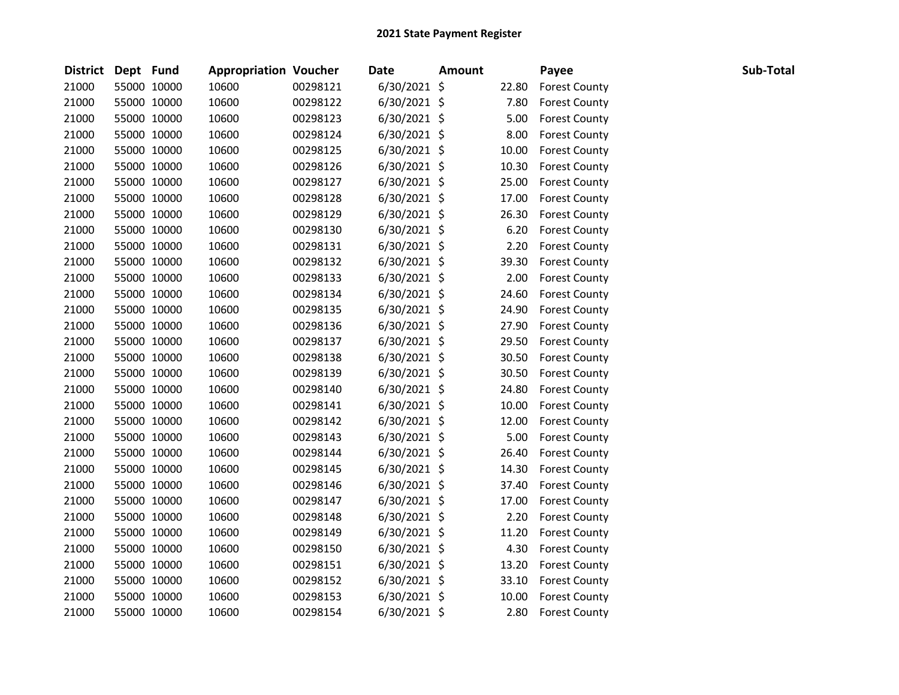| <b>District</b> | Dept Fund |             | <b>Appropriation Voucher</b> |          | <b>Date</b>    | <b>Amount</b> |       | Payee                | Sub-Total |
|-----------------|-----------|-------------|------------------------------|----------|----------------|---------------|-------|----------------------|-----------|
| 21000           |           | 55000 10000 | 10600                        | 00298121 | 6/30/2021 \$   |               | 22.80 | <b>Forest County</b> |           |
| 21000           |           | 55000 10000 | 10600                        | 00298122 | $6/30/2021$ \$ |               | 7.80  | <b>Forest County</b> |           |
| 21000           |           | 55000 10000 | 10600                        | 00298123 | $6/30/2021$ \$ |               | 5.00  | <b>Forest County</b> |           |
| 21000           |           | 55000 10000 | 10600                        | 00298124 | $6/30/2021$ \$ |               | 8.00  | <b>Forest County</b> |           |
| 21000           |           | 55000 10000 | 10600                        | 00298125 | $6/30/2021$ \$ |               | 10.00 | <b>Forest County</b> |           |
| 21000           |           | 55000 10000 | 10600                        | 00298126 | 6/30/2021 \$   |               | 10.30 | <b>Forest County</b> |           |
| 21000           |           | 55000 10000 | 10600                        | 00298127 | $6/30/2021$ \$ |               | 25.00 | <b>Forest County</b> |           |
| 21000           |           | 55000 10000 | 10600                        | 00298128 | $6/30/2021$ \$ |               | 17.00 | <b>Forest County</b> |           |
| 21000           |           | 55000 10000 | 10600                        | 00298129 | $6/30/2021$ \$ |               | 26.30 | <b>Forest County</b> |           |
| 21000           |           | 55000 10000 | 10600                        | 00298130 | 6/30/2021 \$   |               | 6.20  | <b>Forest County</b> |           |
| 21000           |           | 55000 10000 | 10600                        | 00298131 | $6/30/2021$ \$ |               | 2.20  | <b>Forest County</b> |           |
| 21000           |           | 55000 10000 | 10600                        | 00298132 | $6/30/2021$ \$ |               | 39.30 | <b>Forest County</b> |           |
| 21000           |           | 55000 10000 | 10600                        | 00298133 | $6/30/2021$ \$ |               | 2.00  | <b>Forest County</b> |           |
| 21000           |           | 55000 10000 | 10600                        | 00298134 | $6/30/2021$ \$ |               | 24.60 | <b>Forest County</b> |           |
| 21000           |           | 55000 10000 | 10600                        | 00298135 | 6/30/2021 \$   |               | 24.90 | <b>Forest County</b> |           |
| 21000           |           | 55000 10000 | 10600                        | 00298136 | $6/30/2021$ \$ |               | 27.90 | <b>Forest County</b> |           |
| 21000           |           | 55000 10000 | 10600                        | 00298137 | 6/30/2021 \$   |               | 29.50 | <b>Forest County</b> |           |
| 21000           |           | 55000 10000 | 10600                        | 00298138 | $6/30/2021$ \$ |               | 30.50 | <b>Forest County</b> |           |
| 21000           |           | 55000 10000 | 10600                        | 00298139 | 6/30/2021 \$   |               | 30.50 | <b>Forest County</b> |           |
| 21000           |           | 55000 10000 | 10600                        | 00298140 | $6/30/2021$ \$ |               | 24.80 | <b>Forest County</b> |           |
| 21000           |           | 55000 10000 | 10600                        | 00298141 | $6/30/2021$ \$ |               | 10.00 | <b>Forest County</b> |           |
| 21000           |           | 55000 10000 | 10600                        | 00298142 | $6/30/2021$ \$ |               | 12.00 | <b>Forest County</b> |           |
| 21000           |           | 55000 10000 | 10600                        | 00298143 | $6/30/2021$ \$ |               | 5.00  | <b>Forest County</b> |           |
| 21000           |           | 55000 10000 | 10600                        | 00298144 | $6/30/2021$ \$ |               | 26.40 | <b>Forest County</b> |           |
| 21000           |           | 55000 10000 | 10600                        | 00298145 | 6/30/2021 \$   |               | 14.30 | <b>Forest County</b> |           |
| 21000           |           | 55000 10000 | 10600                        | 00298146 | $6/30/2021$ \$ |               | 37.40 | <b>Forest County</b> |           |
| 21000           |           | 55000 10000 | 10600                        | 00298147 | $6/30/2021$ \$ |               | 17.00 | <b>Forest County</b> |           |
| 21000           |           | 55000 10000 | 10600                        | 00298148 | $6/30/2021$ \$ |               | 2.20  | <b>Forest County</b> |           |
| 21000           |           | 55000 10000 | 10600                        | 00298149 | 6/30/2021 \$   |               | 11.20 | <b>Forest County</b> |           |
| 21000           |           | 55000 10000 | 10600                        | 00298150 | $6/30/2021$ \$ |               | 4.30  | <b>Forest County</b> |           |
| 21000           |           | 55000 10000 | 10600                        | 00298151 | $6/30/2021$ \$ |               | 13.20 | <b>Forest County</b> |           |
| 21000           |           | 55000 10000 | 10600                        | 00298152 | $6/30/2021$ \$ |               | 33.10 | <b>Forest County</b> |           |
| 21000           |           | 55000 10000 | 10600                        | 00298153 | $6/30/2021$ \$ |               | 10.00 | <b>Forest County</b> |           |
| 21000           |           | 55000 10000 | 10600                        | 00298154 | 6/30/2021 \$   |               | 2.80  | <b>Forest County</b> |           |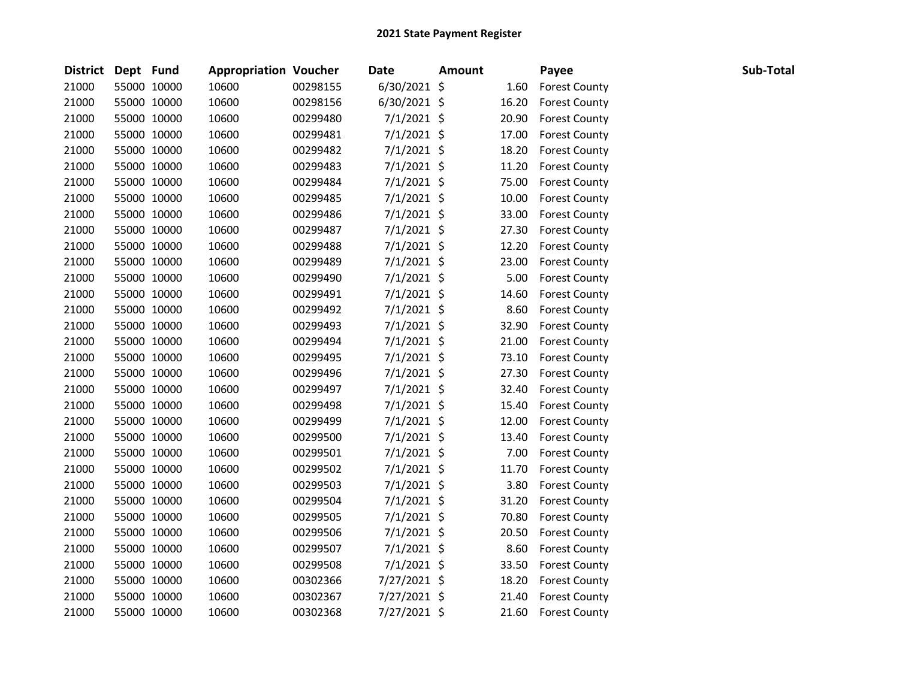| District Dept Fund |             | <b>Appropriation Voucher</b> |          | <b>Date</b>    | <b>Amount</b> |       | Payee                | Sub-Total |
|--------------------|-------------|------------------------------|----------|----------------|---------------|-------|----------------------|-----------|
| 21000              | 55000 10000 | 10600                        | 00298155 | $6/30/2021$ \$ |               | 1.60  | <b>Forest County</b> |           |
| 21000              | 55000 10000 | 10600                        | 00298156 | $6/30/2021$ \$ |               | 16.20 | <b>Forest County</b> |           |
| 21000              | 55000 10000 | 10600                        | 00299480 | $7/1/2021$ \$  |               | 20.90 | <b>Forest County</b> |           |
| 21000              | 55000 10000 | 10600                        | 00299481 | $7/1/2021$ \$  |               | 17.00 | <b>Forest County</b> |           |
| 21000              | 55000 10000 | 10600                        | 00299482 | $7/1/2021$ \$  |               | 18.20 | <b>Forest County</b> |           |
| 21000              | 55000 10000 | 10600                        | 00299483 | $7/1/2021$ \$  |               | 11.20 | <b>Forest County</b> |           |
| 21000              | 55000 10000 | 10600                        | 00299484 | $7/1/2021$ \$  |               | 75.00 | <b>Forest County</b> |           |
| 21000              | 55000 10000 | 10600                        | 00299485 | $7/1/2021$ \$  |               | 10.00 | <b>Forest County</b> |           |
| 21000              | 55000 10000 | 10600                        | 00299486 | $7/1/2021$ \$  |               | 33.00 | <b>Forest County</b> |           |
| 21000              | 55000 10000 | 10600                        | 00299487 | $7/1/2021$ \$  |               | 27.30 | <b>Forest County</b> |           |
| 21000              | 55000 10000 | 10600                        | 00299488 | 7/1/2021 \$    |               | 12.20 | <b>Forest County</b> |           |
| 21000              | 55000 10000 | 10600                        | 00299489 | 7/1/2021 \$    |               | 23.00 | <b>Forest County</b> |           |
| 21000              | 55000 10000 | 10600                        | 00299490 | $7/1/2021$ \$  |               | 5.00  | <b>Forest County</b> |           |
| 21000              | 55000 10000 | 10600                        | 00299491 | $7/1/2021$ \$  |               | 14.60 | <b>Forest County</b> |           |
| 21000              | 55000 10000 | 10600                        | 00299492 | $7/1/2021$ \$  |               | 8.60  | <b>Forest County</b> |           |
| 21000              | 55000 10000 | 10600                        | 00299493 | $7/1/2021$ \$  |               | 32.90 | <b>Forest County</b> |           |
| 21000              | 55000 10000 | 10600                        | 00299494 | 7/1/2021 \$    |               | 21.00 | <b>Forest County</b> |           |
| 21000              | 55000 10000 | 10600                        | 00299495 | 7/1/2021 \$    |               | 73.10 | <b>Forest County</b> |           |
| 21000              | 55000 10000 | 10600                        | 00299496 | $7/1/2021$ \$  |               | 27.30 | <b>Forest County</b> |           |
| 21000              | 55000 10000 | 10600                        | 00299497 | $7/1/2021$ \$  |               | 32.40 | <b>Forest County</b> |           |
| 21000              | 55000 10000 | 10600                        | 00299498 | 7/1/2021 \$    |               | 15.40 | <b>Forest County</b> |           |
| 21000              | 55000 10000 | 10600                        | 00299499 | $7/1/2021$ \$  |               | 12.00 | <b>Forest County</b> |           |
| 21000              | 55000 10000 | 10600                        | 00299500 | $7/1/2021$ \$  |               | 13.40 | <b>Forest County</b> |           |
| 21000              | 55000 10000 | 10600                        | 00299501 | $7/1/2021$ \$  |               | 7.00  | <b>Forest County</b> |           |
| 21000              | 55000 10000 | 10600                        | 00299502 | 7/1/2021 \$    |               | 11.70 | <b>Forest County</b> |           |
| 21000              | 55000 10000 | 10600                        | 00299503 | $7/1/2021$ \$  |               | 3.80  | <b>Forest County</b> |           |
| 21000              | 55000 10000 | 10600                        | 00299504 | $7/1/2021$ \$  |               | 31.20 | <b>Forest County</b> |           |
| 21000              | 55000 10000 | 10600                        | 00299505 | 7/1/2021 \$    |               | 70.80 | <b>Forest County</b> |           |
| 21000              | 55000 10000 | 10600                        | 00299506 | 7/1/2021 \$    |               | 20.50 | <b>Forest County</b> |           |
| 21000              | 55000 10000 | 10600                        | 00299507 | $7/1/2021$ \$  |               | 8.60  | <b>Forest County</b> |           |
| 21000              | 55000 10000 | 10600                        | 00299508 | $7/1/2021$ \$  |               | 33.50 | <b>Forest County</b> |           |
| 21000              | 55000 10000 | 10600                        | 00302366 | 7/27/2021 \$   |               | 18.20 | <b>Forest County</b> |           |
| 21000              | 55000 10000 | 10600                        | 00302367 | 7/27/2021 \$   |               | 21.40 | <b>Forest County</b> |           |
| 21000              | 55000 10000 | 10600                        | 00302368 | 7/27/2021 \$   |               | 21.60 | <b>Forest County</b> |           |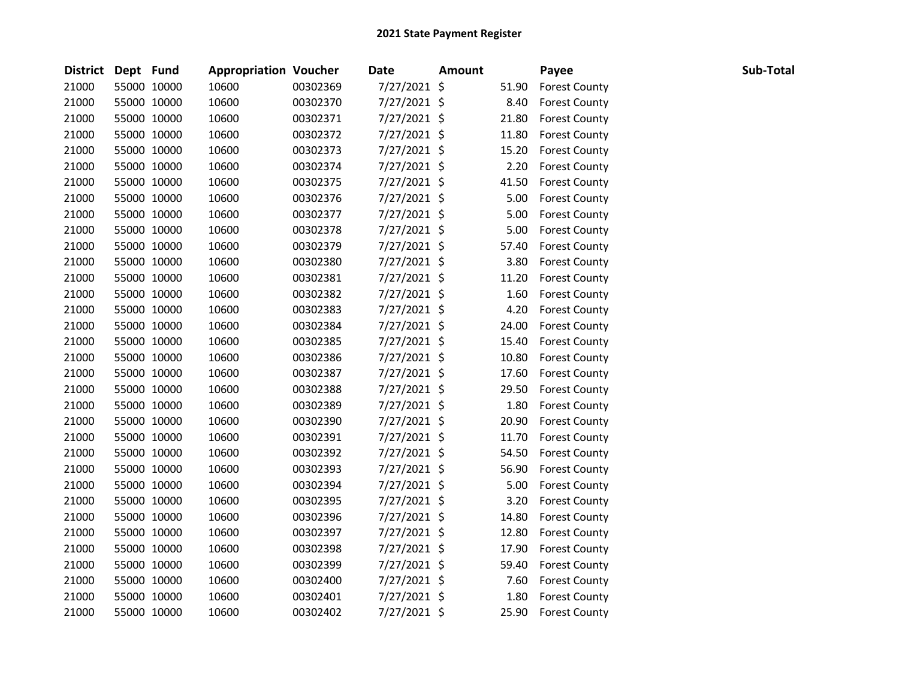| District Dept Fund |             | <b>Appropriation Voucher</b> |          | <b>Date</b>    | <b>Amount</b> |       | Payee                | Sub-Total |
|--------------------|-------------|------------------------------|----------|----------------|---------------|-------|----------------------|-----------|
| 21000              | 55000 10000 | 10600                        | 00302369 | 7/27/2021 \$   |               | 51.90 | <b>Forest County</b> |           |
| 21000              | 55000 10000 | 10600                        | 00302370 | 7/27/2021 \$   |               | 8.40  | <b>Forest County</b> |           |
| 21000              | 55000 10000 | 10600                        | 00302371 | 7/27/2021 \$   |               | 21.80 | <b>Forest County</b> |           |
| 21000              | 55000 10000 | 10600                        | 00302372 | 7/27/2021 \$   |               | 11.80 | <b>Forest County</b> |           |
| 21000              | 55000 10000 | 10600                        | 00302373 | 7/27/2021 \$   |               | 15.20 | <b>Forest County</b> |           |
| 21000              | 55000 10000 | 10600                        | 00302374 | 7/27/2021 \$   |               | 2.20  | <b>Forest County</b> |           |
| 21000              | 55000 10000 | 10600                        | 00302375 | 7/27/2021 \$   |               | 41.50 | <b>Forest County</b> |           |
| 21000              | 55000 10000 | 10600                        | 00302376 | 7/27/2021 \$   |               | 5.00  | <b>Forest County</b> |           |
| 21000              | 55000 10000 | 10600                        | 00302377 | 7/27/2021 \$   |               | 5.00  | <b>Forest County</b> |           |
| 21000              | 55000 10000 | 10600                        | 00302378 | 7/27/2021 \$   |               | 5.00  | <b>Forest County</b> |           |
| 21000              | 55000 10000 | 10600                        | 00302379 | 7/27/2021 \$   |               | 57.40 | <b>Forest County</b> |           |
| 21000              | 55000 10000 | 10600                        | 00302380 | 7/27/2021 \$   |               | 3.80  | <b>Forest County</b> |           |
| 21000              | 55000 10000 | 10600                        | 00302381 | 7/27/2021 \$   |               | 11.20 | <b>Forest County</b> |           |
| 21000              | 55000 10000 | 10600                        | 00302382 | 7/27/2021 \$   |               | 1.60  | <b>Forest County</b> |           |
| 21000              | 55000 10000 | 10600                        | 00302383 | 7/27/2021 \$   |               | 4.20  | <b>Forest County</b> |           |
| 21000              | 55000 10000 | 10600                        | 00302384 | $7/27/2021$ \$ |               | 24.00 | <b>Forest County</b> |           |
| 21000              | 55000 10000 | 10600                        | 00302385 | 7/27/2021 \$   |               | 15.40 | <b>Forest County</b> |           |
| 21000              | 55000 10000 | 10600                        | 00302386 | 7/27/2021 \$   |               | 10.80 | <b>Forest County</b> |           |
| 21000              | 55000 10000 | 10600                        | 00302387 | 7/27/2021 \$   |               | 17.60 | <b>Forest County</b> |           |
| 21000              | 55000 10000 | 10600                        | 00302388 | 7/27/2021 \$   |               | 29.50 | <b>Forest County</b> |           |
| 21000              | 55000 10000 | 10600                        | 00302389 | 7/27/2021 \$   |               | 1.80  | <b>Forest County</b> |           |
| 21000              | 55000 10000 | 10600                        | 00302390 | 7/27/2021 \$   |               | 20.90 | <b>Forest County</b> |           |
| 21000              | 55000 10000 | 10600                        | 00302391 | 7/27/2021 \$   |               | 11.70 | <b>Forest County</b> |           |
| 21000              | 55000 10000 | 10600                        | 00302392 | 7/27/2021 \$   |               | 54.50 | <b>Forest County</b> |           |
| 21000              | 55000 10000 | 10600                        | 00302393 | 7/27/2021 \$   |               | 56.90 | <b>Forest County</b> |           |
| 21000              | 55000 10000 | 10600                        | 00302394 | 7/27/2021 \$   |               | 5.00  | <b>Forest County</b> |           |
| 21000              | 55000 10000 | 10600                        | 00302395 | 7/27/2021 \$   |               | 3.20  | <b>Forest County</b> |           |
| 21000              | 55000 10000 | 10600                        | 00302396 | 7/27/2021 \$   |               | 14.80 | <b>Forest County</b> |           |
| 21000              | 55000 10000 | 10600                        | 00302397 | 7/27/2021 \$   |               | 12.80 | <b>Forest County</b> |           |
| 21000              | 55000 10000 | 10600                        | 00302398 | 7/27/2021 \$   |               | 17.90 | <b>Forest County</b> |           |
| 21000              | 55000 10000 | 10600                        | 00302399 | 7/27/2021 \$   |               | 59.40 | <b>Forest County</b> |           |
| 21000              | 55000 10000 | 10600                        | 00302400 | 7/27/2021 \$   |               | 7.60  | <b>Forest County</b> |           |
| 21000              | 55000 10000 | 10600                        | 00302401 | 7/27/2021 \$   |               | 1.80  | <b>Forest County</b> |           |
| 21000              | 55000 10000 | 10600                        | 00302402 | 7/27/2021 \$   |               | 25.90 | <b>Forest County</b> |           |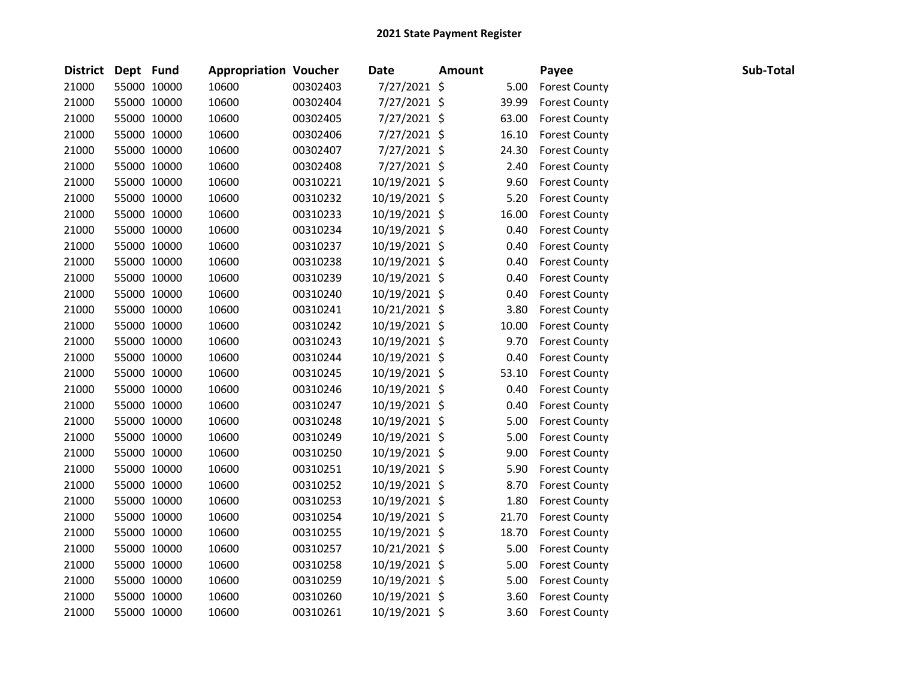| District Dept Fund |             | <b>Appropriation Voucher</b> |          | <b>Date</b>   | <b>Amount</b> |       | Payee                | Sub-Total |
|--------------------|-------------|------------------------------|----------|---------------|---------------|-------|----------------------|-----------|
| 21000              | 55000 10000 | 10600                        | 00302403 | 7/27/2021 \$  |               | 5.00  | <b>Forest County</b> |           |
| 21000              | 55000 10000 | 10600                        | 00302404 | 7/27/2021 \$  |               | 39.99 | <b>Forest County</b> |           |
| 21000              | 55000 10000 | 10600                        | 00302405 | 7/27/2021 \$  |               | 63.00 | <b>Forest County</b> |           |
| 21000              | 55000 10000 | 10600                        | 00302406 | 7/27/2021 \$  |               | 16.10 | <b>Forest County</b> |           |
| 21000              | 55000 10000 | 10600                        | 00302407 | 7/27/2021 \$  |               | 24.30 | <b>Forest County</b> |           |
| 21000              | 55000 10000 | 10600                        | 00302408 | 7/27/2021 \$  |               | 2.40  | <b>Forest County</b> |           |
| 21000              | 55000 10000 | 10600                        | 00310221 | 10/19/2021 \$ |               | 9.60  | <b>Forest County</b> |           |
| 21000              | 55000 10000 | 10600                        | 00310232 | 10/19/2021 \$ |               | 5.20  | <b>Forest County</b> |           |
| 21000              | 55000 10000 | 10600                        | 00310233 | 10/19/2021 \$ |               | 16.00 | <b>Forest County</b> |           |
| 21000              | 55000 10000 | 10600                        | 00310234 | 10/19/2021 \$ |               | 0.40  | <b>Forest County</b> |           |
| 21000              | 55000 10000 | 10600                        | 00310237 | 10/19/2021 \$ |               | 0.40  | <b>Forest County</b> |           |
| 21000              | 55000 10000 | 10600                        | 00310238 | 10/19/2021 \$ |               | 0.40  | <b>Forest County</b> |           |
| 21000              | 55000 10000 | 10600                        | 00310239 | 10/19/2021 \$ |               | 0.40  | <b>Forest County</b> |           |
| 21000              | 55000 10000 | 10600                        | 00310240 | 10/19/2021 \$ |               | 0.40  | <b>Forest County</b> |           |
| 21000              | 55000 10000 | 10600                        | 00310241 | 10/21/2021 \$ |               | 3.80  | <b>Forest County</b> |           |
| 21000              | 55000 10000 | 10600                        | 00310242 | 10/19/2021 \$ |               | 10.00 | <b>Forest County</b> |           |
| 21000              | 55000 10000 | 10600                        | 00310243 | 10/19/2021 \$ |               | 9.70  | <b>Forest County</b> |           |
| 21000              | 55000 10000 | 10600                        | 00310244 | 10/19/2021 \$ |               | 0.40  | <b>Forest County</b> |           |
| 21000              | 55000 10000 | 10600                        | 00310245 | 10/19/2021 \$ |               | 53.10 | <b>Forest County</b> |           |
| 21000              | 55000 10000 | 10600                        | 00310246 | 10/19/2021 \$ |               | 0.40  | <b>Forest County</b> |           |
| 21000              | 55000 10000 | 10600                        | 00310247 | 10/19/2021 \$ |               | 0.40  | <b>Forest County</b> |           |
| 21000              | 55000 10000 | 10600                        | 00310248 | 10/19/2021 \$ |               | 5.00  | <b>Forest County</b> |           |
| 21000              | 55000 10000 | 10600                        | 00310249 | 10/19/2021 \$ |               | 5.00  | <b>Forest County</b> |           |
| 21000              | 55000 10000 | 10600                        | 00310250 | 10/19/2021 \$ |               | 9.00  | <b>Forest County</b> |           |
| 21000              | 55000 10000 | 10600                        | 00310251 | 10/19/2021 \$ |               | 5.90  | <b>Forest County</b> |           |
| 21000              | 55000 10000 | 10600                        | 00310252 | 10/19/2021 \$ |               | 8.70  | <b>Forest County</b> |           |
| 21000              | 55000 10000 | 10600                        | 00310253 | 10/19/2021 \$ |               | 1.80  | <b>Forest County</b> |           |
| 21000              | 55000 10000 | 10600                        | 00310254 | 10/19/2021 \$ |               | 21.70 | <b>Forest County</b> |           |
| 21000              | 55000 10000 | 10600                        | 00310255 | 10/19/2021 \$ |               | 18.70 | <b>Forest County</b> |           |
| 21000              | 55000 10000 | 10600                        | 00310257 | 10/21/2021 \$ |               | 5.00  | <b>Forest County</b> |           |
| 21000              | 55000 10000 | 10600                        | 00310258 | 10/19/2021 \$ |               | 5.00  | <b>Forest County</b> |           |
| 21000              | 55000 10000 | 10600                        | 00310259 | 10/19/2021 \$ |               | 5.00  | <b>Forest County</b> |           |
| 21000              | 55000 10000 | 10600                        | 00310260 | 10/19/2021 \$ |               | 3.60  | <b>Forest County</b> |           |
| 21000              | 55000 10000 | 10600                        | 00310261 | 10/19/2021 \$ |               | 3.60  | <b>Forest County</b> |           |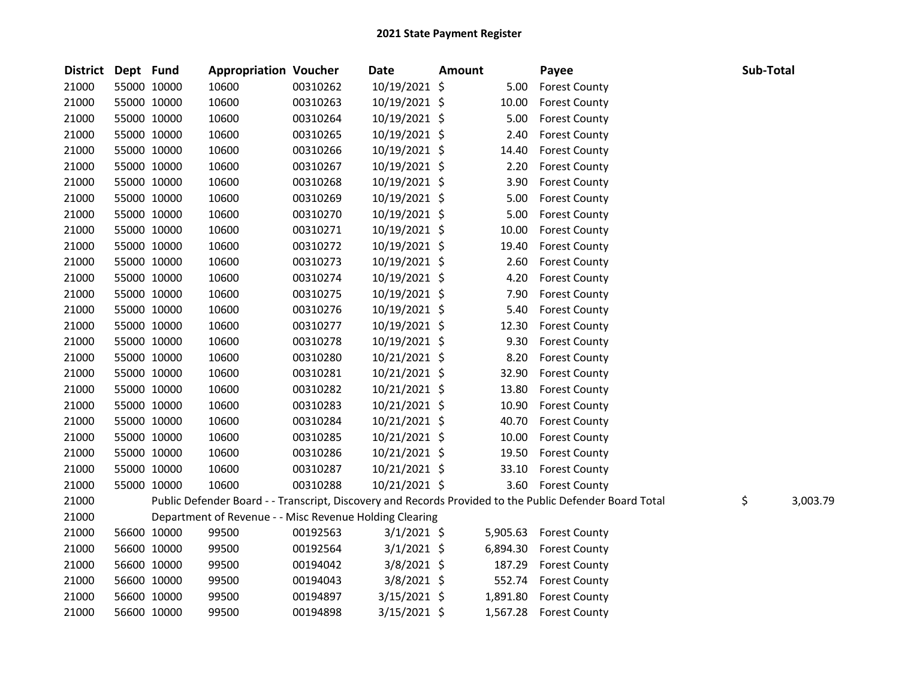| District | Dept Fund |             | <b>Appropriation Voucher</b>                            |          | Date           | Amount |          | Payee                                                                                                   | Sub-Total |          |
|----------|-----------|-------------|---------------------------------------------------------|----------|----------------|--------|----------|---------------------------------------------------------------------------------------------------------|-----------|----------|
| 21000    |           | 55000 10000 | 10600                                                   | 00310262 | 10/19/2021 \$  |        | 5.00     | <b>Forest County</b>                                                                                    |           |          |
| 21000    |           | 55000 10000 | 10600                                                   | 00310263 | 10/19/2021 \$  |        | 10.00    | <b>Forest County</b>                                                                                    |           |          |
| 21000    |           | 55000 10000 | 10600                                                   | 00310264 | 10/19/2021 \$  |        | 5.00     | <b>Forest County</b>                                                                                    |           |          |
| 21000    |           | 55000 10000 | 10600                                                   | 00310265 | 10/19/2021 \$  |        | 2.40     | <b>Forest County</b>                                                                                    |           |          |
| 21000    |           | 55000 10000 | 10600                                                   | 00310266 | 10/19/2021 \$  |        | 14.40    | <b>Forest County</b>                                                                                    |           |          |
| 21000    |           | 55000 10000 | 10600                                                   | 00310267 | 10/19/2021 \$  |        | 2.20     | <b>Forest County</b>                                                                                    |           |          |
| 21000    |           | 55000 10000 | 10600                                                   | 00310268 | 10/19/2021 \$  |        | 3.90     | <b>Forest County</b>                                                                                    |           |          |
| 21000    |           | 55000 10000 | 10600                                                   | 00310269 | 10/19/2021 \$  |        | 5.00     | <b>Forest County</b>                                                                                    |           |          |
| 21000    |           | 55000 10000 | 10600                                                   | 00310270 | 10/19/2021 \$  |        | 5.00     | <b>Forest County</b>                                                                                    |           |          |
| 21000    |           | 55000 10000 | 10600                                                   | 00310271 | 10/19/2021 \$  |        | 10.00    | <b>Forest County</b>                                                                                    |           |          |
| 21000    |           | 55000 10000 | 10600                                                   | 00310272 | 10/19/2021 \$  |        | 19.40    | <b>Forest County</b>                                                                                    |           |          |
| 21000    |           | 55000 10000 | 10600                                                   | 00310273 | 10/19/2021 \$  |        | 2.60     | <b>Forest County</b>                                                                                    |           |          |
| 21000    |           | 55000 10000 | 10600                                                   | 00310274 | 10/19/2021 \$  |        | 4.20     | <b>Forest County</b>                                                                                    |           |          |
| 21000    |           | 55000 10000 | 10600                                                   | 00310275 | 10/19/2021 \$  |        | 7.90     | <b>Forest County</b>                                                                                    |           |          |
| 21000    |           | 55000 10000 | 10600                                                   | 00310276 | 10/19/2021 \$  |        | 5.40     | <b>Forest County</b>                                                                                    |           |          |
| 21000    |           | 55000 10000 | 10600                                                   | 00310277 | 10/19/2021 \$  |        | 12.30    | <b>Forest County</b>                                                                                    |           |          |
| 21000    |           | 55000 10000 | 10600                                                   | 00310278 | 10/19/2021 \$  |        | 9.30     | <b>Forest County</b>                                                                                    |           |          |
| 21000    |           | 55000 10000 | 10600                                                   | 00310280 | 10/21/2021 \$  |        | 8.20     | <b>Forest County</b>                                                                                    |           |          |
| 21000    |           | 55000 10000 | 10600                                                   | 00310281 | 10/21/2021 \$  |        | 32.90    | <b>Forest County</b>                                                                                    |           |          |
| 21000    |           | 55000 10000 | 10600                                                   | 00310282 | 10/21/2021 \$  |        | 13.80    | <b>Forest County</b>                                                                                    |           |          |
| 21000    |           | 55000 10000 | 10600                                                   | 00310283 | 10/21/2021 \$  |        | 10.90    | <b>Forest County</b>                                                                                    |           |          |
| 21000    |           | 55000 10000 | 10600                                                   | 00310284 | 10/21/2021 \$  |        | 40.70    | <b>Forest County</b>                                                                                    |           |          |
| 21000    |           | 55000 10000 | 10600                                                   | 00310285 | 10/21/2021 \$  |        | 10.00    | <b>Forest County</b>                                                                                    |           |          |
| 21000    |           | 55000 10000 | 10600                                                   | 00310286 | 10/21/2021 \$  |        | 19.50    | <b>Forest County</b>                                                                                    |           |          |
| 21000    |           | 55000 10000 | 10600                                                   | 00310287 | 10/21/2021 \$  |        | 33.10    | <b>Forest County</b>                                                                                    |           |          |
| 21000    |           | 55000 10000 | 10600                                                   | 00310288 | 10/21/2021 \$  |        | 3.60     | <b>Forest County</b>                                                                                    |           |          |
| 21000    |           |             |                                                         |          |                |        |          | Public Defender Board - - Transcript, Discovery and Records Provided to the Public Defender Board Total | \$        | 3,003.79 |
| 21000    |           |             | Department of Revenue - - Misc Revenue Holding Clearing |          |                |        |          |                                                                                                         |           |          |
| 21000    |           | 56600 10000 | 99500                                                   | 00192563 | $3/1/2021$ \$  |        | 5,905.63 | <b>Forest County</b>                                                                                    |           |          |
| 21000    |           | 56600 10000 | 99500                                                   | 00192564 | $3/1/2021$ \$  |        | 6,894.30 | <b>Forest County</b>                                                                                    |           |          |
| 21000    |           | 56600 10000 | 99500                                                   | 00194042 | 3/8/2021 \$    |        | 187.29   | <b>Forest County</b>                                                                                    |           |          |
| 21000    |           | 56600 10000 | 99500                                                   | 00194043 | 3/8/2021 \$    |        | 552.74   | <b>Forest County</b>                                                                                    |           |          |
| 21000    |           | 56600 10000 | 99500                                                   | 00194897 | $3/15/2021$ \$ |        | 1,891.80 | <b>Forest County</b>                                                                                    |           |          |
| 21000    |           | 56600 10000 | 99500                                                   | 00194898 | $3/15/2021$ \$ |        |          | 1,567.28 Forest County                                                                                  |           |          |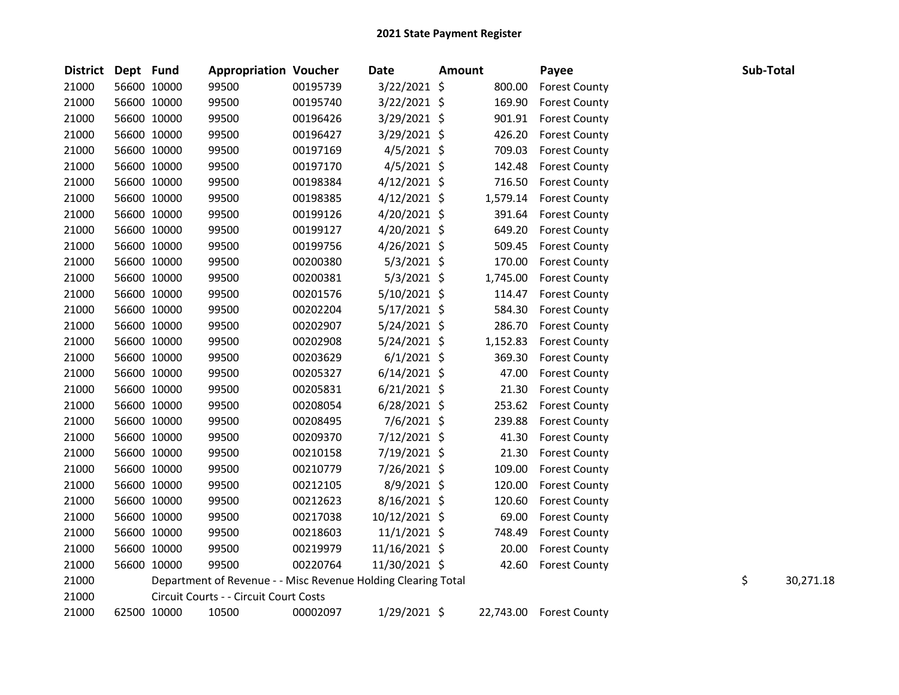| <b>District</b> | Dept Fund |             | <b>Appropriation Voucher</b>                                  |          | <b>Date</b>    | <b>Amount</b> |           | Payee                | Sub-Total |           |
|-----------------|-----------|-------------|---------------------------------------------------------------|----------|----------------|---------------|-----------|----------------------|-----------|-----------|
| 21000           |           | 56600 10000 | 99500                                                         | 00195739 | 3/22/2021 \$   |               | 800.00    | <b>Forest County</b> |           |           |
| 21000           |           | 56600 10000 | 99500                                                         | 00195740 | 3/22/2021 \$   |               | 169.90    | <b>Forest County</b> |           |           |
| 21000           |           | 56600 10000 | 99500                                                         | 00196426 | 3/29/2021 \$   |               | 901.91    | <b>Forest County</b> |           |           |
| 21000           |           | 56600 10000 | 99500                                                         | 00196427 | 3/29/2021 \$   |               | 426.20    | <b>Forest County</b> |           |           |
| 21000           |           | 56600 10000 | 99500                                                         | 00197169 | $4/5/2021$ \$  |               | 709.03    | <b>Forest County</b> |           |           |
| 21000           |           | 56600 10000 | 99500                                                         | 00197170 | $4/5/2021$ \$  |               | 142.48    | <b>Forest County</b> |           |           |
| 21000           |           | 56600 10000 | 99500                                                         | 00198384 | $4/12/2021$ \$ |               | 716.50    | <b>Forest County</b> |           |           |
| 21000           |           | 56600 10000 | 99500                                                         | 00198385 | $4/12/2021$ \$ |               | 1,579.14  | <b>Forest County</b> |           |           |
| 21000           |           | 56600 10000 | 99500                                                         | 00199126 | 4/20/2021 \$   |               | 391.64    | <b>Forest County</b> |           |           |
| 21000           |           | 56600 10000 | 99500                                                         | 00199127 | 4/20/2021 \$   |               | 649.20    | <b>Forest County</b> |           |           |
| 21000           |           | 56600 10000 | 99500                                                         | 00199756 | $4/26/2021$ \$ |               | 509.45    | <b>Forest County</b> |           |           |
| 21000           |           | 56600 10000 | 99500                                                         | 00200380 | $5/3/2021$ \$  |               | 170.00    | <b>Forest County</b> |           |           |
| 21000           |           | 56600 10000 | 99500                                                         | 00200381 | $5/3/2021$ \$  |               | 1,745.00  | <b>Forest County</b> |           |           |
| 21000           |           | 56600 10000 | 99500                                                         | 00201576 | 5/10/2021 \$   |               | 114.47    | <b>Forest County</b> |           |           |
| 21000           |           | 56600 10000 | 99500                                                         | 00202204 | $5/17/2021$ \$ |               | 584.30    | <b>Forest County</b> |           |           |
| 21000           |           | 56600 10000 | 99500                                                         | 00202907 | $5/24/2021$ \$ |               | 286.70    | <b>Forest County</b> |           |           |
| 21000           |           | 56600 10000 | 99500                                                         | 00202908 | $5/24/2021$ \$ |               | 1,152.83  | <b>Forest County</b> |           |           |
| 21000           |           | 56600 10000 | 99500                                                         | 00203629 | $6/1/2021$ \$  |               | 369.30    | <b>Forest County</b> |           |           |
| 21000           |           | 56600 10000 | 99500                                                         | 00205327 | $6/14/2021$ \$ |               | 47.00     | <b>Forest County</b> |           |           |
| 21000           |           | 56600 10000 | 99500                                                         | 00205831 | $6/21/2021$ \$ |               | 21.30     | <b>Forest County</b> |           |           |
| 21000           |           | 56600 10000 | 99500                                                         | 00208054 | $6/28/2021$ \$ |               | 253.62    | <b>Forest County</b> |           |           |
| 21000           |           | 56600 10000 | 99500                                                         | 00208495 | $7/6/2021$ \$  |               | 239.88    | <b>Forest County</b> |           |           |
| 21000           |           | 56600 10000 | 99500                                                         | 00209370 | 7/12/2021 \$   |               | 41.30     | <b>Forest County</b> |           |           |
| 21000           |           | 56600 10000 | 99500                                                         | 00210158 | 7/19/2021 \$   |               | 21.30     | <b>Forest County</b> |           |           |
| 21000           |           | 56600 10000 | 99500                                                         | 00210779 | 7/26/2021 \$   |               | 109.00    | <b>Forest County</b> |           |           |
| 21000           |           | 56600 10000 | 99500                                                         | 00212105 | $8/9/2021$ \$  |               | 120.00    | <b>Forest County</b> |           |           |
| 21000           |           | 56600 10000 | 99500                                                         | 00212623 | $8/16/2021$ \$ |               | 120.60    | <b>Forest County</b> |           |           |
| 21000           |           | 56600 10000 | 99500                                                         | 00217038 | 10/12/2021 \$  |               | 69.00     | <b>Forest County</b> |           |           |
| 21000           |           | 56600 10000 | 99500                                                         | 00218603 | $11/1/2021$ \$ |               | 748.49    | <b>Forest County</b> |           |           |
| 21000           |           | 56600 10000 | 99500                                                         | 00219979 | 11/16/2021 \$  |               | 20.00     | <b>Forest County</b> |           |           |
| 21000           |           | 56600 10000 | 99500                                                         | 00220764 | 11/30/2021 \$  |               | 42.60     | <b>Forest County</b> |           |           |
| 21000           |           |             | Department of Revenue - - Misc Revenue Holding Clearing Total |          |                |               |           |                      | \$        | 30,271.18 |
| 21000           |           |             | Circuit Courts - - Circuit Court Costs                        |          |                |               |           |                      |           |           |
| 21000           |           | 62500 10000 | 10500                                                         | 00002097 | 1/29/2021 \$   |               | 22,743.00 | <b>Forest County</b> |           |           |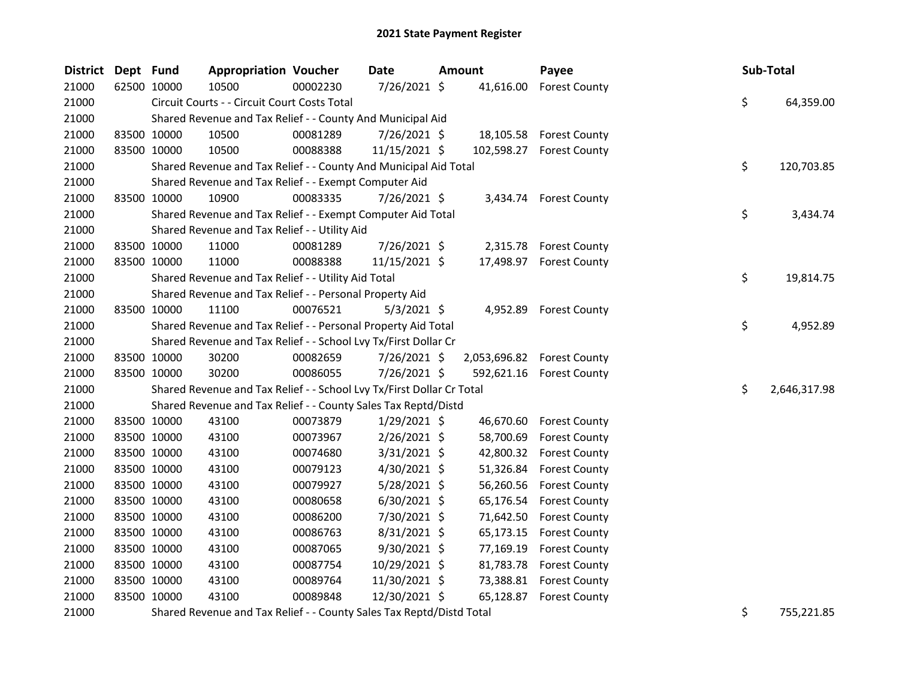| District Dept Fund |             | <b>Appropriation Voucher</b>                                          |          | Date           | <b>Amount</b> | Payee                      |    | Sub-Total    |
|--------------------|-------------|-----------------------------------------------------------------------|----------|----------------|---------------|----------------------------|----|--------------|
| 21000              | 62500 10000 | 10500                                                                 | 00002230 | 7/26/2021 \$   |               | 41,616.00 Forest County    |    |              |
| 21000              |             | Circuit Courts - - Circuit Court Costs Total                          |          |                |               |                            | \$ | 64,359.00    |
| 21000              |             | Shared Revenue and Tax Relief - - County And Municipal Aid            |          |                |               |                            |    |              |
| 21000              | 83500 10000 | 10500                                                                 | 00081289 | 7/26/2021 \$   |               | 18,105.58 Forest County    |    |              |
| 21000              | 83500 10000 | 10500                                                                 | 00088388 | 11/15/2021 \$  |               | 102,598.27 Forest County   |    |              |
| 21000              |             | Shared Revenue and Tax Relief - - County And Municipal Aid Total      |          |                |               |                            | \$ | 120,703.85   |
| 21000              |             | Shared Revenue and Tax Relief - - Exempt Computer Aid                 |          |                |               |                            |    |              |
| 21000              | 83500 10000 | 10900                                                                 | 00083335 | 7/26/2021 \$   |               | 3,434.74 Forest County     |    |              |
| 21000              |             | Shared Revenue and Tax Relief - - Exempt Computer Aid Total           |          |                |               |                            | \$ | 3,434.74     |
| 21000              |             | Shared Revenue and Tax Relief - - Utility Aid                         |          |                |               |                            |    |              |
| 21000              | 83500 10000 | 11000                                                                 | 00081289 | 7/26/2021 \$   |               | 2,315.78 Forest County     |    |              |
| 21000              | 83500 10000 | 11000                                                                 | 00088388 | 11/15/2021 \$  |               | 17,498.97 Forest County    |    |              |
| 21000              |             | Shared Revenue and Tax Relief - - Utility Aid Total                   |          |                |               |                            | \$ | 19,814.75    |
| 21000              |             | Shared Revenue and Tax Relief - - Personal Property Aid               |          |                |               |                            |    |              |
| 21000              | 83500 10000 | 11100                                                                 | 00076521 | $5/3/2021$ \$  |               | 4,952.89 Forest County     |    |              |
| 21000              |             | Shared Revenue and Tax Relief - - Personal Property Aid Total         |          |                |               |                            | \$ | 4,952.89     |
| 21000              |             | Shared Revenue and Tax Relief - - School Lvy Tx/First Dollar Cr       |          |                |               |                            |    |              |
| 21000              | 83500 10000 | 30200                                                                 | 00082659 | 7/26/2021 \$   |               | 2,053,696.82 Forest County |    |              |
| 21000              | 83500 10000 | 30200                                                                 | 00086055 | 7/26/2021 \$   |               | 592,621.16 Forest County   |    |              |
| 21000              |             | Shared Revenue and Tax Relief - - School Lvy Tx/First Dollar Cr Total |          |                |               |                            | \$ | 2,646,317.98 |
| 21000              |             | Shared Revenue and Tax Relief - - County Sales Tax Reptd/Distd        |          |                |               |                            |    |              |
| 21000              | 83500 10000 | 43100                                                                 | 00073879 | $1/29/2021$ \$ |               | 46,670.60 Forest County    |    |              |
| 21000              | 83500 10000 | 43100                                                                 | 00073967 | 2/26/2021 \$   | 58,700.69     | <b>Forest County</b>       |    |              |
| 21000              | 83500 10000 | 43100                                                                 | 00074680 | 3/31/2021 \$   | 42,800.32     | <b>Forest County</b>       |    |              |
| 21000              | 83500 10000 | 43100                                                                 | 00079123 | 4/30/2021 \$   | 51,326.84     | <b>Forest County</b>       |    |              |
| 21000              | 83500 10000 | 43100                                                                 | 00079927 | $5/28/2021$ \$ | 56,260.56     | <b>Forest County</b>       |    |              |
| 21000              | 83500 10000 | 43100                                                                 | 00080658 | $6/30/2021$ \$ | 65,176.54     | <b>Forest County</b>       |    |              |
| 21000              | 83500 10000 | 43100                                                                 | 00086200 | 7/30/2021 \$   | 71,642.50     | <b>Forest County</b>       |    |              |
| 21000              | 83500 10000 | 43100                                                                 | 00086763 | 8/31/2021 \$   | 65,173.15     | <b>Forest County</b>       |    |              |
| 21000              | 83500 10000 | 43100                                                                 | 00087065 | 9/30/2021 \$   | 77,169.19     | <b>Forest County</b>       |    |              |
| 21000              | 83500 10000 | 43100                                                                 | 00087754 | 10/29/2021 \$  | 81,783.78     | <b>Forest County</b>       |    |              |
| 21000              | 83500 10000 | 43100                                                                 | 00089764 | 11/30/2021 \$  | 73,388.81     | <b>Forest County</b>       |    |              |
| 21000              | 83500 10000 | 43100                                                                 | 00089848 | 12/30/2021 \$  | 65,128.87     | <b>Forest County</b>       |    |              |
| 21000              |             | Shared Revenue and Tax Relief - - County Sales Tax Reptd/Distd Total  |          |                |               |                            | \$ | 755,221.85   |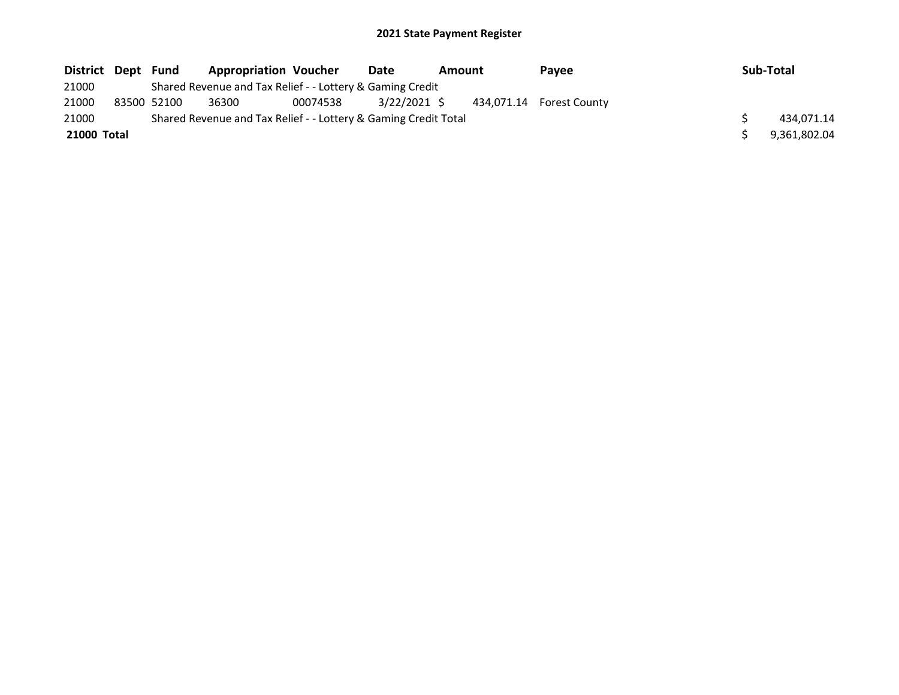| District Dept | Fund        | <b>Appropriation Voucher</b>                                    |          | Date         | Amount |  | <b>Pavee</b>             | Sub-Total    |
|---------------|-------------|-----------------------------------------------------------------|----------|--------------|--------|--|--------------------------|--------------|
| 21000         |             | Shared Revenue and Tax Relief - - Lottery & Gaming Credit       |          |              |        |  |                          |              |
| 21000         | 83500 52100 | 36300                                                           | 00074538 | 3/22/2021 \$ |        |  | 434,071.14 Forest County |              |
| 21000         |             | Shared Revenue and Tax Relief - - Lottery & Gaming Credit Total |          |              |        |  |                          | 434.071.14   |
| 21000 Total   |             |                                                                 |          |              |        |  |                          | 9,361,802.04 |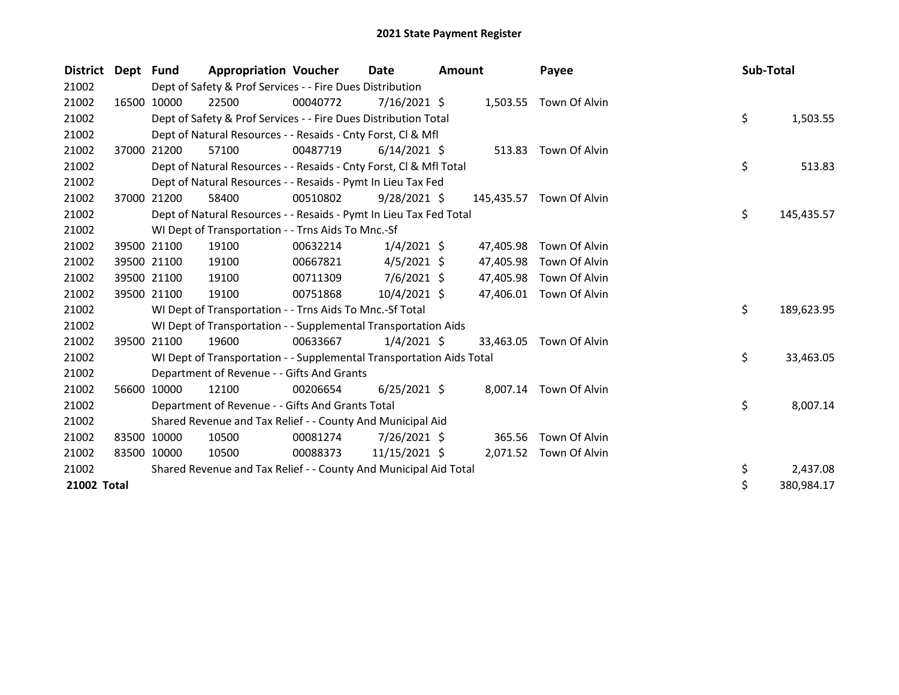| <b>District</b> | Dept Fund |             | <b>Appropriation Voucher</b>                                         |          | Date            | Amount |           | Payee                    | Sub-Total |            |
|-----------------|-----------|-------------|----------------------------------------------------------------------|----------|-----------------|--------|-----------|--------------------------|-----------|------------|
| 21002           |           |             | Dept of Safety & Prof Services - - Fire Dues Distribution            |          |                 |        |           |                          |           |            |
| 21002           |           | 16500 10000 | 22500                                                                | 00040772 | $7/16/2021$ \$  |        |           | 1,503.55 Town Of Alvin   |           |            |
| 21002           |           |             | Dept of Safety & Prof Services - - Fire Dues Distribution Total      |          |                 |        |           |                          | \$        | 1,503.55   |
| 21002           |           |             | Dept of Natural Resources - - Resaids - Cnty Forst, CI & Mfl         |          |                 |        |           |                          |           |            |
| 21002           |           | 37000 21200 | 57100                                                                | 00487719 | $6/14/2021$ \$  |        |           | 513.83 Town Of Alvin     |           |            |
| 21002           |           |             | Dept of Natural Resources - - Resaids - Cnty Forst, Cl & Mfl Total   |          |                 |        |           |                          | \$        | 513.83     |
| 21002           |           |             | Dept of Natural Resources - - Resaids - Pymt In Lieu Tax Fed         |          |                 |        |           |                          |           |            |
| 21002           | 37000     | 21200       | 58400                                                                | 00510802 | $9/28/2021$ \$  |        |           | 145,435.57 Town Of Alvin |           |            |
| 21002           |           |             | Dept of Natural Resources - - Resaids - Pymt In Lieu Tax Fed Total   |          |                 |        |           |                          | \$        | 145,435.57 |
| 21002           |           |             | WI Dept of Transportation - - Trns Aids To Mnc.-Sf                   |          |                 |        |           |                          |           |            |
| 21002           |           | 39500 21100 | 19100                                                                | 00632214 | $1/4/2021$ \$   |        | 47,405.98 | Town Of Alvin            |           |            |
| 21002           |           | 39500 21100 | 19100                                                                | 00667821 | $4/5/2021$ \$   |        | 47,405.98 | Town Of Alvin            |           |            |
| 21002           |           | 39500 21100 | 19100                                                                | 00711309 | $7/6/2021$ \$   |        | 47,405.98 | Town Of Alvin            |           |            |
| 21002           |           | 39500 21100 | 19100                                                                | 00751868 | $10/4/2021$ \$  |        | 47,406.01 | Town Of Alvin            |           |            |
| 21002           |           |             | WI Dept of Transportation - - Trns Aids To Mnc.-Sf Total             |          |                 |        |           |                          | \$        | 189,623.95 |
| 21002           |           |             | WI Dept of Transportation - - Supplemental Transportation Aids       |          |                 |        |           |                          |           |            |
| 21002           |           | 39500 21100 | 19600                                                                | 00633667 | $1/4/2021$ \$   |        | 33.463.05 | Town Of Alvin            |           |            |
| 21002           |           |             | WI Dept of Transportation - - Supplemental Transportation Aids Total |          |                 |        |           |                          | \$        | 33,463.05  |
| 21002           |           |             | Department of Revenue - - Gifts And Grants                           |          |                 |        |           |                          |           |            |
| 21002           |           | 56600 10000 | 12100                                                                | 00206654 | $6/25/2021$ \$  |        |           | 8,007.14 Town Of Alvin   |           |            |
| 21002           |           |             | Department of Revenue - - Gifts And Grants Total                     |          |                 |        |           |                          | \$        | 8,007.14   |
| 21002           |           |             | Shared Revenue and Tax Relief - - County And Municipal Aid           |          |                 |        |           |                          |           |            |
| 21002           |           | 83500 10000 | 10500                                                                | 00081274 | $7/26/2021$ \$  |        | 365.56    | Town Of Alvin            |           |            |
| 21002           |           | 83500 10000 | 10500                                                                | 00088373 | $11/15/2021$ \$ |        |           | 2,071.52 Town Of Alvin   |           |            |
| 21002           |           |             | Shared Revenue and Tax Relief - - County And Municipal Aid Total     |          |                 |        |           |                          | \$        | 2,437.08   |
| 21002 Total     |           |             |                                                                      |          |                 |        |           |                          | $\zeta$   | 380,984.17 |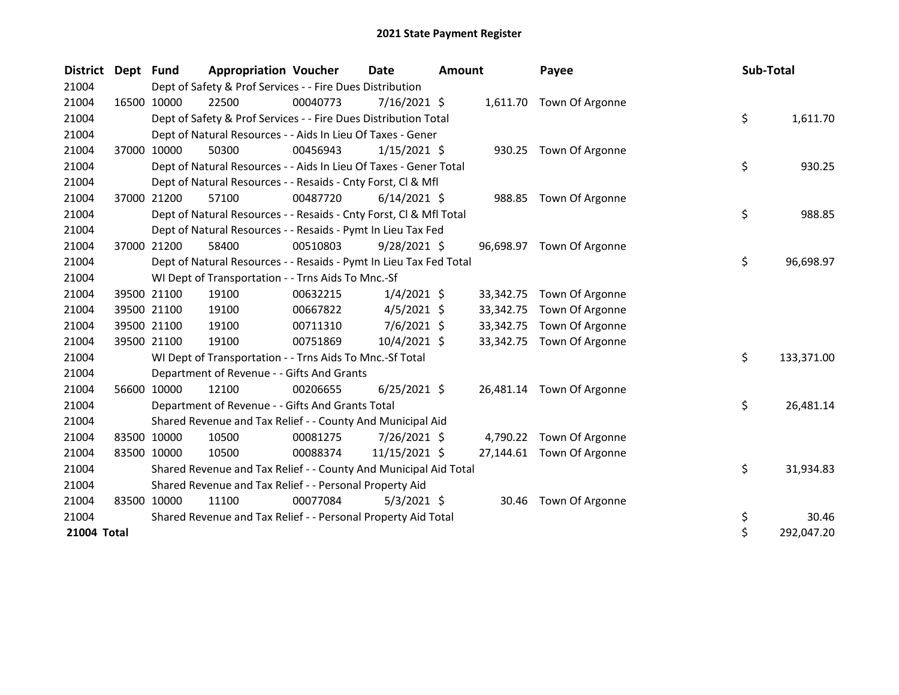| <b>District</b> | Dept Fund |             | <b>Appropriation Voucher</b>                                       |          | Date           | <b>Amount</b> |           | Payee                     | Sub-Total |            |
|-----------------|-----------|-------------|--------------------------------------------------------------------|----------|----------------|---------------|-----------|---------------------------|-----------|------------|
| 21004           |           |             | Dept of Safety & Prof Services - - Fire Dues Distribution          |          |                |               |           |                           |           |            |
| 21004           |           | 16500 10000 | 22500                                                              | 00040773 | 7/16/2021 \$   |               |           | 1,611.70 Town Of Argonne  |           |            |
| 21004           |           |             | Dept of Safety & Prof Services - - Fire Dues Distribution Total    |          |                |               |           |                           | \$        | 1,611.70   |
| 21004           |           |             | Dept of Natural Resources - - Aids In Lieu Of Taxes - Gener        |          |                |               |           |                           |           |            |
| 21004           |           | 37000 10000 | 50300                                                              | 00456943 | $1/15/2021$ \$ |               |           | 930.25 Town Of Argonne    |           |            |
| 21004           |           |             | Dept of Natural Resources - - Aids In Lieu Of Taxes - Gener Total  |          |                |               |           |                           | \$        | 930.25     |
| 21004           |           |             | Dept of Natural Resources - - Resaids - Cnty Forst, CI & Mfl       |          |                |               |           |                           |           |            |
| 21004           |           | 37000 21200 | 57100                                                              | 00487720 | $6/14/2021$ \$ |               |           | 988.85 Town Of Argonne    |           |            |
| 21004           |           |             | Dept of Natural Resources - - Resaids - Cnty Forst, CI & Mfl Total |          |                |               |           |                           | \$        | 988.85     |
| 21004           |           |             | Dept of Natural Resources - - Resaids - Pymt In Lieu Tax Fed       |          |                |               |           |                           |           |            |
| 21004           |           | 37000 21200 | 58400                                                              | 00510803 | $9/28/2021$ \$ |               |           | 96,698.97 Town Of Argonne |           |            |
| 21004           |           |             | Dept of Natural Resources - - Resaids - Pymt In Lieu Tax Fed Total |          |                |               |           |                           | \$        | 96,698.97  |
| 21004           |           |             | WI Dept of Transportation - - Trns Aids To Mnc.-Sf                 |          |                |               |           |                           |           |            |
| 21004           |           | 39500 21100 | 19100                                                              | 00632215 | $1/4/2021$ \$  |               | 33,342.75 | Town Of Argonne           |           |            |
| 21004           |           | 39500 21100 | 19100                                                              | 00667822 | $4/5/2021$ \$  |               | 33,342.75 | Town Of Argonne           |           |            |
| 21004           |           | 39500 21100 | 19100                                                              | 00711310 | $7/6/2021$ \$  |               | 33,342.75 | Town Of Argonne           |           |            |
| 21004           |           | 39500 21100 | 19100                                                              | 00751869 | 10/4/2021 \$   |               | 33,342.75 | Town Of Argonne           |           |            |
| 21004           |           |             | WI Dept of Transportation - - Trns Aids To Mnc.-Sf Total           |          |                |               |           |                           | \$        | 133,371.00 |
| 21004           |           |             | Department of Revenue - - Gifts And Grants                         |          |                |               |           |                           |           |            |
| 21004           |           | 56600 10000 | 12100                                                              | 00206655 | $6/25/2021$ \$ |               |           | 26,481.14 Town Of Argonne |           |            |
| 21004           |           |             | Department of Revenue - - Gifts And Grants Total                   |          |                |               |           |                           | \$        | 26,481.14  |
| 21004           |           |             | Shared Revenue and Tax Relief - - County And Municipal Aid         |          |                |               |           |                           |           |            |
| 21004           |           | 83500 10000 | 10500                                                              | 00081275 | 7/26/2021 \$   |               |           | 4,790.22 Town Of Argonne  |           |            |
| 21004           |           | 83500 10000 | 10500                                                              | 00088374 | 11/15/2021 \$  |               | 27,144.61 | Town Of Argonne           |           |            |
| 21004           |           |             | Shared Revenue and Tax Relief - - County And Municipal Aid Total   |          |                |               |           |                           | \$        | 31,934.83  |
| 21004           |           |             | Shared Revenue and Tax Relief - - Personal Property Aid            |          |                |               |           |                           |           |            |
| 21004           |           | 83500 10000 | 11100                                                              | 00077084 | $5/3/2021$ \$  |               | 30.46     | Town Of Argonne           |           |            |
| 21004           |           |             | Shared Revenue and Tax Relief - - Personal Property Aid Total      |          |                |               |           |                           | \$        | 30.46      |
| 21004 Total     |           |             |                                                                    |          |                |               |           |                           | \$        | 292,047.20 |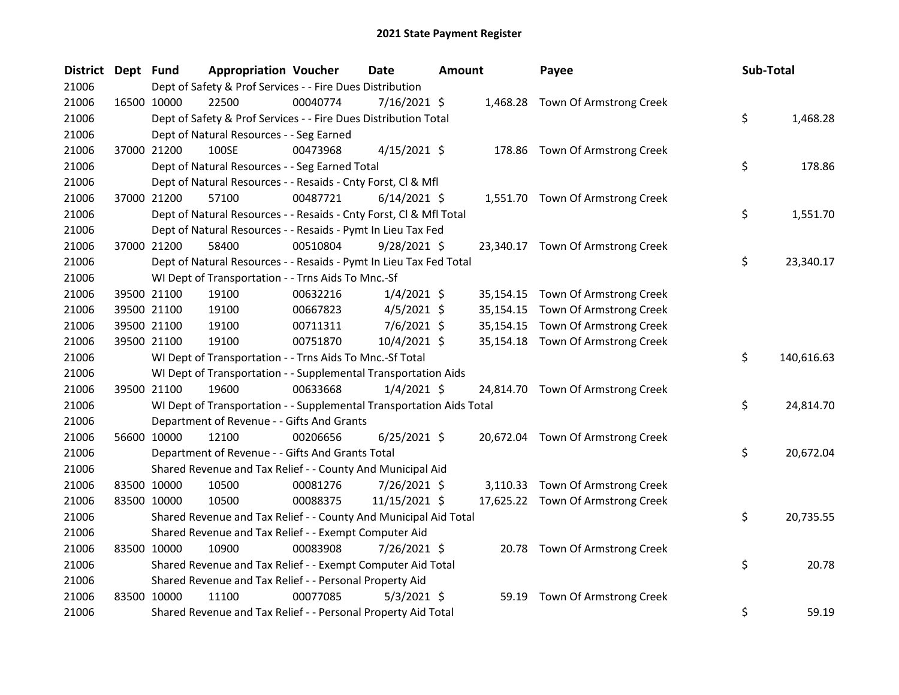| District Dept Fund |             | <b>Appropriation Voucher</b>                                         |          | Date           | <b>Amount</b> |           | Payee                             | Sub-Total        |
|--------------------|-------------|----------------------------------------------------------------------|----------|----------------|---------------|-----------|-----------------------------------|------------------|
| 21006              |             | Dept of Safety & Prof Services - - Fire Dues Distribution            |          |                |               |           |                                   |                  |
| 21006              | 16500 10000 | 22500                                                                | 00040774 | $7/16/2021$ \$ |               |           | 1,468.28 Town Of Armstrong Creek  |                  |
| 21006              |             | Dept of Safety & Prof Services - - Fire Dues Distribution Total      |          |                |               |           |                                   | \$<br>1,468.28   |
| 21006              |             | Dept of Natural Resources - - Seg Earned                             |          |                |               |           |                                   |                  |
| 21006              | 37000 21200 | 100SE                                                                | 00473968 | $4/15/2021$ \$ |               |           | 178.86 Town Of Armstrong Creek    |                  |
| 21006              |             | Dept of Natural Resources - - Seg Earned Total                       |          |                |               |           |                                   | \$<br>178.86     |
| 21006              |             | Dept of Natural Resources - - Resaids - Cnty Forst, Cl & Mfl         |          |                |               |           |                                   |                  |
| 21006              | 37000 21200 | 57100                                                                | 00487721 | $6/14/2021$ \$ |               |           | 1,551.70 Town Of Armstrong Creek  |                  |
| 21006              |             | Dept of Natural Resources - - Resaids - Cnty Forst, Cl & Mfl Total   |          |                |               |           |                                   | \$<br>1,551.70   |
| 21006              |             | Dept of Natural Resources - - Resaids - Pymt In Lieu Tax Fed         |          |                |               |           |                                   |                  |
| 21006              | 37000 21200 | 58400                                                                | 00510804 | 9/28/2021 \$   |               |           | 23,340.17 Town Of Armstrong Creek |                  |
| 21006              |             | Dept of Natural Resources - - Resaids - Pymt In Lieu Tax Fed Total   |          |                |               |           |                                   | \$<br>23,340.17  |
| 21006              |             | WI Dept of Transportation - - Trns Aids To Mnc.-Sf                   |          |                |               |           |                                   |                  |
| 21006              | 39500 21100 | 19100                                                                | 00632216 | $1/4/2021$ \$  |               | 35,154.15 | Town Of Armstrong Creek           |                  |
| 21006              | 39500 21100 | 19100                                                                | 00667823 | $4/5/2021$ \$  |               | 35,154.15 | Town Of Armstrong Creek           |                  |
| 21006              | 39500 21100 | 19100                                                                | 00711311 | $7/6/2021$ \$  |               | 35,154.15 | Town Of Armstrong Creek           |                  |
| 21006              | 39500 21100 | 19100                                                                | 00751870 | 10/4/2021 \$   |               |           | 35,154.18 Town Of Armstrong Creek |                  |
| 21006              |             | WI Dept of Transportation - - Trns Aids To Mnc.-Sf Total             |          |                |               |           |                                   | \$<br>140,616.63 |
| 21006              |             | WI Dept of Transportation - - Supplemental Transportation Aids       |          |                |               |           |                                   |                  |
| 21006              | 39500 21100 | 19600                                                                | 00633668 | $1/4/2021$ \$  |               |           | 24,814.70 Town Of Armstrong Creek |                  |
| 21006              |             | WI Dept of Transportation - - Supplemental Transportation Aids Total |          |                |               |           |                                   | \$<br>24,814.70  |
| 21006              |             | Department of Revenue - - Gifts And Grants                           |          |                |               |           |                                   |                  |
| 21006              | 56600 10000 | 12100                                                                | 00206656 | $6/25/2021$ \$ |               |           | 20,672.04 Town Of Armstrong Creek |                  |
| 21006              |             | Department of Revenue - - Gifts And Grants Total                     |          |                |               |           |                                   | \$<br>20,672.04  |
| 21006              |             | Shared Revenue and Tax Relief - - County And Municipal Aid           |          |                |               |           |                                   |                  |
| 21006              | 83500 10000 | 10500                                                                | 00081276 | 7/26/2021 \$   |               |           | 3,110.33 Town Of Armstrong Creek  |                  |
| 21006              | 83500 10000 | 10500                                                                | 00088375 | 11/15/2021 \$  |               |           | 17,625.22 Town Of Armstrong Creek |                  |
| 21006              |             | Shared Revenue and Tax Relief - - County And Municipal Aid Total     |          |                |               |           |                                   | \$<br>20,735.55  |
| 21006              |             | Shared Revenue and Tax Relief - - Exempt Computer Aid                |          |                |               |           |                                   |                  |
| 21006              | 83500 10000 | 10900                                                                | 00083908 | 7/26/2021 \$   |               |           | 20.78 Town Of Armstrong Creek     |                  |
| 21006              |             | Shared Revenue and Tax Relief - - Exempt Computer Aid Total          |          |                |               |           |                                   | \$<br>20.78      |
| 21006              |             | Shared Revenue and Tax Relief - - Personal Property Aid              |          |                |               |           |                                   |                  |
| 21006              | 83500 10000 | 11100                                                                | 00077085 | $5/3/2021$ \$  |               | 59.19     | Town Of Armstrong Creek           |                  |
| 21006              |             | Shared Revenue and Tax Relief - - Personal Property Aid Total        |          |                |               |           |                                   | \$<br>59.19      |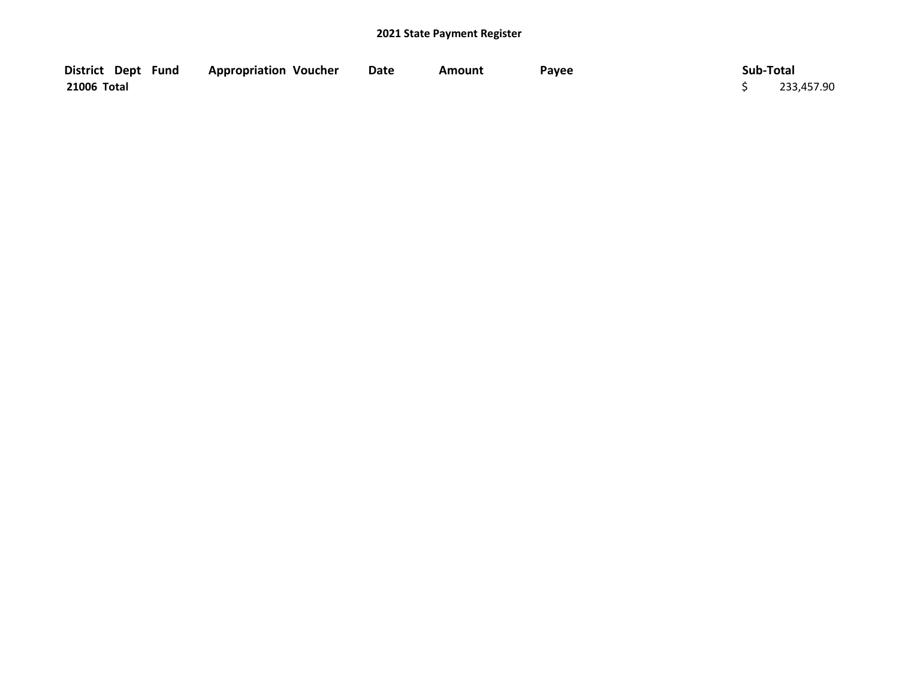| District Dept Fund | <b>Appropriation Voucher</b> | <b>Date</b> | Amount | Payee | Sub-Total  |
|--------------------|------------------------------|-------------|--------|-------|------------|
| 21006 Total        |                              |             |        |       | 233,457.90 |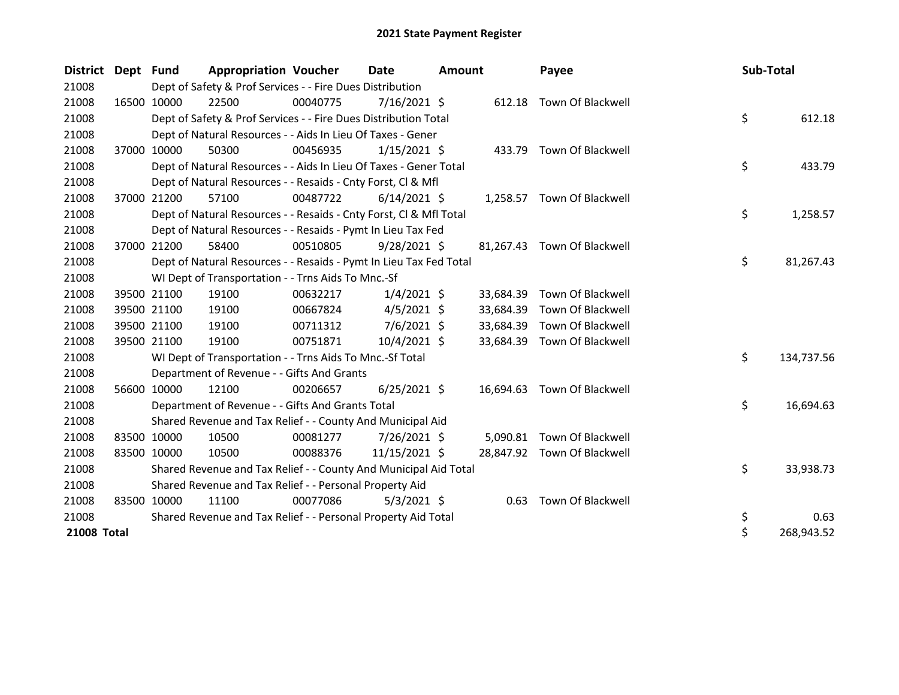| District Dept Fund |             | <b>Appropriation Voucher</b>                                       |          | Date           | <b>Amount</b> |           | Payee                       | <b>Sub-Total</b> |            |
|--------------------|-------------|--------------------------------------------------------------------|----------|----------------|---------------|-----------|-----------------------------|------------------|------------|
| 21008              |             | Dept of Safety & Prof Services - - Fire Dues Distribution          |          |                |               |           |                             |                  |            |
| 21008              | 16500 10000 | 22500                                                              | 00040775 | 7/16/2021 \$   |               | 612.18    | Town Of Blackwell           |                  |            |
| 21008              |             | Dept of Safety & Prof Services - - Fire Dues Distribution Total    |          |                |               |           |                             | \$               | 612.18     |
| 21008              |             | Dept of Natural Resources - - Aids In Lieu Of Taxes - Gener        |          |                |               |           |                             |                  |            |
| 21008              | 37000 10000 | 50300                                                              | 00456935 | $1/15/2021$ \$ |               |           | 433.79 Town Of Blackwell    |                  |            |
| 21008              |             | Dept of Natural Resources - - Aids In Lieu Of Taxes - Gener Total  |          |                |               |           |                             | \$               | 433.79     |
| 21008              |             | Dept of Natural Resources - - Resaids - Cnty Forst, CI & Mfl       |          |                |               |           |                             |                  |            |
| 21008              | 37000 21200 | 57100                                                              | 00487722 | $6/14/2021$ \$ |               |           | 1,258.57 Town Of Blackwell  |                  |            |
| 21008              |             | Dept of Natural Resources - - Resaids - Cnty Forst, CI & Mfl Total |          |                |               |           |                             | \$               | 1,258.57   |
| 21008              |             | Dept of Natural Resources - - Resaids - Pymt In Lieu Tax Fed       |          |                |               |           |                             |                  |            |
| 21008              | 37000 21200 | 58400                                                              | 00510805 | $9/28/2021$ \$ |               |           | 81,267.43 Town Of Blackwell |                  |            |
| 21008              |             | Dept of Natural Resources - - Resaids - Pymt In Lieu Tax Fed Total |          |                |               |           |                             | \$               | 81,267.43  |
| 21008              |             | WI Dept of Transportation - - Trns Aids To Mnc.-Sf                 |          |                |               |           |                             |                  |            |
| 21008              | 39500 21100 | 19100                                                              | 00632217 | $1/4/2021$ \$  |               | 33,684.39 | Town Of Blackwell           |                  |            |
| 21008              | 39500 21100 | 19100                                                              | 00667824 | $4/5/2021$ \$  |               | 33,684.39 | Town Of Blackwell           |                  |            |
| 21008              | 39500 21100 | 19100                                                              | 00711312 | $7/6/2021$ \$  |               | 33,684.39 | Town Of Blackwell           |                  |            |
| 21008              | 39500 21100 | 19100                                                              | 00751871 | $10/4/2021$ \$ |               | 33,684.39 | Town Of Blackwell           |                  |            |
| 21008              |             | WI Dept of Transportation - - Trns Aids To Mnc.-Sf Total           |          |                |               |           |                             | \$               | 134,737.56 |
| 21008              |             | Department of Revenue - - Gifts And Grants                         |          |                |               |           |                             |                  |            |
| 21008              | 56600 10000 | 12100                                                              | 00206657 | $6/25/2021$ \$ |               | 16,694.63 | Town Of Blackwell           |                  |            |
| 21008              |             | Department of Revenue - - Gifts And Grants Total                   |          |                |               |           |                             | \$               | 16,694.63  |
| 21008              |             | Shared Revenue and Tax Relief - - County And Municipal Aid         |          |                |               |           |                             |                  |            |
| 21008              | 83500 10000 | 10500                                                              | 00081277 | 7/26/2021 \$   |               | 5,090.81  | Town Of Blackwell           |                  |            |
| 21008              | 83500 10000 | 10500                                                              | 00088376 | 11/15/2021 \$  |               |           | 28,847.92 Town Of Blackwell |                  |            |
| 21008              |             | Shared Revenue and Tax Relief - - County And Municipal Aid Total   |          |                |               |           |                             | \$               | 33,938.73  |
| 21008              |             | Shared Revenue and Tax Relief - - Personal Property Aid            |          |                |               |           |                             |                  |            |
| 21008              | 83500 10000 | 11100                                                              | 00077086 | $5/3/2021$ \$  |               |           | 0.63 Town Of Blackwell      |                  |            |
| 21008              |             | Shared Revenue and Tax Relief - - Personal Property Aid Total      |          |                |               |           |                             | \$               | 0.63       |
| 21008 Total        |             |                                                                    |          |                |               |           |                             | \$               | 268,943.52 |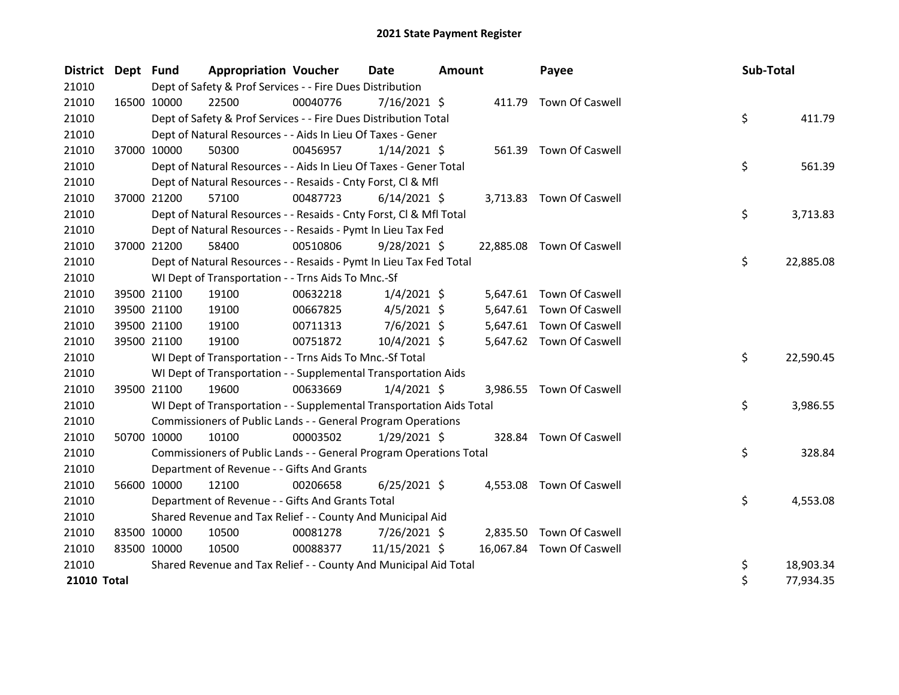| District Dept Fund |             |             | <b>Appropriation Voucher</b>                                         |          | <b>Date</b>    | Amount |          | Payee                     | Sub-Total |           |
|--------------------|-------------|-------------|----------------------------------------------------------------------|----------|----------------|--------|----------|---------------------------|-----------|-----------|
| 21010              |             |             | Dept of Safety & Prof Services - - Fire Dues Distribution            |          |                |        |          |                           |           |           |
| 21010              |             | 16500 10000 | 22500                                                                | 00040776 | $7/16/2021$ \$ |        |          | 411.79 Town Of Caswell    |           |           |
| 21010              |             |             | Dept of Safety & Prof Services - - Fire Dues Distribution Total      |          |                |        |          |                           | \$        | 411.79    |
| 21010              |             |             | Dept of Natural Resources - - Aids In Lieu Of Taxes - Gener          |          |                |        |          |                           |           |           |
| 21010              |             | 37000 10000 | 50300                                                                | 00456957 | $1/14/2021$ \$ |        |          | 561.39 Town Of Caswell    |           |           |
| 21010              |             |             | Dept of Natural Resources - - Aids In Lieu Of Taxes - Gener Total    |          |                |        |          |                           | \$        | 561.39    |
| 21010              |             |             | Dept of Natural Resources - - Resaids - Cnty Forst, CI & Mfl         |          |                |        |          |                           |           |           |
| 21010              | 37000 21200 |             | 57100                                                                | 00487723 | $6/14/2021$ \$ |        |          | 3,713.83 Town Of Caswell  |           |           |
| 21010              |             |             | Dept of Natural Resources - - Resaids - Cnty Forst, Cl & Mfl Total   |          |                |        |          |                           | \$        | 3,713.83  |
| 21010              |             |             | Dept of Natural Resources - - Resaids - Pymt In Lieu Tax Fed         |          |                |        |          |                           |           |           |
| 21010              | 37000 21200 |             | 58400                                                                | 00510806 | $9/28/2021$ \$ |        |          | 22,885.08 Town Of Caswell |           |           |
| 21010              |             |             | Dept of Natural Resources - - Resaids - Pymt In Lieu Tax Fed Total   |          |                |        |          |                           | \$        | 22,885.08 |
| 21010              |             |             | WI Dept of Transportation - - Trns Aids To Mnc.-Sf                   |          |                |        |          |                           |           |           |
| 21010              |             | 39500 21100 | 19100                                                                | 00632218 | $1/4/2021$ \$  |        |          | 5,647.61 Town Of Caswell  |           |           |
| 21010              |             | 39500 21100 | 19100                                                                | 00667825 | $4/5/2021$ \$  |        | 5,647.61 | Town Of Caswell           |           |           |
| 21010              |             | 39500 21100 | 19100                                                                | 00711313 | $7/6/2021$ \$  |        |          | 5,647.61 Town Of Caswell  |           |           |
| 21010              |             | 39500 21100 | 19100                                                                | 00751872 | 10/4/2021 \$   |        |          | 5,647.62 Town Of Caswell  |           |           |
| 21010              |             |             | WI Dept of Transportation - - Trns Aids To Mnc.-Sf Total             |          |                |        |          |                           | \$        | 22,590.45 |
| 21010              |             |             | WI Dept of Transportation - - Supplemental Transportation Aids       |          |                |        |          |                           |           |           |
| 21010              |             | 39500 21100 | 19600                                                                | 00633669 | $1/4/2021$ \$  |        |          | 3,986.55 Town Of Caswell  |           |           |
| 21010              |             |             | WI Dept of Transportation - - Supplemental Transportation Aids Total |          |                |        |          |                           | \$        | 3,986.55  |
| 21010              |             |             | Commissioners of Public Lands - - General Program Operations         |          |                |        |          |                           |           |           |
| 21010              | 50700 10000 |             | 10100                                                                | 00003502 | $1/29/2021$ \$ |        |          | 328.84 Town Of Caswell    |           |           |
| 21010              |             |             | Commissioners of Public Lands - - General Program Operations Total   |          |                |        |          |                           | \$        | 328.84    |
| 21010              |             |             | Department of Revenue - - Gifts And Grants                           |          |                |        |          |                           |           |           |
| 21010              | 56600 10000 |             | 12100                                                                | 00206658 | $6/25/2021$ \$ |        | 4,553.08 | Town Of Caswell           |           |           |
| 21010              |             |             | Department of Revenue - - Gifts And Grants Total                     |          |                |        |          |                           | \$        | 4,553.08  |
| 21010              |             |             | Shared Revenue and Tax Relief - - County And Municipal Aid           |          |                |        |          |                           |           |           |
| 21010              | 83500 10000 |             | 10500                                                                | 00081278 | 7/26/2021 \$   |        |          | 2,835.50 Town Of Caswell  |           |           |
| 21010              | 83500 10000 |             | 10500                                                                | 00088377 | 11/15/2021 \$  |        |          | 16,067.84 Town Of Caswell |           |           |
| 21010              |             |             | Shared Revenue and Tax Relief - - County And Municipal Aid Total     |          |                |        |          |                           | \$        | 18,903.34 |
| 21010 Total        |             |             |                                                                      |          |                |        |          |                           | \$        | 77,934.35 |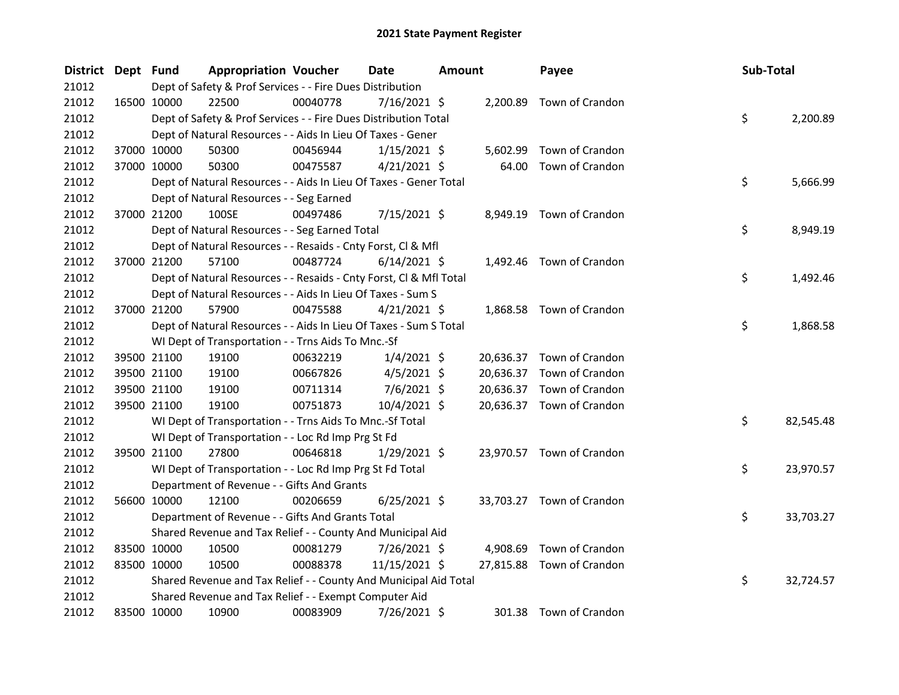| District Dept Fund |             | <b>Appropriation Voucher</b>                                       |          | <b>Date</b>    | <b>Amount</b> |           | Payee                     | Sub-Total |           |
|--------------------|-------------|--------------------------------------------------------------------|----------|----------------|---------------|-----------|---------------------------|-----------|-----------|
| 21012              |             | Dept of Safety & Prof Services - - Fire Dues Distribution          |          |                |               |           |                           |           |           |
| 21012              | 16500 10000 | 22500                                                              | 00040778 | $7/16/2021$ \$ |               |           | 2,200.89 Town of Crandon  |           |           |
| 21012              |             | Dept of Safety & Prof Services - - Fire Dues Distribution Total    |          |                |               |           |                           | \$        | 2,200.89  |
| 21012              |             | Dept of Natural Resources - - Aids In Lieu Of Taxes - Gener        |          |                |               |           |                           |           |           |
| 21012              | 37000 10000 | 50300                                                              | 00456944 | $1/15/2021$ \$ |               | 5,602.99  | Town of Crandon           |           |           |
| 21012              | 37000 10000 | 50300                                                              | 00475587 | $4/21/2021$ \$ |               | 64.00     | Town of Crandon           |           |           |
| 21012              |             | Dept of Natural Resources - - Aids In Lieu Of Taxes - Gener Total  |          |                |               |           |                           | \$        | 5,666.99  |
| 21012              |             | Dept of Natural Resources - - Seg Earned                           |          |                |               |           |                           |           |           |
| 21012              | 37000 21200 | 100SE                                                              | 00497486 | $7/15/2021$ \$ |               | 8,949.19  | Town of Crandon           |           |           |
| 21012              |             | Dept of Natural Resources - - Seg Earned Total                     |          |                |               |           |                           | \$        | 8,949.19  |
| 21012              |             | Dept of Natural Resources - - Resaids - Cnty Forst, Cl & Mfl       |          |                |               |           |                           |           |           |
| 21012              | 37000 21200 | 57100                                                              | 00487724 | $6/14/2021$ \$ |               |           | 1,492.46 Town of Crandon  |           |           |
| 21012              |             | Dept of Natural Resources - - Resaids - Cnty Forst, Cl & Mfl Total |          |                |               |           |                           | \$        | 1,492.46  |
| 21012              |             | Dept of Natural Resources - - Aids In Lieu Of Taxes - Sum S        |          |                |               |           |                           |           |           |
| 21012              | 37000 21200 | 57900                                                              | 00475588 | $4/21/2021$ \$ |               |           | 1,868.58 Town of Crandon  |           |           |
| 21012              |             | Dept of Natural Resources - - Aids In Lieu Of Taxes - Sum S Total  |          |                |               |           |                           | \$        | 1,868.58  |
| 21012              |             | WI Dept of Transportation - - Trns Aids To Mnc.-Sf                 |          |                |               |           |                           |           |           |
| 21012              | 39500 21100 | 19100                                                              | 00632219 | $1/4/2021$ \$  |               |           | 20,636.37 Town of Crandon |           |           |
| 21012              | 39500 21100 | 19100                                                              | 00667826 | $4/5/2021$ \$  |               |           | 20,636.37 Town of Crandon |           |           |
| 21012              | 39500 21100 | 19100                                                              | 00711314 | $7/6/2021$ \$  |               | 20,636.37 | Town of Crandon           |           |           |
| 21012              | 39500 21100 | 19100                                                              | 00751873 | 10/4/2021 \$   |               |           | 20,636.37 Town of Crandon |           |           |
| 21012              |             | WI Dept of Transportation - - Trns Aids To Mnc.-Sf Total           |          |                |               |           |                           | \$        | 82,545.48 |
| 21012              |             | WI Dept of Transportation - - Loc Rd Imp Prg St Fd                 |          |                |               |           |                           |           |           |
| 21012              | 39500 21100 | 27800                                                              | 00646818 | $1/29/2021$ \$ |               |           | 23,970.57 Town of Crandon |           |           |
| 21012              |             | WI Dept of Transportation - - Loc Rd Imp Prg St Fd Total           |          |                |               |           |                           | \$        | 23,970.57 |
| 21012              |             | Department of Revenue - - Gifts And Grants                         |          |                |               |           |                           |           |           |
| 21012              | 56600 10000 | 12100                                                              | 00206659 | $6/25/2021$ \$ |               |           | 33,703.27 Town of Crandon |           |           |
| 21012              |             | Department of Revenue - - Gifts And Grants Total                   |          |                |               |           |                           | \$        | 33,703.27 |
| 21012              |             | Shared Revenue and Tax Relief - - County And Municipal Aid         |          |                |               |           |                           |           |           |
| 21012              | 83500 10000 | 10500                                                              | 00081279 | 7/26/2021 \$   |               | 4,908.69  | Town of Crandon           |           |           |
| 21012              | 83500 10000 | 10500                                                              | 00088378 | 11/15/2021 \$  |               | 27,815.88 | Town of Crandon           |           |           |
| 21012              |             | Shared Revenue and Tax Relief - - County And Municipal Aid Total   |          |                |               |           |                           | \$        | 32,724.57 |
| 21012              |             | Shared Revenue and Tax Relief - - Exempt Computer Aid              |          |                |               |           |                           |           |           |
| 21012              | 83500 10000 | 10900                                                              | 00083909 | 7/26/2021 \$   |               |           | 301.38 Town of Crandon    |           |           |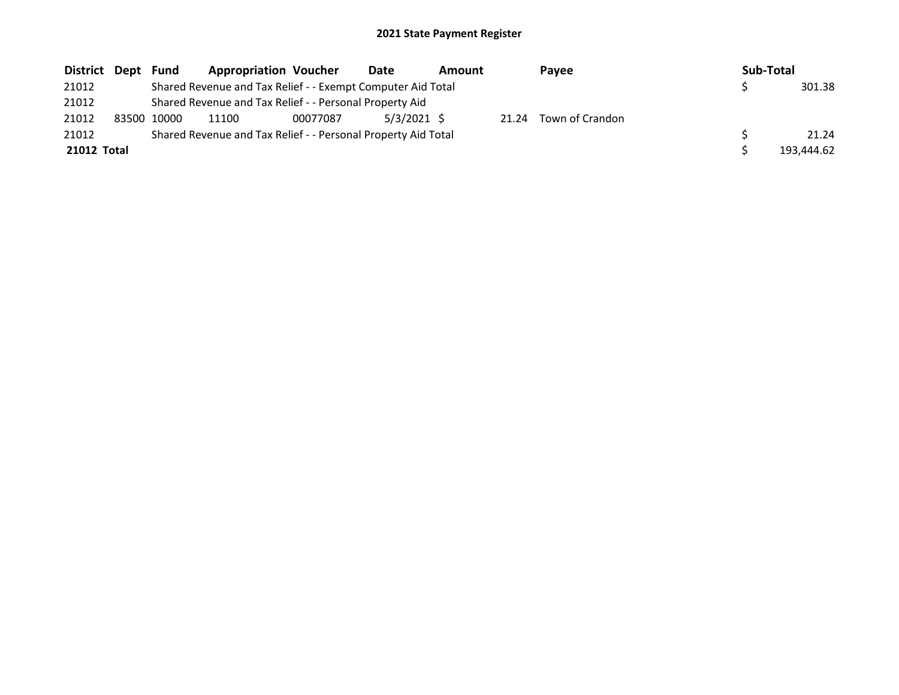| District Dept | Fund        | <b>Appropriation Voucher</b>                                  |          | Date          | Amount |       | Payee           | Sub-Total |            |
|---------------|-------------|---------------------------------------------------------------|----------|---------------|--------|-------|-----------------|-----------|------------|
| 21012         |             | Shared Revenue and Tax Relief - - Exempt Computer Aid Total   |          |               |        |       |                 |           | 301.38     |
| 21012         |             | Shared Revenue and Tax Relief - - Personal Property Aid       |          |               |        |       |                 |           |            |
| 21012         | 83500 10000 | 11100                                                         | 00077087 | $5/3/2021$ \$ |        | 21.24 | Town of Crandon |           |            |
| 21012         |             | Shared Revenue and Tax Relief - - Personal Property Aid Total |          |               |        |       |                 |           | 21.24      |
| 21012 Total   |             |                                                               |          |               |        |       |                 |           | 193.444.62 |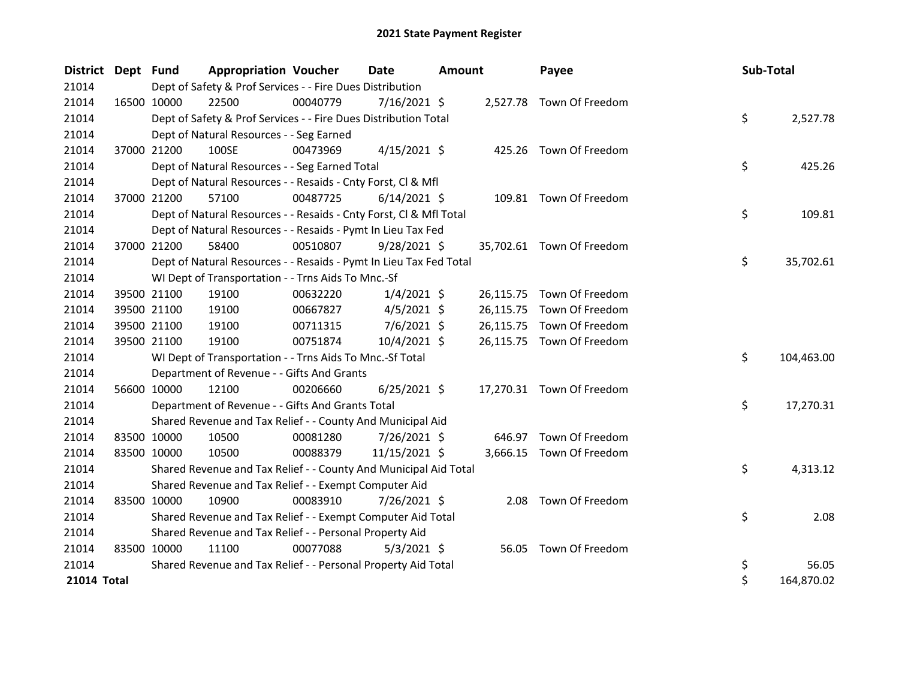| <b>District</b> | Dept Fund   |             | <b>Appropriation Voucher</b>                                       |          | <b>Date</b>    | <b>Amount</b> |           | Payee                     |    | Sub-Total  |  |
|-----------------|-------------|-------------|--------------------------------------------------------------------|----------|----------------|---------------|-----------|---------------------------|----|------------|--|
| 21014           |             |             | Dept of Safety & Prof Services - - Fire Dues Distribution          |          |                |               |           |                           |    |            |  |
| 21014           |             | 16500 10000 | 22500                                                              | 00040779 | $7/16/2021$ \$ |               |           | 2,527.78 Town Of Freedom  |    |            |  |
| 21014           |             |             | Dept of Safety & Prof Services - - Fire Dues Distribution Total    |          |                |               |           |                           | \$ | 2,527.78   |  |
| 21014           |             |             | Dept of Natural Resources - - Seg Earned                           |          |                |               |           |                           |    |            |  |
| 21014           |             | 37000 21200 | 100SE                                                              | 00473969 | $4/15/2021$ \$ |               |           | 425.26 Town Of Freedom    |    |            |  |
| 21014           |             |             | Dept of Natural Resources - - Seg Earned Total                     |          |                |               |           |                           | \$ | 425.26     |  |
| 21014           |             |             | Dept of Natural Resources - - Resaids - Cnty Forst, Cl & Mfl       |          |                |               |           |                           |    |            |  |
| 21014           |             | 37000 21200 | 57100                                                              | 00487725 | $6/14/2021$ \$ |               |           | 109.81 Town Of Freedom    |    |            |  |
| 21014           |             |             | Dept of Natural Resources - - Resaids - Cnty Forst, Cl & Mfl Total |          |                |               |           |                           | \$ | 109.81     |  |
| 21014           |             |             | Dept of Natural Resources - - Resaids - Pymt In Lieu Tax Fed       |          |                |               |           |                           |    |            |  |
| 21014           |             | 37000 21200 | 58400                                                              | 00510807 | $9/28/2021$ \$ |               |           | 35,702.61 Town Of Freedom |    |            |  |
| 21014           |             |             | Dept of Natural Resources - - Resaids - Pymt In Lieu Tax Fed Total |          |                |               |           |                           | \$ | 35,702.61  |  |
| 21014           |             |             | WI Dept of Transportation - - Trns Aids To Mnc.-Sf                 |          |                |               |           |                           |    |            |  |
| 21014           |             | 39500 21100 | 19100                                                              | 00632220 | $1/4/2021$ \$  |               |           | 26,115.75 Town Of Freedom |    |            |  |
| 21014           |             | 39500 21100 | 19100                                                              | 00667827 | $4/5/2021$ \$  |               | 26,115.75 | Town Of Freedom           |    |            |  |
| 21014           |             | 39500 21100 | 19100                                                              | 00711315 | $7/6/2021$ \$  |               |           | 26,115.75 Town Of Freedom |    |            |  |
| 21014           |             | 39500 21100 | 19100                                                              | 00751874 | 10/4/2021 \$   |               |           | 26,115.75 Town Of Freedom |    |            |  |
| 21014           |             |             | WI Dept of Transportation - - Trns Aids To Mnc.-Sf Total           |          |                |               |           |                           | \$ | 104,463.00 |  |
| 21014           |             |             | Department of Revenue - - Gifts And Grants                         |          |                |               |           |                           |    |            |  |
| 21014           |             | 56600 10000 | 12100                                                              | 00206660 | $6/25/2021$ \$ |               |           | 17,270.31 Town Of Freedom |    |            |  |
| 21014           |             |             | Department of Revenue - - Gifts And Grants Total                   |          |                |               |           |                           | \$ | 17,270.31  |  |
| 21014           |             |             | Shared Revenue and Tax Relief - - County And Municipal Aid         |          |                |               |           |                           |    |            |  |
| 21014           | 83500 10000 |             | 10500                                                              | 00081280 | 7/26/2021 \$   |               |           | 646.97 Town Of Freedom    |    |            |  |
| 21014           |             | 83500 10000 | 10500                                                              | 00088379 | 11/15/2021 \$  |               |           | 3,666.15 Town Of Freedom  |    |            |  |
| 21014           |             |             | Shared Revenue and Tax Relief - - County And Municipal Aid Total   |          |                |               |           |                           | \$ | 4,313.12   |  |
| 21014           |             |             | Shared Revenue and Tax Relief - - Exempt Computer Aid              |          |                |               |           |                           |    |            |  |
| 21014           | 83500 10000 |             | 10900                                                              | 00083910 | 7/26/2021 \$   |               |           | 2.08 Town Of Freedom      |    |            |  |
| 21014           |             |             | Shared Revenue and Tax Relief - - Exempt Computer Aid Total        |          |                |               |           |                           | \$ | 2.08       |  |
| 21014           |             |             | Shared Revenue and Tax Relief - - Personal Property Aid            |          |                |               |           |                           |    |            |  |
| 21014           | 83500 10000 |             | 11100                                                              | 00077088 | $5/3/2021$ \$  |               |           | 56.05 Town Of Freedom     |    |            |  |
| 21014           |             |             | Shared Revenue and Tax Relief - - Personal Property Aid Total      |          |                |               |           |                           | \$ | 56.05      |  |
| 21014 Total     |             |             |                                                                    |          |                |               |           |                           | \$ | 164,870.02 |  |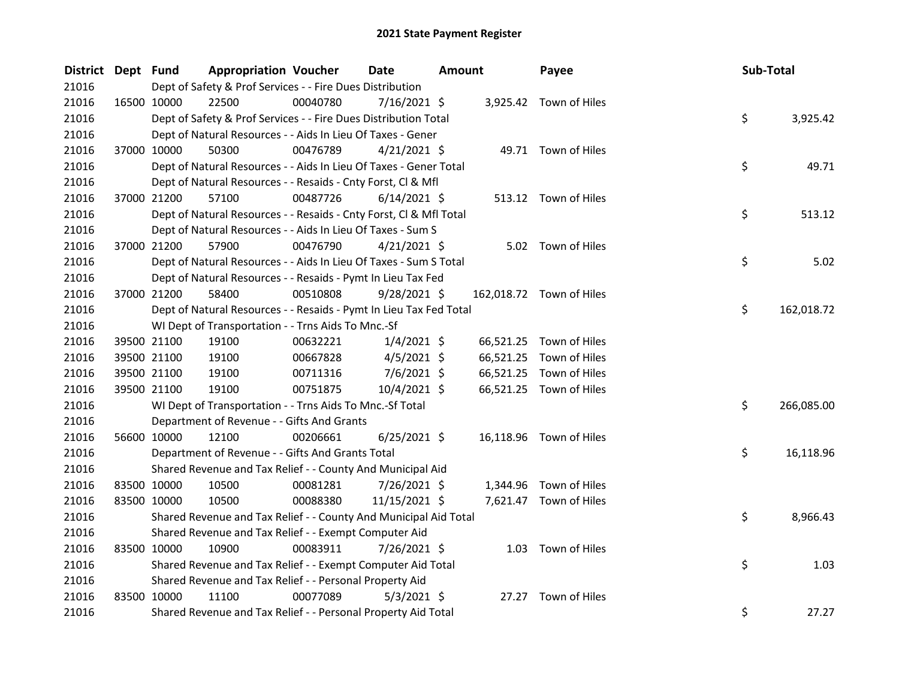| District Dept Fund |             | <b>Appropriation Voucher</b>                                       |          | <b>Date</b>    | <b>Amount</b> |           | Payee                    | Sub-Total |            |
|--------------------|-------------|--------------------------------------------------------------------|----------|----------------|---------------|-----------|--------------------------|-----------|------------|
| 21016              |             | Dept of Safety & Prof Services - - Fire Dues Distribution          |          |                |               |           |                          |           |            |
| 21016              | 16500 10000 | 22500                                                              | 00040780 | $7/16/2021$ \$ |               |           | 3,925.42 Town of Hiles   |           |            |
| 21016              |             | Dept of Safety & Prof Services - - Fire Dues Distribution Total    |          |                |               |           |                          | \$        | 3,925.42   |
| 21016              |             | Dept of Natural Resources - - Aids In Lieu Of Taxes - Gener        |          |                |               |           |                          |           |            |
| 21016              | 37000 10000 | 50300                                                              | 00476789 | $4/21/2021$ \$ |               |           | 49.71 Town of Hiles      |           |            |
| 21016              |             | Dept of Natural Resources - - Aids In Lieu Of Taxes - Gener Total  |          |                |               |           |                          | \$        | 49.71      |
| 21016              |             | Dept of Natural Resources - - Resaids - Cnty Forst, Cl & Mfl       |          |                |               |           |                          |           |            |
| 21016              | 37000 21200 | 57100                                                              | 00487726 | $6/14/2021$ \$ |               |           | 513.12 Town of Hiles     |           |            |
| 21016              |             | Dept of Natural Resources - - Resaids - Cnty Forst, CI & Mfl Total |          |                |               |           |                          | \$        | 513.12     |
| 21016              |             | Dept of Natural Resources - - Aids In Lieu Of Taxes - Sum S        |          |                |               |           |                          |           |            |
| 21016              | 37000 21200 | 57900                                                              | 00476790 | $4/21/2021$ \$ |               |           | 5.02 Town of Hiles       |           |            |
| 21016              |             | Dept of Natural Resources - - Aids In Lieu Of Taxes - Sum S Total  |          |                |               |           |                          | \$        | 5.02       |
| 21016              |             | Dept of Natural Resources - - Resaids - Pymt In Lieu Tax Fed       |          |                |               |           |                          |           |            |
| 21016              | 37000 21200 | 58400                                                              | 00510808 | $9/28/2021$ \$ |               |           | 162,018.72 Town of Hiles |           |            |
| 21016              |             | Dept of Natural Resources - - Resaids - Pymt In Lieu Tax Fed Total |          |                |               |           |                          | \$        | 162,018.72 |
| 21016              |             | WI Dept of Transportation - - Trns Aids To Mnc.-Sf                 |          |                |               |           |                          |           |            |
| 21016              | 39500 21100 | 19100                                                              | 00632221 | $1/4/2021$ \$  |               |           | 66,521.25 Town of Hiles  |           |            |
| 21016              | 39500 21100 | 19100                                                              | 00667828 | $4/5/2021$ \$  |               | 66,521.25 | Town of Hiles            |           |            |
| 21016              | 39500 21100 | 19100                                                              | 00711316 | 7/6/2021 \$    |               |           | 66,521.25 Town of Hiles  |           |            |
| 21016              | 39500 21100 | 19100                                                              | 00751875 | 10/4/2021 \$   |               |           | 66,521.25 Town of Hiles  |           |            |
| 21016              |             | WI Dept of Transportation - - Trns Aids To Mnc.-Sf Total           |          |                |               |           |                          | \$        | 266,085.00 |
| 21016              |             | Department of Revenue - - Gifts And Grants                         |          |                |               |           |                          |           |            |
| 21016              | 56600 10000 | 12100                                                              | 00206661 | $6/25/2021$ \$ |               |           | 16,118.96 Town of Hiles  |           |            |
| 21016              |             | Department of Revenue - - Gifts And Grants Total                   |          |                |               |           |                          | \$        | 16,118.96  |
| 21016              |             | Shared Revenue and Tax Relief - - County And Municipal Aid         |          |                |               |           |                          |           |            |
| 21016              | 83500 10000 | 10500                                                              | 00081281 | 7/26/2021 \$   |               | 1,344.96  | Town of Hiles            |           |            |
| 21016              | 83500 10000 | 10500                                                              | 00088380 | 11/15/2021 \$  |               |           | 7,621.47 Town of Hiles   |           |            |
| 21016              |             | Shared Revenue and Tax Relief - - County And Municipal Aid Total   |          |                |               |           |                          | \$        | 8,966.43   |
| 21016              |             | Shared Revenue and Tax Relief - - Exempt Computer Aid              |          |                |               |           |                          |           |            |
| 21016              | 83500 10000 | 10900                                                              | 00083911 | 7/26/2021 \$   |               |           | 1.03 Town of Hiles       |           |            |
| 21016              |             | Shared Revenue and Tax Relief - - Exempt Computer Aid Total        |          |                |               |           |                          | \$        | 1.03       |
| 21016              |             | Shared Revenue and Tax Relief - - Personal Property Aid            |          |                |               |           |                          |           |            |
| 21016              | 83500 10000 | 11100                                                              | 00077089 | $5/3/2021$ \$  |               | 27.27     | Town of Hiles            |           |            |
| 21016              |             | Shared Revenue and Tax Relief - - Personal Property Aid Total      |          |                |               |           |                          | \$        | 27.27      |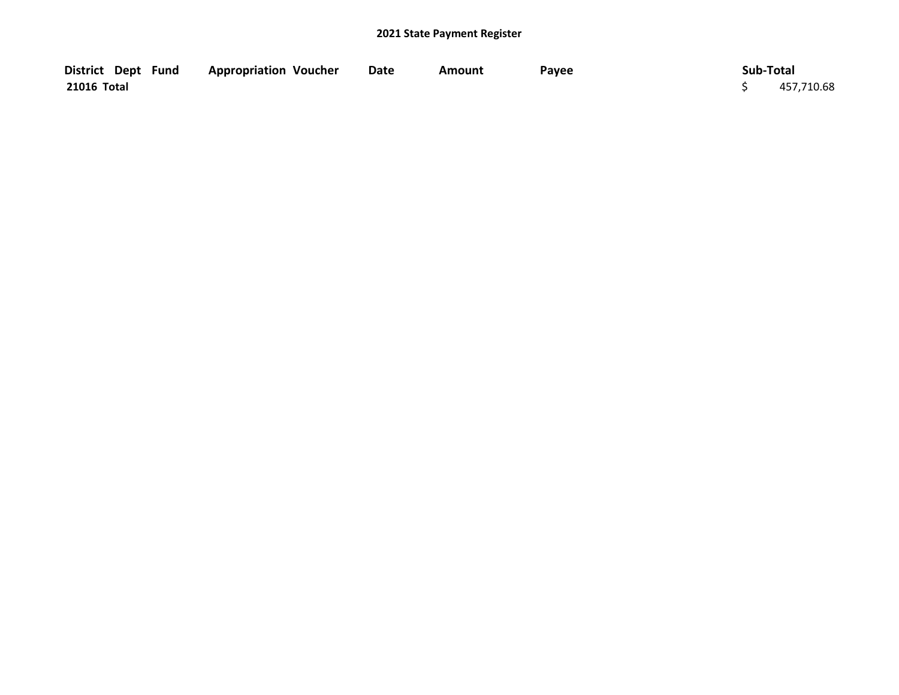| District Dept Fund | <b>Appropriation Voucher</b> | <b>Date</b> | Amount | Payee | Sub-Total |            |
|--------------------|------------------------------|-------------|--------|-------|-----------|------------|
| 21016 Total        |                              |             |        |       |           | 457,710.68 |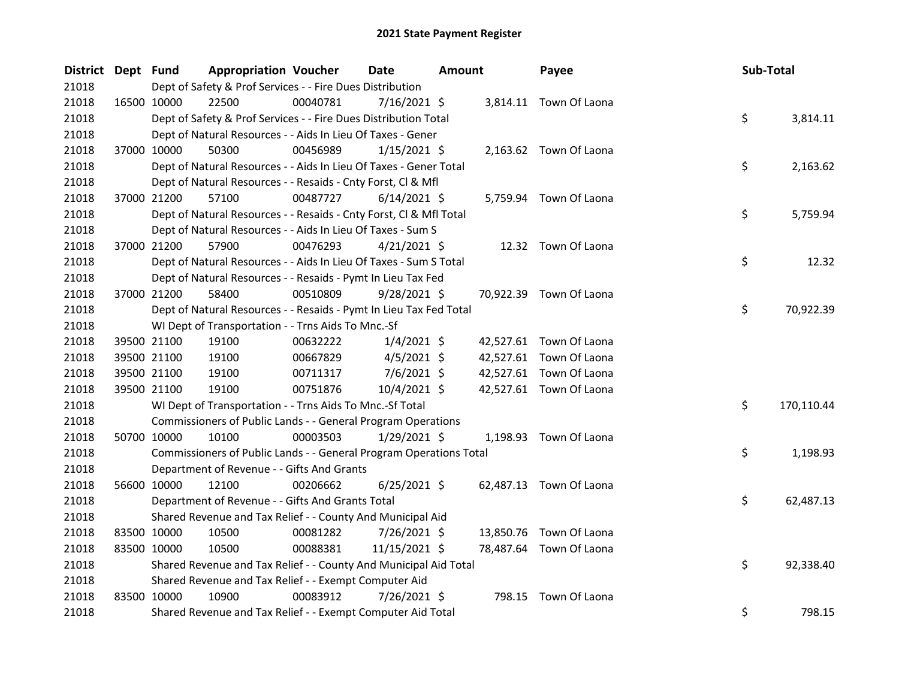| District Dept Fund |             |                                                                    | <b>Appropriation Voucher</b> | <b>Date</b>    | <b>Amount</b> | Payee                   | Sub-Total        |
|--------------------|-------------|--------------------------------------------------------------------|------------------------------|----------------|---------------|-------------------------|------------------|
| 21018              |             | Dept of Safety & Prof Services - - Fire Dues Distribution          |                              |                |               |                         |                  |
| 21018              |             | 16500 10000<br>22500                                               | 00040781                     | $7/16/2021$ \$ |               | 3,814.11 Town Of Laona  |                  |
| 21018              |             | Dept of Safety & Prof Services - - Fire Dues Distribution Total    |                              |                |               |                         | \$<br>3,814.11   |
| 21018              |             | Dept of Natural Resources - - Aids In Lieu Of Taxes - Gener        |                              |                |               |                         |                  |
| 21018              |             | 37000 10000<br>50300                                               | 00456989                     | $1/15/2021$ \$ |               | 2,163.62 Town Of Laona  |                  |
| 21018              |             | Dept of Natural Resources - - Aids In Lieu Of Taxes - Gener Total  |                              |                |               |                         | \$<br>2,163.62   |
| 21018              |             | Dept of Natural Resources - - Resaids - Cnty Forst, Cl & Mfl       |                              |                |               |                         |                  |
| 21018              |             | 37000 21200<br>57100                                               | 00487727                     | $6/14/2021$ \$ |               | 5,759.94 Town Of Laona  |                  |
| 21018              |             | Dept of Natural Resources - - Resaids - Cnty Forst, Cl & Mfl Total |                              |                |               |                         | \$<br>5,759.94   |
| 21018              |             | Dept of Natural Resources - - Aids In Lieu Of Taxes - Sum S        |                              |                |               |                         |                  |
| 21018              |             | 37000 21200<br>57900                                               | 00476293                     | $4/21/2021$ \$ |               | 12.32 Town Of Laona     |                  |
| 21018              |             | Dept of Natural Resources - - Aids In Lieu Of Taxes - Sum S Total  |                              |                |               |                         | \$<br>12.32      |
| 21018              |             | Dept of Natural Resources - - Resaids - Pymt In Lieu Tax Fed       |                              |                |               |                         |                  |
| 21018              | 37000 21200 | 58400                                                              | 00510809                     | $9/28/2021$ \$ |               | 70,922.39 Town Of Laona |                  |
| 21018              |             | Dept of Natural Resources - - Resaids - Pymt In Lieu Tax Fed Total |                              |                |               |                         | \$<br>70,922.39  |
| 21018              |             | WI Dept of Transportation - - Trns Aids To Mnc.-Sf                 |                              |                |               |                         |                  |
| 21018              |             | 39500 21100<br>19100                                               | 00632222                     | $1/4/2021$ \$  |               | 42,527.61 Town Of Laona |                  |
| 21018              |             | 39500 21100<br>19100                                               | 00667829                     | $4/5/2021$ \$  |               | 42,527.61 Town Of Laona |                  |
| 21018              |             | 39500 21100<br>19100                                               | 00711317                     | $7/6/2021$ \$  |               | 42,527.61 Town Of Laona |                  |
| 21018              |             | 39500 21100<br>19100                                               | 00751876                     | 10/4/2021 \$   |               | 42,527.61 Town Of Laona |                  |
| 21018              |             | WI Dept of Transportation - - Trns Aids To Mnc.-Sf Total           |                              |                |               |                         | \$<br>170,110.44 |
| 21018              |             | Commissioners of Public Lands - - General Program Operations       |                              |                |               |                         |                  |
| 21018              |             | 50700 10000<br>10100                                               | 00003503                     | $1/29/2021$ \$ |               | 1,198.93 Town Of Laona  |                  |
| 21018              |             | Commissioners of Public Lands - - General Program Operations Total |                              |                |               |                         | \$<br>1,198.93   |
| 21018              |             | Department of Revenue - - Gifts And Grants                         |                              |                |               |                         |                  |
| 21018              |             | 56600 10000<br>12100                                               | 00206662                     | $6/25/2021$ \$ |               | 62,487.13 Town Of Laona |                  |
| 21018              |             | Department of Revenue - - Gifts And Grants Total                   |                              |                |               |                         | \$<br>62,487.13  |
| 21018              |             | Shared Revenue and Tax Relief - - County And Municipal Aid         |                              |                |               |                         |                  |
| 21018              |             | 83500 10000<br>10500                                               | 00081282                     | 7/26/2021 \$   | 13,850.76     | Town Of Laona           |                  |
| 21018              |             | 83500 10000<br>10500                                               | 00088381                     | 11/15/2021 \$  |               | 78,487.64 Town Of Laona |                  |
| 21018              |             | Shared Revenue and Tax Relief - - County And Municipal Aid Total   |                              |                |               |                         | \$<br>92,338.40  |
| 21018              |             | Shared Revenue and Tax Relief - - Exempt Computer Aid              |                              |                |               |                         |                  |
| 21018              |             | 83500 10000<br>10900                                               | 00083912                     | 7/26/2021 \$   | 798.15        | Town Of Laona           |                  |
| 21018              |             | Shared Revenue and Tax Relief - - Exempt Computer Aid Total        |                              |                |               |                         | \$<br>798.15     |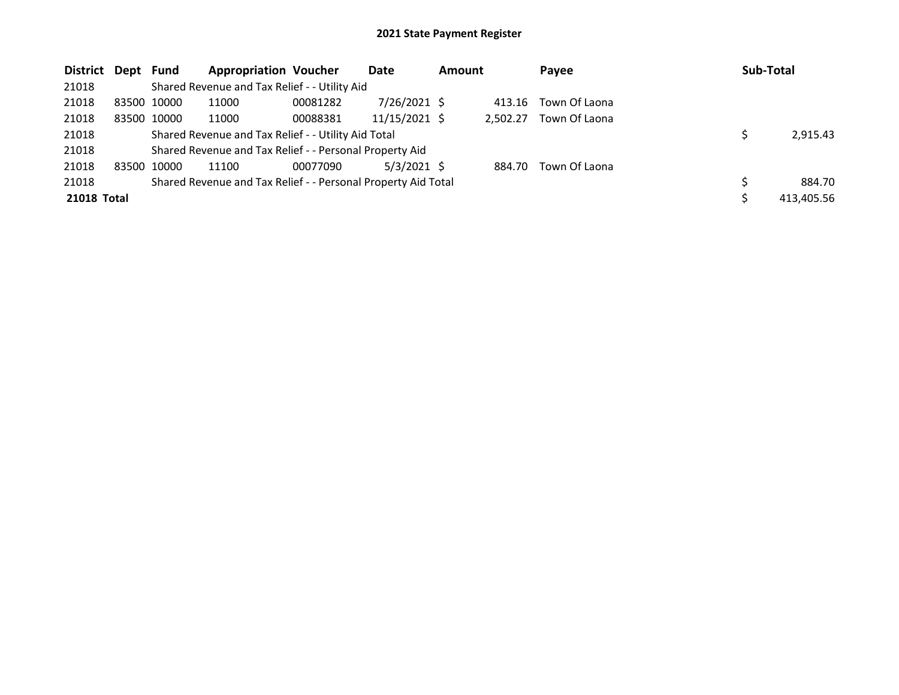| District Dept Fund |       |             | <b>Appropriation Voucher</b>                                  |          | Date            | <b>Amount</b> |          | Payee         | Sub-Total  |
|--------------------|-------|-------------|---------------------------------------------------------------|----------|-----------------|---------------|----------|---------------|------------|
| 21018              |       |             | Shared Revenue and Tax Relief - - Utility Aid                 |          |                 |               |          |               |            |
| 21018              |       | 83500 10000 | 11000                                                         | 00081282 | $7/26/2021$ \$  |               | 413.16   | Town Of Laona |            |
| 21018              |       | 83500 10000 | 11000                                                         | 00088381 | $11/15/2021$ \$ |               | 2.502.27 | Town Of Laona |            |
| 21018              |       |             | Shared Revenue and Tax Relief - - Utility Aid Total           |          |                 |               |          |               | 2,915.43   |
| 21018              |       |             | Shared Revenue and Tax Relief - - Personal Property Aid       |          |                 |               |          |               |            |
| 21018              | 83500 | 10000       | 11100                                                         | 00077090 | $5/3/2021$ \$   |               | 884.70   | Town Of Laona |            |
| 21018              |       |             | Shared Revenue and Tax Relief - - Personal Property Aid Total |          |                 |               |          |               | 884.70     |
| 21018 Total        |       |             |                                                               |          |                 |               |          |               | 413,405.56 |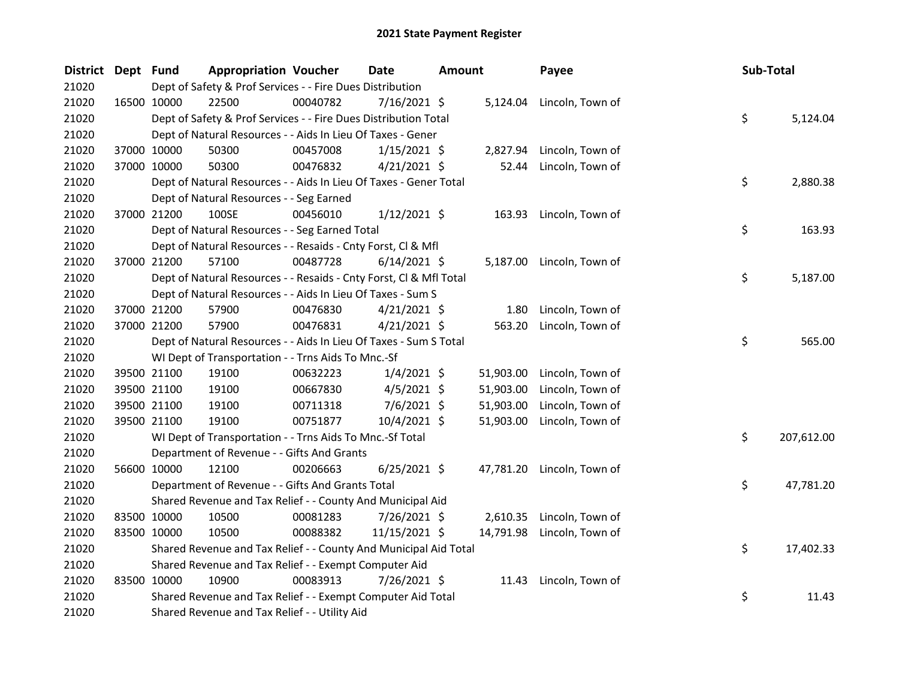| <b>District</b> | Dept Fund   |                                          | <b>Appropriation Voucher</b> |                                                                    | <b>Date</b>    | Amount |           | Payee                      | Sub-Total |            |
|-----------------|-------------|------------------------------------------|------------------------------|--------------------------------------------------------------------|----------------|--------|-----------|----------------------------|-----------|------------|
| 21020           |             |                                          |                              | Dept of Safety & Prof Services - - Fire Dues Distribution          |                |        |           |                            |           |            |
| 21020           |             | 16500 10000                              | 22500                        | 00040782                                                           | 7/16/2021 \$   |        |           | 5,124.04 Lincoln, Town of  |           |            |
| 21020           |             |                                          |                              | Dept of Safety & Prof Services - - Fire Dues Distribution Total    |                |        |           |                            | \$        | 5,124.04   |
| 21020           |             |                                          |                              | Dept of Natural Resources - - Aids In Lieu Of Taxes - Gener        |                |        |           |                            |           |            |
| 21020           |             | 37000 10000                              | 50300                        | 00457008                                                           | $1/15/2021$ \$ |        |           | 2,827.94 Lincoln, Town of  |           |            |
| 21020           |             | 37000 10000                              | 50300                        | 00476832                                                           | $4/21/2021$ \$ |        |           | 52.44 Lincoln, Town of     |           |            |
| 21020           |             |                                          |                              | Dept of Natural Resources - - Aids In Lieu Of Taxes - Gener Total  |                |        |           |                            | \$        | 2,880.38   |
| 21020           |             | Dept of Natural Resources - - Seg Earned |                              |                                                                    |                |        |           |                            |           |            |
| 21020           |             | 37000 21200                              | 100SE                        | 00456010                                                           | $1/12/2021$ \$ |        |           | 163.93 Lincoln, Town of    |           |            |
| 21020           |             |                                          |                              | Dept of Natural Resources - - Seg Earned Total                     |                |        |           |                            | \$        | 163.93     |
| 21020           |             |                                          |                              | Dept of Natural Resources - - Resaids - Cnty Forst, Cl & Mfl       |                |        |           |                            |           |            |
| 21020           |             | 37000 21200                              | 57100                        | 00487728                                                           | $6/14/2021$ \$ |        |           | 5,187.00 Lincoln, Town of  |           |            |
| 21020           |             |                                          |                              | Dept of Natural Resources - - Resaids - Cnty Forst, Cl & Mfl Total |                |        |           |                            | \$        | 5,187.00   |
| 21020           |             |                                          |                              | Dept of Natural Resources - - Aids In Lieu Of Taxes - Sum S        |                |        |           |                            |           |            |
| 21020           |             | 37000 21200                              | 57900                        | 00476830                                                           | $4/21/2021$ \$ |        | 1.80      | Lincoln, Town of           |           |            |
| 21020           |             | 37000 21200                              | 57900                        | 00476831                                                           | $4/21/2021$ \$ |        | 563.20    | Lincoln, Town of           |           |            |
| 21020           |             |                                          |                              | Dept of Natural Resources - - Aids In Lieu Of Taxes - Sum S Total  |                |        |           |                            | \$        | 565.00     |
| 21020           |             |                                          |                              | WI Dept of Transportation - - Trns Aids To Mnc.-Sf                 |                |        |           |                            |           |            |
| 21020           |             | 39500 21100                              | 19100                        | 00632223                                                           | $1/4/2021$ \$  |        |           | 51,903.00 Lincoln, Town of |           |            |
| 21020           |             | 39500 21100                              | 19100                        | 00667830                                                           | $4/5/2021$ \$  |        | 51,903.00 | Lincoln, Town of           |           |            |
| 21020           |             | 39500 21100                              | 19100                        | 00711318                                                           | 7/6/2021 \$    |        | 51,903.00 | Lincoln, Town of           |           |            |
| 21020           |             | 39500 21100                              | 19100                        | 00751877                                                           | 10/4/2021 \$   |        | 51,903.00 | Lincoln, Town of           |           |            |
| 21020           |             |                                          |                              | WI Dept of Transportation - - Trns Aids To Mnc.-Sf Total           |                |        |           |                            | \$        | 207,612.00 |
| 21020           |             |                                          |                              | Department of Revenue - - Gifts And Grants                         |                |        |           |                            |           |            |
| 21020           |             | 56600 10000                              | 12100                        | 00206663                                                           | $6/25/2021$ \$ |        |           | 47,781.20 Lincoln, Town of |           |            |
| 21020           |             |                                          |                              | Department of Revenue - - Gifts And Grants Total                   |                |        |           |                            | \$        | 47,781.20  |
| 21020           |             |                                          |                              | Shared Revenue and Tax Relief - - County And Municipal Aid         |                |        |           |                            |           |            |
| 21020           | 83500 10000 |                                          | 10500                        | 00081283                                                           | 7/26/2021 \$   |        |           | 2,610.35 Lincoln, Town of  |           |            |
| 21020           |             | 83500 10000                              | 10500                        | 00088382                                                           | 11/15/2021 \$  |        |           | 14,791.98 Lincoln, Town of |           |            |
| 21020           |             |                                          |                              | Shared Revenue and Tax Relief - - County And Municipal Aid Total   |                |        |           |                            | \$        | 17,402.33  |
| 21020           |             |                                          |                              | Shared Revenue and Tax Relief - - Exempt Computer Aid              |                |        |           |                            |           |            |
| 21020           |             | 83500 10000                              | 10900                        | 00083913                                                           | 7/26/2021 \$   |        |           | 11.43 Lincoln, Town of     |           |            |
| 21020           |             |                                          |                              | Shared Revenue and Tax Relief - - Exempt Computer Aid Total        |                |        |           |                            | \$        | 11.43      |
| 21020           |             |                                          |                              | Shared Revenue and Tax Relief - - Utility Aid                      |                |        |           |                            |           |            |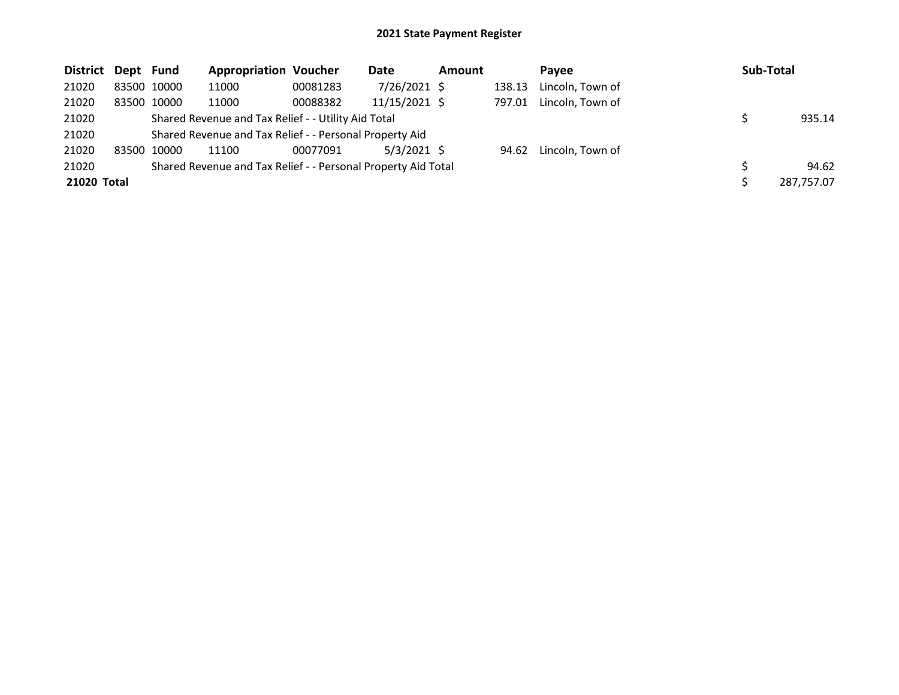| District Dept Fund |             | <b>Appropriation Voucher</b>                                  |          | Date          | <b>Amount</b> |        | Pavee            | <b>Sub-Total</b> |
|--------------------|-------------|---------------------------------------------------------------|----------|---------------|---------------|--------|------------------|------------------|
| 21020              | 83500 10000 | 11000                                                         | 00081283 | 7/26/2021 \$  |               | 138.13 | Lincoln, Town of |                  |
| 21020              | 83500 10000 | 11000                                                         | 00088382 | 11/15/2021 \$ |               | 797.01 | Lincoln, Town of |                  |
| 21020              |             | Shared Revenue and Tax Relief - - Utility Aid Total           |          |               |               |        |                  | 935.14           |
| 21020              |             | Shared Revenue and Tax Relief - - Personal Property Aid       |          |               |               |        |                  |                  |
| 21020              | 83500 10000 | 11100                                                         | 00077091 | $5/3/2021$ \$ |               | 94.62  | Lincoln, Town of |                  |
| 21020              |             | Shared Revenue and Tax Relief - - Personal Property Aid Total |          |               |               |        |                  | 94.62            |
| 21020 Total        |             |                                                               |          |               |               |        |                  | 287,757.07       |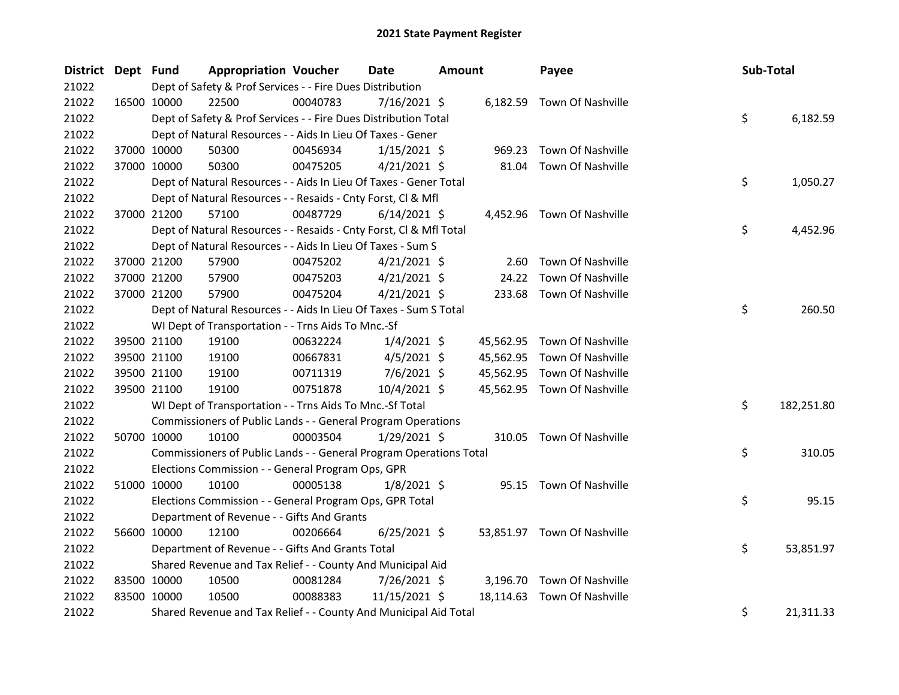| <b>District</b> | Dept Fund   |             | <b>Appropriation Voucher</b>                                       |          | <b>Date</b>    | <b>Amount</b> |           | Payee                       | Sub-Total |            |
|-----------------|-------------|-------------|--------------------------------------------------------------------|----------|----------------|---------------|-----------|-----------------------------|-----------|------------|
| 21022           |             |             | Dept of Safety & Prof Services - - Fire Dues Distribution          |          |                |               |           |                             |           |            |
| 21022           | 16500 10000 |             | 22500                                                              | 00040783 | $7/16/2021$ \$ |               |           | 6,182.59 Town Of Nashville  |           |            |
| 21022           |             |             | Dept of Safety & Prof Services - - Fire Dues Distribution Total    |          |                |               |           |                             | \$        | 6,182.59   |
| 21022           |             |             | Dept of Natural Resources - - Aids In Lieu Of Taxes - Gener        |          |                |               |           |                             |           |            |
| 21022           | 37000 10000 |             | 50300                                                              | 00456934 | $1/15/2021$ \$ |               | 969.23    | <b>Town Of Nashville</b>    |           |            |
| 21022           | 37000 10000 |             | 50300                                                              | 00475205 | $4/21/2021$ \$ |               | 81.04     | Town Of Nashville           |           |            |
| 21022           |             |             | Dept of Natural Resources - - Aids In Lieu Of Taxes - Gener Total  |          |                |               |           |                             | \$        | 1,050.27   |
| 21022           |             |             | Dept of Natural Resources - - Resaids - Cnty Forst, Cl & Mfl       |          |                |               |           |                             |           |            |
| 21022           |             | 37000 21200 | 57100                                                              | 00487729 | $6/14/2021$ \$ |               |           | 4,452.96 Town Of Nashville  |           |            |
| 21022           |             |             | Dept of Natural Resources - - Resaids - Cnty Forst, Cl & Mfl Total |          |                |               |           |                             | \$        | 4,452.96   |
| 21022           |             |             | Dept of Natural Resources - - Aids In Lieu Of Taxes - Sum S        |          |                |               |           |                             |           |            |
| 21022           | 37000 21200 |             | 57900                                                              | 00475202 | $4/21/2021$ \$ |               | 2.60      | Town Of Nashville           |           |            |
| 21022           | 37000 21200 |             | 57900                                                              | 00475203 | $4/21/2021$ \$ |               | 24.22     | Town Of Nashville           |           |            |
| 21022           | 37000 21200 |             | 57900                                                              | 00475204 | $4/21/2021$ \$ |               |           | 233.68 Town Of Nashville    |           |            |
| 21022           |             |             | Dept of Natural Resources - - Aids In Lieu Of Taxes - Sum S Total  |          |                |               |           |                             | \$        | 260.50     |
| 21022           |             |             | WI Dept of Transportation - - Trns Aids To Mnc.-Sf                 |          |                |               |           |                             |           |            |
| 21022           | 39500 21100 |             | 19100                                                              | 00632224 | $1/4/2021$ \$  |               |           | 45,562.95 Town Of Nashville |           |            |
| 21022           | 39500 21100 |             | 19100                                                              | 00667831 | $4/5/2021$ \$  |               |           | 45,562.95 Town Of Nashville |           |            |
| 21022           | 39500 21100 |             | 19100                                                              | 00711319 | $7/6/2021$ \$  |               |           | 45,562.95 Town Of Nashville |           |            |
| 21022           | 39500 21100 |             | 19100                                                              | 00751878 | $10/4/2021$ \$ |               |           | 45,562.95 Town Of Nashville |           |            |
| 21022           |             |             | WI Dept of Transportation - - Trns Aids To Mnc.-Sf Total           |          |                |               |           |                             | \$        | 182,251.80 |
| 21022           |             |             | Commissioners of Public Lands - - General Program Operations       |          |                |               |           |                             |           |            |
| 21022           |             | 50700 10000 | 10100                                                              | 00003504 | 1/29/2021 \$   |               |           | 310.05 Town Of Nashville    |           |            |
| 21022           |             |             | Commissioners of Public Lands - - General Program Operations Total |          |                |               |           |                             | \$        | 310.05     |
| 21022           |             |             | Elections Commission - - General Program Ops, GPR                  |          |                |               |           |                             |           |            |
| 21022           | 51000 10000 |             | 10100                                                              | 00005138 | $1/8/2021$ \$  |               |           | 95.15 Town Of Nashville     |           |            |
| 21022           |             |             | Elections Commission - - General Program Ops, GPR Total            |          |                |               |           |                             | \$        | 95.15      |
| 21022           |             |             | Department of Revenue - - Gifts And Grants                         |          |                |               |           |                             |           |            |
| 21022           | 56600 10000 |             | 12100                                                              | 00206664 | $6/25/2021$ \$ |               |           | 53,851.97 Town Of Nashville |           |            |
| 21022           |             |             | Department of Revenue - - Gifts And Grants Total                   |          |                |               |           |                             | \$        | 53,851.97  |
| 21022           |             |             | Shared Revenue and Tax Relief - - County And Municipal Aid         |          |                |               |           |                             |           |            |
| 21022           | 83500 10000 |             | 10500                                                              | 00081284 | 7/26/2021 \$   |               | 3,196.70  | Town Of Nashville           |           |            |
| 21022           | 83500 10000 |             | 10500                                                              | 00088383 | 11/15/2021 \$  |               | 18,114.63 | Town Of Nashville           |           |            |
| 21022           |             |             | Shared Revenue and Tax Relief - - County And Municipal Aid Total   |          |                |               |           |                             | \$        | 21,311.33  |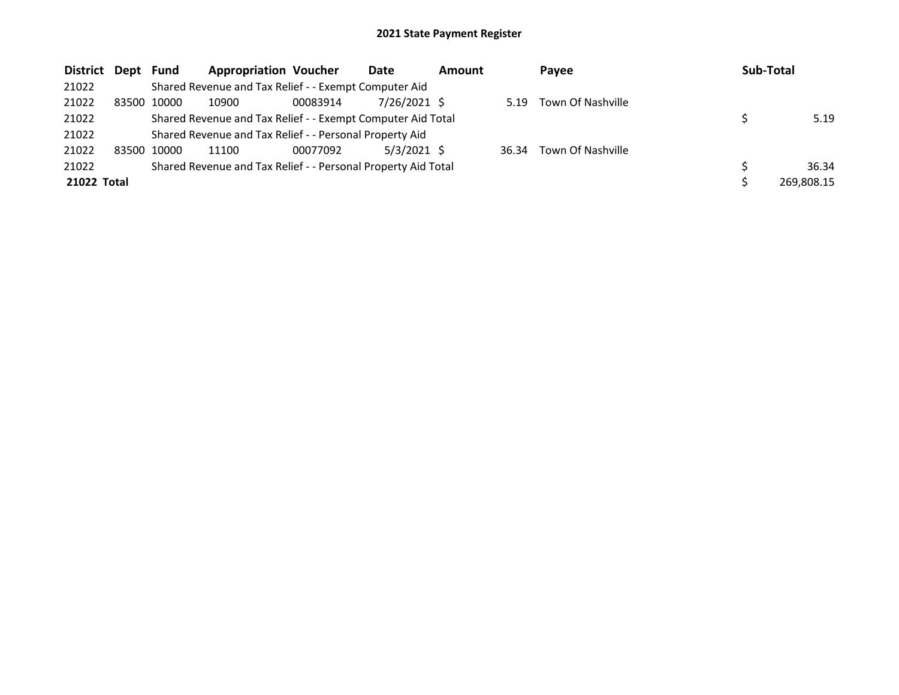| <b>District</b> | Dept Fund |       | <b>Appropriation Voucher</b>                                  |          | Date           | <b>Amount</b> |       | Payee             | Sub-Total |            |
|-----------------|-----------|-------|---------------------------------------------------------------|----------|----------------|---------------|-------|-------------------|-----------|------------|
| 21022           |           |       | Shared Revenue and Tax Relief - - Exempt Computer Aid         |          |                |               |       |                   |           |            |
| 21022           | 83500     | 10000 | 10900                                                         | 00083914 | $7/26/2021$ \$ |               | 5.19  | Town Of Nashville |           |            |
| 21022           |           |       | Shared Revenue and Tax Relief - - Exempt Computer Aid Total   |          |                |               |       |                   |           | 5.19       |
| 21022           |           |       | Shared Revenue and Tax Relief - - Personal Property Aid       |          |                |               |       |                   |           |            |
| 21022           | 83500     | 10000 | 11100                                                         | 00077092 | $5/3/2021$ \$  |               | 36.34 | Town Of Nashville |           |            |
| 21022           |           |       | Shared Revenue and Tax Relief - - Personal Property Aid Total |          |                |               |       |                   |           | 36.34      |
| 21022 Total     |           |       |                                                               |          |                |               |       |                   |           | 269,808.15 |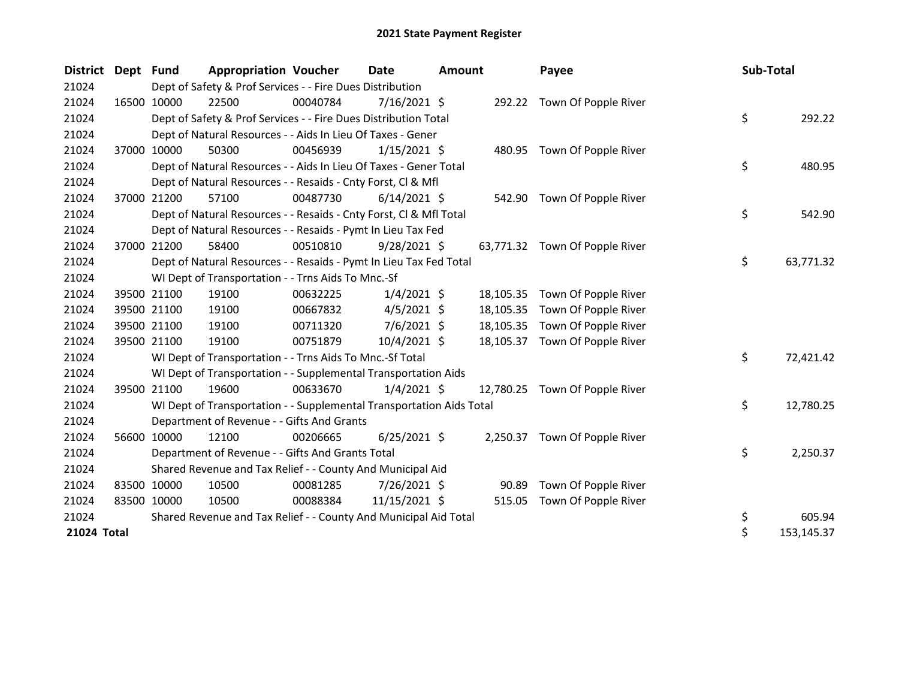| <b>District</b> | Dept Fund |             | <b>Appropriation Voucher</b>                                         |          | Date           | <b>Amount</b> |           | Payee                          | Sub-Total |            |
|-----------------|-----------|-------------|----------------------------------------------------------------------|----------|----------------|---------------|-----------|--------------------------------|-----------|------------|
| 21024           |           |             | Dept of Safety & Prof Services - - Fire Dues Distribution            |          |                |               |           |                                |           |            |
| 21024           |           | 16500 10000 | 22500                                                                | 00040784 | 7/16/2021 \$   |               |           | 292.22 Town Of Popple River    |           |            |
| 21024           |           |             | Dept of Safety & Prof Services - - Fire Dues Distribution Total      |          |                |               |           |                                | \$        | 292.22     |
| 21024           |           |             | Dept of Natural Resources - - Aids In Lieu Of Taxes - Gener          |          |                |               |           |                                |           |            |
| 21024           |           | 37000 10000 | 50300                                                                | 00456939 | $1/15/2021$ \$ |               |           | 480.95 Town Of Popple River    |           |            |
| 21024           |           |             | Dept of Natural Resources - - Aids In Lieu Of Taxes - Gener Total    |          |                |               |           |                                | \$        | 480.95     |
| 21024           |           |             | Dept of Natural Resources - - Resaids - Cnty Forst, Cl & Mfl         |          |                |               |           |                                |           |            |
| 21024           |           | 37000 21200 | 57100                                                                | 00487730 | $6/14/2021$ \$ |               |           | 542.90 Town Of Popple River    |           |            |
| 21024           |           |             | Dept of Natural Resources - - Resaids - Cnty Forst, CI & Mfl Total   |          |                |               |           |                                | \$        | 542.90     |
| 21024           |           |             | Dept of Natural Resources - - Resaids - Pymt In Lieu Tax Fed         |          |                |               |           |                                |           |            |
| 21024           |           | 37000 21200 | 58400                                                                | 00510810 | $9/28/2021$ \$ |               |           | 63,771.32 Town Of Popple River |           |            |
| 21024           |           |             | Dept of Natural Resources - - Resaids - Pymt In Lieu Tax Fed Total   |          |                |               |           |                                | \$        | 63,771.32  |
| 21024           |           |             | WI Dept of Transportation - - Trns Aids To Mnc.-Sf                   |          |                |               |           |                                |           |            |
| 21024           |           | 39500 21100 | 19100                                                                | 00632225 | $1/4/2021$ \$  |               | 18,105.35 | Town Of Popple River           |           |            |
| 21024           |           | 39500 21100 | 19100                                                                | 00667832 | $4/5/2021$ \$  |               | 18,105.35 | Town Of Popple River           |           |            |
| 21024           |           | 39500 21100 | 19100                                                                | 00711320 | 7/6/2021 \$    |               | 18,105.35 | Town Of Popple River           |           |            |
| 21024           |           | 39500 21100 | 19100                                                                | 00751879 | 10/4/2021 \$   |               |           | 18,105.37 Town Of Popple River |           |            |
| 21024           |           |             | WI Dept of Transportation - - Trns Aids To Mnc.-Sf Total             |          |                |               |           |                                | \$        | 72,421.42  |
| 21024           |           |             | WI Dept of Transportation - - Supplemental Transportation Aids       |          |                |               |           |                                |           |            |
| 21024           |           | 39500 21100 | 19600                                                                | 00633670 | $1/4/2021$ \$  |               | 12,780.25 | Town Of Popple River           |           |            |
| 21024           |           |             | WI Dept of Transportation - - Supplemental Transportation Aids Total |          |                |               |           |                                | \$        | 12,780.25  |
| 21024           |           |             | Department of Revenue - - Gifts And Grants                           |          |                |               |           |                                |           |            |
| 21024           |           | 56600 10000 | 12100                                                                | 00206665 | $6/25/2021$ \$ |               |           | 2,250.37 Town Of Popple River  |           |            |
| 21024           |           |             | Department of Revenue - - Gifts And Grants Total                     |          |                |               |           |                                | \$        | 2,250.37   |
| 21024           |           |             | Shared Revenue and Tax Relief - - County And Municipal Aid           |          |                |               |           |                                |           |            |
| 21024           |           | 83500 10000 | 10500                                                                | 00081285 | 7/26/2021 \$   |               | 90.89     | Town Of Popple River           |           |            |
| 21024           |           | 83500 10000 | 10500                                                                | 00088384 | 11/15/2021 \$  |               | 515.05    | Town Of Popple River           |           |            |
| 21024           |           |             | Shared Revenue and Tax Relief - - County And Municipal Aid Total     |          |                |               |           |                                | \$        | 605.94     |
| 21024 Total     |           |             |                                                                      |          |                |               |           |                                | \$        | 153,145.37 |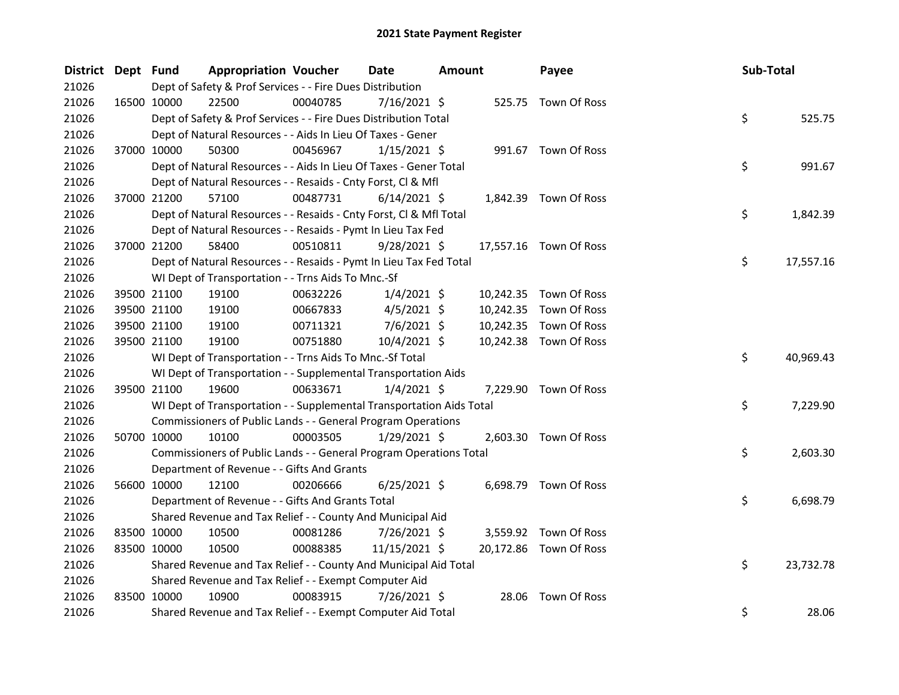| District Dept Fund |             |                                                                      | <b>Appropriation Voucher</b> | <b>Date</b>    | <b>Amount</b> |       | Payee                  | Sub-Total |           |
|--------------------|-------------|----------------------------------------------------------------------|------------------------------|----------------|---------------|-------|------------------------|-----------|-----------|
| 21026              |             | Dept of Safety & Prof Services - - Fire Dues Distribution            |                              |                |               |       |                        |           |           |
| 21026              |             | 22500<br>16500 10000                                                 | 00040785                     | 7/16/2021 \$   |               |       | 525.75 Town Of Ross    |           |           |
| 21026              |             | Dept of Safety & Prof Services - - Fire Dues Distribution Total      |                              |                |               |       |                        | \$        | 525.75    |
| 21026              |             | Dept of Natural Resources - - Aids In Lieu Of Taxes - Gener          |                              |                |               |       |                        |           |           |
| 21026              |             | 37000 10000<br>50300                                                 | 00456967                     | $1/15/2021$ \$ |               |       | 991.67 Town Of Ross    |           |           |
| 21026              |             | Dept of Natural Resources - - Aids In Lieu Of Taxes - Gener Total    |                              |                |               |       |                        | \$        | 991.67    |
| 21026              |             | Dept of Natural Resources - - Resaids - Cnty Forst, Cl & Mfl         |                              |                |               |       |                        |           |           |
| 21026              |             | 57100<br>37000 21200                                                 | 00487731                     | $6/14/2021$ \$ |               |       | 1,842.39 Town Of Ross  |           |           |
| 21026              |             | Dept of Natural Resources - - Resaids - Cnty Forst, Cl & Mfl Total   |                              |                |               |       |                        | \$        | 1,842.39  |
| 21026              |             | Dept of Natural Resources - - Resaids - Pymt In Lieu Tax Fed         |                              |                |               |       |                        |           |           |
| 21026              |             | 37000 21200<br>58400                                                 | 00510811                     | $9/28/2021$ \$ |               |       | 17,557.16 Town Of Ross |           |           |
| 21026              |             | Dept of Natural Resources - - Resaids - Pymt In Lieu Tax Fed Total   |                              |                |               |       |                        | \$        | 17,557.16 |
| 21026              |             | WI Dept of Transportation - - Trns Aids To Mnc.-Sf                   |                              |                |               |       |                        |           |           |
| 21026              |             | 39500 21100<br>19100                                                 | 00632226                     | $1/4/2021$ \$  |               |       | 10,242.35 Town Of Ross |           |           |
| 21026              |             | 39500 21100<br>19100                                                 | 00667833                     | $4/5/2021$ \$  |               |       | 10,242.35 Town Of Ross |           |           |
| 21026              |             | 39500 21100<br>19100                                                 | 00711321                     | $7/6/2021$ \$  |               |       | 10,242.35 Town Of Ross |           |           |
| 21026              |             | 39500 21100<br>19100                                                 | 00751880                     | 10/4/2021 \$   |               |       | 10,242.38 Town Of Ross |           |           |
| 21026              |             | WI Dept of Transportation - - Trns Aids To Mnc.-Sf Total             |                              |                |               |       |                        | \$        | 40,969.43 |
| 21026              |             | WI Dept of Transportation - - Supplemental Transportation Aids       |                              |                |               |       |                        |           |           |
| 21026              |             | 39500 21100<br>19600                                                 | 00633671                     | $1/4/2021$ \$  |               |       | 7,229.90 Town Of Ross  |           |           |
| 21026              |             | WI Dept of Transportation - - Supplemental Transportation Aids Total |                              |                |               |       |                        | \$        | 7,229.90  |
| 21026              |             | Commissioners of Public Lands - - General Program Operations         |                              |                |               |       |                        |           |           |
| 21026              |             | 50700 10000<br>10100                                                 | 00003505                     | $1/29/2021$ \$ |               |       | 2,603.30 Town Of Ross  |           |           |
| 21026              |             | Commissioners of Public Lands - - General Program Operations Total   |                              |                |               |       |                        | \$        | 2,603.30  |
| 21026              |             | Department of Revenue - - Gifts And Grants                           |                              |                |               |       |                        |           |           |
| 21026              |             | 56600 10000<br>12100                                                 | 00206666                     | $6/25/2021$ \$ |               |       | 6,698.79 Town Of Ross  |           |           |
| 21026              |             | Department of Revenue - - Gifts And Grants Total                     |                              |                |               |       |                        | \$        | 6,698.79  |
| 21026              |             | Shared Revenue and Tax Relief - - County And Municipal Aid           |                              |                |               |       |                        |           |           |
| 21026              | 83500 10000 | 10500                                                                | 00081286                     | 7/26/2021 \$   |               |       | 3,559.92 Town Of Ross  |           |           |
| 21026              | 83500 10000 | 10500                                                                | 00088385                     | 11/15/2021 \$  |               |       | 20,172.86 Town Of Ross |           |           |
| 21026              |             | Shared Revenue and Tax Relief - - County And Municipal Aid Total     |                              |                |               |       |                        | \$        | 23,732.78 |
| 21026              |             | Shared Revenue and Tax Relief - - Exempt Computer Aid                |                              |                |               |       |                        |           |           |
| 21026              | 83500 10000 | 10900                                                                | 00083915                     | 7/26/2021 \$   |               | 28.06 | Town Of Ross           |           |           |
| 21026              |             | Shared Revenue and Tax Relief - - Exempt Computer Aid Total          |                              |                |               |       |                        | \$        | 28.06     |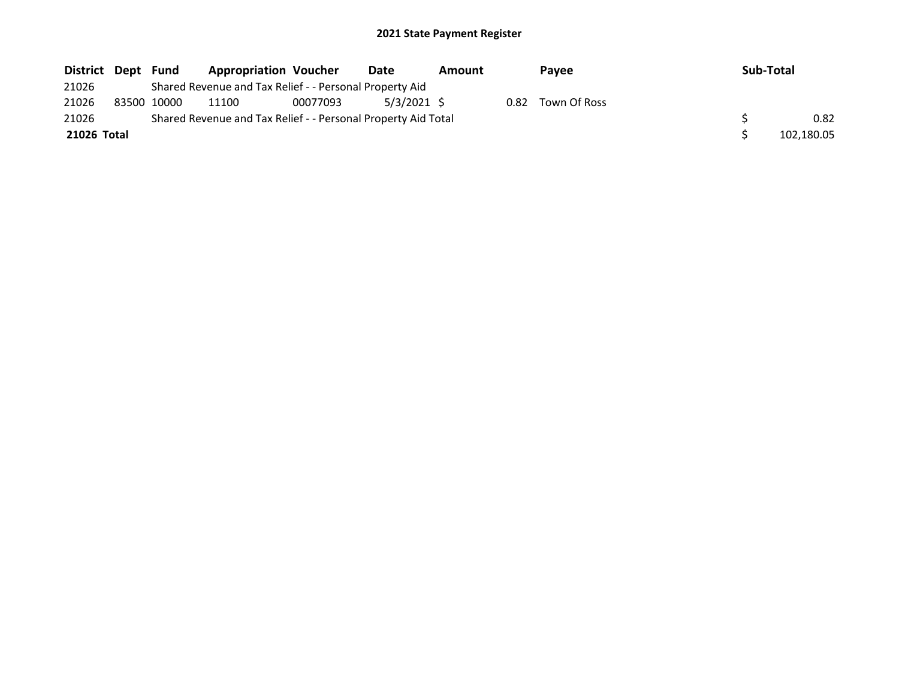| District Dept Fund |             | <b>Appropriation Voucher</b>                                  |          | Date        | Amount |      | <b>Pavee</b> | <b>Sub-Total</b> |
|--------------------|-------------|---------------------------------------------------------------|----------|-------------|--------|------|--------------|------------------|
| 21026              |             | Shared Revenue and Tax Relief - - Personal Property Aid       |          |             |        |      |              |                  |
| 21026              | 83500 10000 | 11100                                                         | 00077093 | 5/3/2021 \$ |        | 0.82 | Town Of Ross |                  |
| 21026              |             | Shared Revenue and Tax Relief - - Personal Property Aid Total |          |             |        |      |              | 0.82             |
| 21026 Total        |             |                                                               |          |             |        |      |              | 102,180.05       |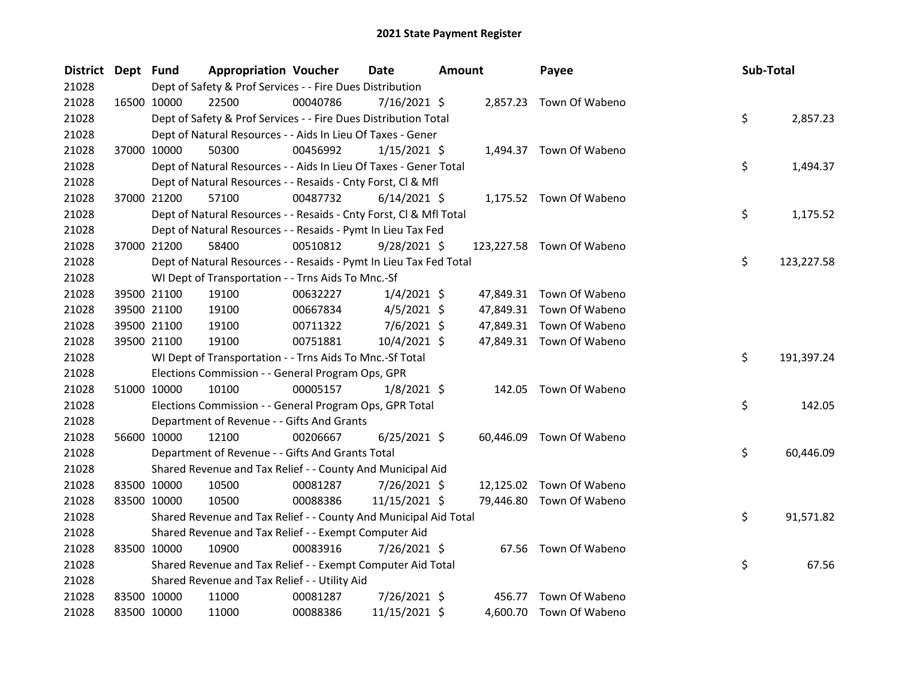| <b>District</b> | Dept Fund |                                                             | <b>Appropriation Voucher</b>                                       |          | Date           | Amount |                           |  | Sub-Total |            |  |
|-----------------|-----------|-------------------------------------------------------------|--------------------------------------------------------------------|----------|----------------|--------|---------------------------|--|-----------|------------|--|
| 21028           |           |                                                             | Dept of Safety & Prof Services - - Fire Dues Distribution          |          |                |        |                           |  |           |            |  |
| 21028           |           | 16500 10000                                                 | 22500                                                              | 00040786 | $7/16/2021$ \$ |        | 2,857.23 Town Of Wabeno   |  |           |            |  |
| 21028           |           |                                                             | Dept of Safety & Prof Services - - Fire Dues Distribution Total    |          |                |        |                           |  | \$        | 2,857.23   |  |
| 21028           |           | Dept of Natural Resources - - Aids In Lieu Of Taxes - Gener |                                                                    |          |                |        |                           |  |           |            |  |
| 21028           |           | 37000 10000                                                 | 50300                                                              | 00456992 | $1/15/2021$ \$ |        | 1,494.37 Town Of Wabeno   |  |           |            |  |
| 21028           |           |                                                             | Dept of Natural Resources - - Aids In Lieu Of Taxes - Gener Total  |          |                |        |                           |  | \$        | 1,494.37   |  |
| 21028           |           |                                                             | Dept of Natural Resources - - Resaids - Cnty Forst, Cl & Mfl       |          |                |        |                           |  |           |            |  |
| 21028           |           | 37000 21200                                                 | 57100                                                              | 00487732 | $6/14/2021$ \$ |        | 1,175.52 Town Of Wabeno   |  |           |            |  |
| 21028           |           |                                                             | Dept of Natural Resources - - Resaids - Cnty Forst, Cl & Mfl Total |          |                |        |                           |  | \$        | 1,175.52   |  |
| 21028           |           |                                                             | Dept of Natural Resources - - Resaids - Pymt In Lieu Tax Fed       |          |                |        |                           |  |           |            |  |
| 21028           |           | 37000 21200                                                 | 58400                                                              | 00510812 | $9/28/2021$ \$ |        | 123,227.58 Town Of Wabeno |  |           |            |  |
| 21028           |           |                                                             | Dept of Natural Resources - - Resaids - Pymt In Lieu Tax Fed Total |          |                |        |                           |  | \$        | 123,227.58 |  |
| 21028           |           |                                                             | WI Dept of Transportation - - Trns Aids To Mnc.-Sf                 |          |                |        |                           |  |           |            |  |
| 21028           |           | 39500 21100                                                 | 19100                                                              | 00632227 | $1/4/2021$ \$  |        | 47,849.31 Town Of Wabeno  |  |           |            |  |
| 21028           |           | 39500 21100                                                 | 19100                                                              | 00667834 | $4/5/2021$ \$  |        | 47,849.31 Town Of Wabeno  |  |           |            |  |
| 21028           |           | 39500 21100                                                 | 19100                                                              | 00711322 | $7/6/2021$ \$  |        | 47,849.31 Town Of Wabeno  |  |           |            |  |
| 21028           |           | 39500 21100                                                 | 19100                                                              | 00751881 | 10/4/2021 \$   |        | 47,849.31 Town Of Wabeno  |  |           |            |  |
| 21028           |           |                                                             | WI Dept of Transportation - - Trns Aids To Mnc.-Sf Total           |          |                |        |                           |  | \$        | 191,397.24 |  |
| 21028           |           |                                                             | Elections Commission - - General Program Ops, GPR                  |          |                |        |                           |  |           |            |  |
| 21028           |           | 51000 10000                                                 | 10100                                                              | 00005157 | $1/8/2021$ \$  |        | 142.05 Town Of Wabeno     |  |           |            |  |
| 21028           |           |                                                             | Elections Commission - - General Program Ops, GPR Total            |          |                |        |                           |  | \$        | 142.05     |  |
| 21028           |           |                                                             | Department of Revenue - - Gifts And Grants                         |          |                |        |                           |  |           |            |  |
| 21028           |           | 56600 10000                                                 | 12100                                                              | 00206667 | $6/25/2021$ \$ |        | 60,446.09 Town Of Wabeno  |  |           |            |  |
| 21028           |           |                                                             | Department of Revenue - - Gifts And Grants Total                   |          |                |        |                           |  | \$        | 60,446.09  |  |
| 21028           |           |                                                             | Shared Revenue and Tax Relief - - County And Municipal Aid         |          |                |        |                           |  |           |            |  |
| 21028           |           | 83500 10000                                                 | 10500                                                              | 00081287 | 7/26/2021 \$   |        | 12,125.02 Town Of Wabeno  |  |           |            |  |
| 21028           |           | 83500 10000                                                 | 10500                                                              | 00088386 | 11/15/2021 \$  |        | 79,446.80 Town Of Wabeno  |  |           |            |  |
| 21028           |           |                                                             | Shared Revenue and Tax Relief - - County And Municipal Aid Total   |          |                |        |                           |  | \$        | 91,571.82  |  |
| 21028           |           |                                                             | Shared Revenue and Tax Relief - - Exempt Computer Aid              |          |                |        |                           |  |           |            |  |
| 21028           |           | 83500 10000                                                 | 10900                                                              | 00083916 | 7/26/2021 \$   |        | 67.56 Town Of Wabeno      |  |           |            |  |
| 21028           |           |                                                             | Shared Revenue and Tax Relief - - Exempt Computer Aid Total        |          |                |        |                           |  | \$        | 67.56      |  |
| 21028           |           |                                                             | Shared Revenue and Tax Relief - - Utility Aid                      |          |                |        |                           |  |           |            |  |
| 21028           |           | 83500 10000                                                 | 11000                                                              | 00081287 | 7/26/2021 \$   |        | 456.77 Town Of Wabeno     |  |           |            |  |
| 21028           |           | 83500 10000                                                 | 11000                                                              | 00088386 | 11/15/2021 \$  |        | 4,600.70 Town Of Wabeno   |  |           |            |  |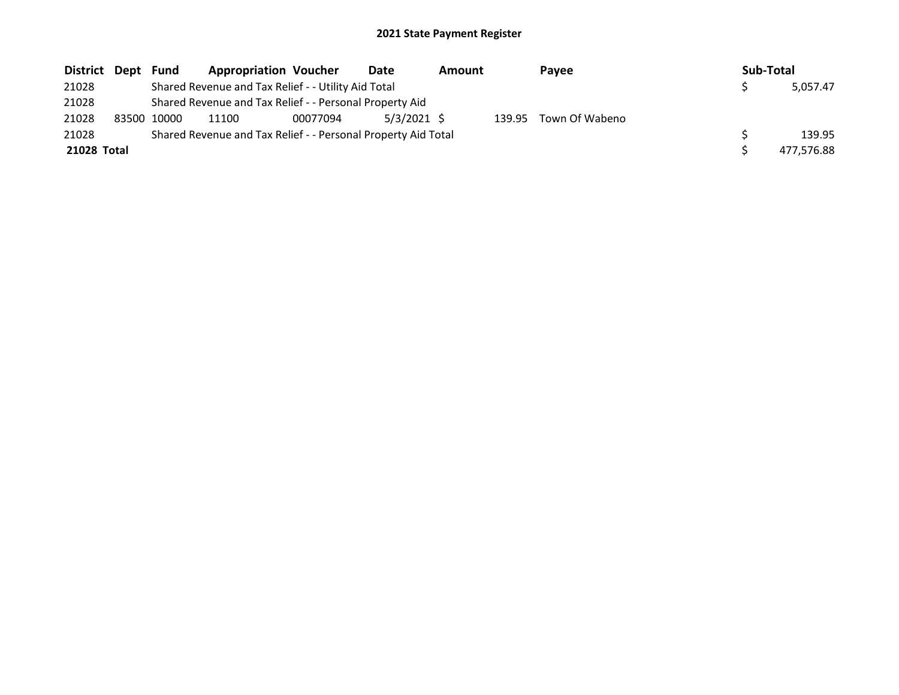| District Dept |  | Fund                                                          | <b>Appropriation Voucher</b> |          | Date          | Amount |        | Payee          |  | Sub-Total |          |
|---------------|--|---------------------------------------------------------------|------------------------------|----------|---------------|--------|--------|----------------|--|-----------|----------|
| 21028         |  | Shared Revenue and Tax Relief - - Utility Aid Total           |                              |          |               |        |        |                |  |           | 5,057.47 |
| 21028         |  | Shared Revenue and Tax Relief - - Personal Property Aid       |                              |          |               |        |        |                |  |           |          |
| 21028         |  | 83500 10000                                                   | 11100                        | 00077094 | $5/3/2021$ \$ |        | 139.95 | Town Of Wabeno |  |           |          |
| 21028         |  | Shared Revenue and Tax Relief - - Personal Property Aid Total |                              |          |               |        |        |                |  |           | 139.95   |
| 21028 Total   |  |                                                               |                              |          |               |        |        | 477.576.88     |  |           |          |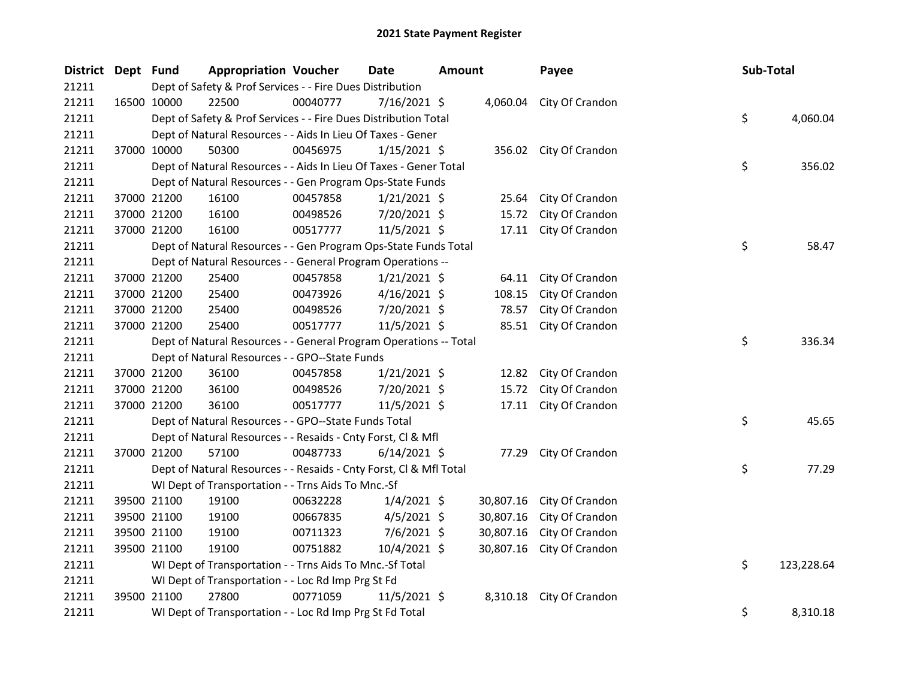| District Dept Fund | <b>Appropriation Voucher</b>                                       |          | <b>Date</b>    | <b>Amount</b> |           | Payee                    |  | Sub-Total |            |
|--------------------|--------------------------------------------------------------------|----------|----------------|---------------|-----------|--------------------------|--|-----------|------------|
| 21211              | Dept of Safety & Prof Services - - Fire Dues Distribution          |          |                |               |           |                          |  |           |            |
| 21211              | 22500<br>16500 10000                                               | 00040777 | 7/16/2021 \$   |               |           | 4,060.04 City Of Crandon |  |           |            |
| 21211              | Dept of Safety & Prof Services - - Fire Dues Distribution Total    |          |                |               |           |                          |  |           | 4,060.04   |
| 21211              | Dept of Natural Resources - - Aids In Lieu Of Taxes - Gener        |          |                |               |           |                          |  |           |            |
| 21211              | 37000 10000<br>50300                                               | 00456975 | $1/15/2021$ \$ |               |           | 356.02 City Of Crandon   |  |           |            |
| 21211              | Dept of Natural Resources - - Aids In Lieu Of Taxes - Gener Total  |          |                |               |           |                          |  | \$        | 356.02     |
| 21211              | Dept of Natural Resources - - Gen Program Ops-State Funds          |          |                |               |           |                          |  |           |            |
| 21211              | 37000 21200<br>16100                                               | 00457858 | $1/21/2021$ \$ |               | 25.64     | City Of Crandon          |  |           |            |
| 21211              | 37000 21200<br>16100                                               | 00498526 | 7/20/2021 \$   |               | 15.72     | City Of Crandon          |  |           |            |
| 21211              | 37000 21200<br>16100                                               | 00517777 | $11/5/2021$ \$ |               | 17.11     | City Of Crandon          |  |           |            |
| 21211              | Dept of Natural Resources - - Gen Program Ops-State Funds Total    |          |                |               |           |                          |  | \$        | 58.47      |
| 21211              | Dept of Natural Resources - - General Program Operations --        |          |                |               |           |                          |  |           |            |
| 21211              | 37000 21200<br>25400                                               | 00457858 | $1/21/2021$ \$ |               | 64.11     | City Of Crandon          |  |           |            |
| 21211              | 37000 21200<br>25400                                               | 00473926 | $4/16/2021$ \$ |               | 108.15    | City Of Crandon          |  |           |            |
| 21211              | 37000 21200<br>25400                                               | 00498526 | 7/20/2021 \$   |               | 78.57     | City Of Crandon          |  |           |            |
| 21211              | 37000 21200<br>25400                                               | 00517777 | 11/5/2021 \$   |               |           | 85.51 City Of Crandon    |  |           |            |
| 21211              | Dept of Natural Resources - - General Program Operations -- Total  |          |                |               |           |                          |  | \$        | 336.34     |
| 21211              | Dept of Natural Resources - - GPO--State Funds                     |          |                |               |           |                          |  |           |            |
| 21211              | 37000 21200<br>36100                                               | 00457858 | $1/21/2021$ \$ |               |           | 12.82 City Of Crandon    |  |           |            |
| 21211              | 37000 21200<br>36100                                               | 00498526 | 7/20/2021 \$   |               | 15.72     | City Of Crandon          |  |           |            |
| 21211              | 37000 21200<br>36100                                               | 00517777 | $11/5/2021$ \$ |               | 17.11     | City Of Crandon          |  |           |            |
| 21211              | Dept of Natural Resources - - GPO--State Funds Total               |          |                |               |           |                          |  | \$        | 45.65      |
| 21211              | Dept of Natural Resources - - Resaids - Cnty Forst, Cl & Mfl       |          |                |               |           |                          |  |           |            |
| 21211              | 37000 21200<br>57100                                               | 00487733 | $6/14/2021$ \$ |               | 77.29     | City Of Crandon          |  |           |            |
| 21211              | Dept of Natural Resources - - Resaids - Cnty Forst, Cl & Mfl Total |          |                |               |           |                          |  | \$        | 77.29      |
| 21211              | WI Dept of Transportation - - Trns Aids To Mnc.-Sf                 |          |                |               |           |                          |  |           |            |
| 21211              | 39500 21100<br>19100                                               | 00632228 | $1/4/2021$ \$  |               | 30,807.16 | City Of Crandon          |  |           |            |
| 21211              | 39500 21100<br>19100                                               | 00667835 | $4/5/2021$ \$  |               | 30,807.16 | City Of Crandon          |  |           |            |
| 21211              | 39500 21100<br>19100                                               | 00711323 | $7/6/2021$ \$  |               | 30,807.16 | City Of Crandon          |  |           |            |
| 21211              | 39500 21100<br>19100                                               | 00751882 | 10/4/2021 \$   |               | 30,807.16 | City Of Crandon          |  |           |            |
| 21211              | WI Dept of Transportation - - Trns Aids To Mnc.-Sf Total           |          |                |               |           |                          |  | \$        | 123,228.64 |
| 21211              | WI Dept of Transportation - - Loc Rd Imp Prg St Fd                 |          |                |               |           |                          |  |           |            |
| 21211              | 27800<br>39500 21100                                               | 00771059 | $11/5/2021$ \$ |               | 8,310.18  | City Of Crandon          |  |           |            |
| 21211              | WI Dept of Transportation - - Loc Rd Imp Prg St Fd Total           |          |                |               |           |                          |  | \$        | 8,310.18   |